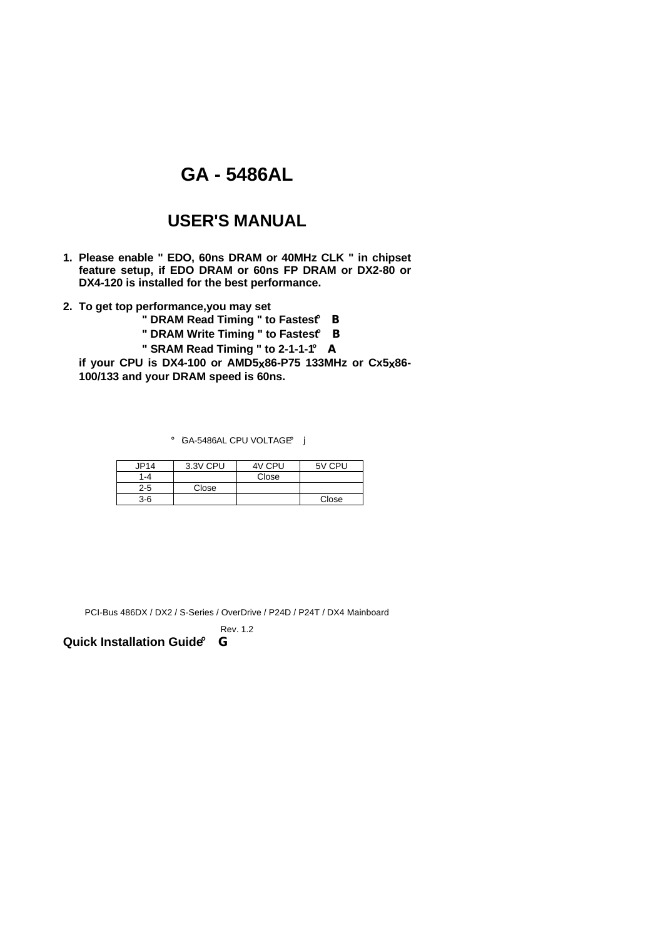## **GA - 5486AL**

## **USER'S MANUAL**

- **1. Please enable " EDO, 60ns DRAM or 40MHz CLK " in chipset feature setup, if EDO DRAM or 60ns FP DRAM or DX2-80 or DX4-120 is installed for the best performance.**
- **2. To get top performance,you may set**

**" DRAM Read Timing " to Fastest**¡ B

**" DRAM Write Timing " to Fastest**¡ B

**" SRAM Read Timing " to 2-1-1-1**¡ A

**if your CPU is DX4-100 or AMD5x86-P75 133MHz or Cx5x86- 100/133 and your DRAM speed is 60ns.**

**i** GA-5486AL CPU VOLTAGEi j

| JP14    | 3.3V CPU | 4V CPU | 5V CPU |
|---------|----------|--------|--------|
| 1-4     |          | Close  |        |
| $2 - 5$ | Close    |        |        |
| $3-6$   |          |        | Close  |

PCI-Bus 486DX / DX2 / S-Series / OverDrive / P24D / P24T / DX4 Mainboard

Rev. 1.2

**Quick Installation Guide**¡ G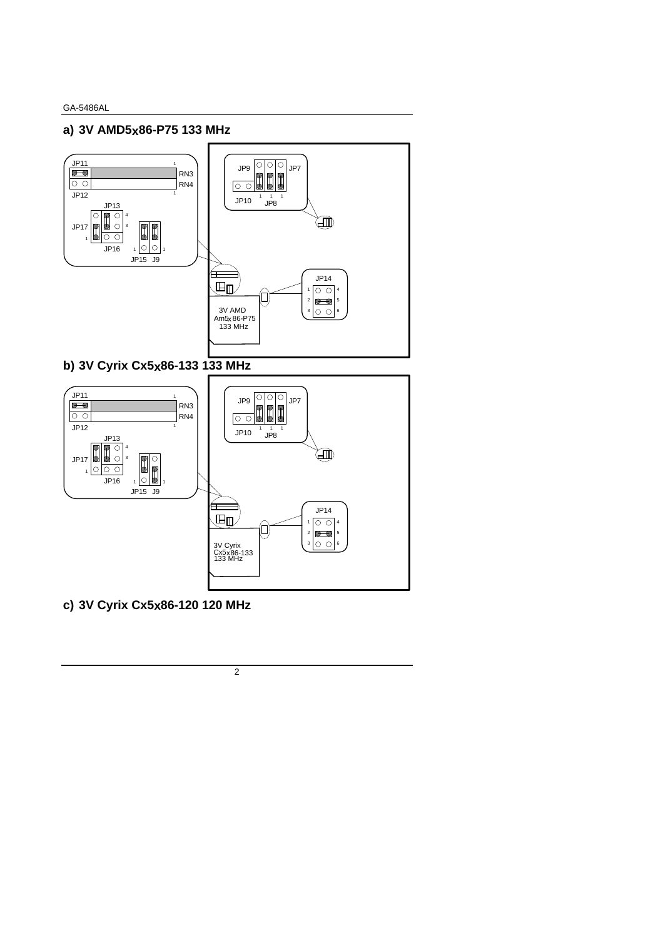## **a) 3V AMD5x86-P75 133 MHz**



**b) 3V Cyrix Cx5x86-133 133 MHz**



**c) 3V Cyrix Cx5x86-120 120 MHz**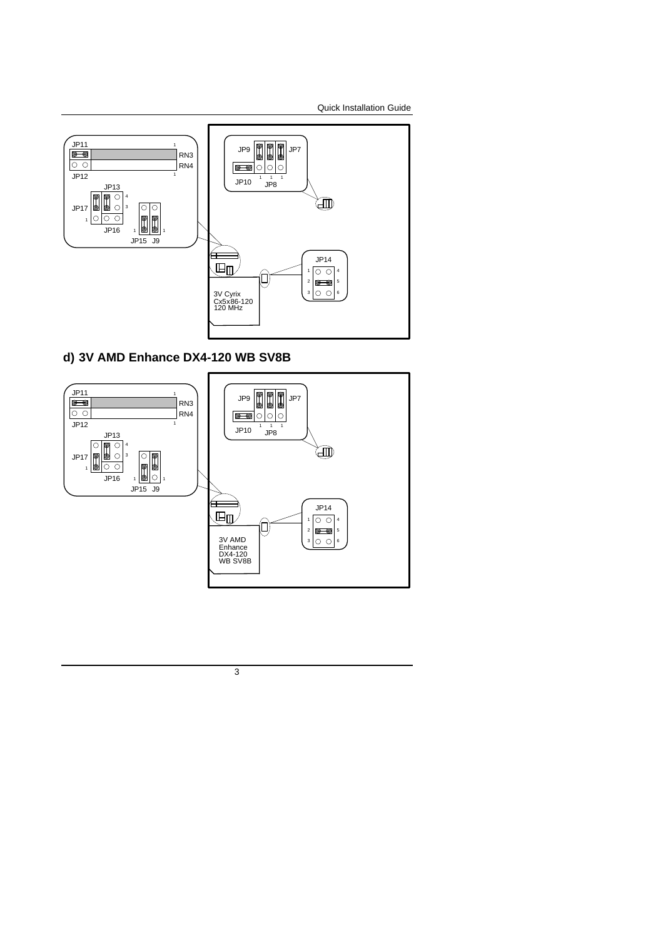Quick Installation Guide



## **d) 3V AMD Enhance DX4-120 WB SV8B**

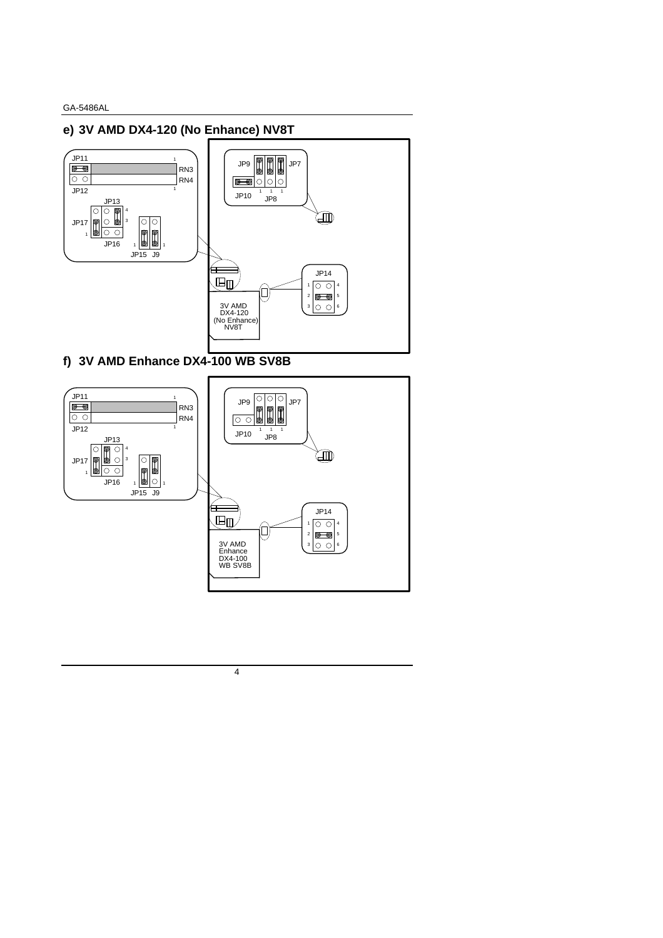## **e) 3V AMD DX4-120 (No Enhance) NV8T**



**f) 3V AMD Enhance DX4-100 WB SV8B**



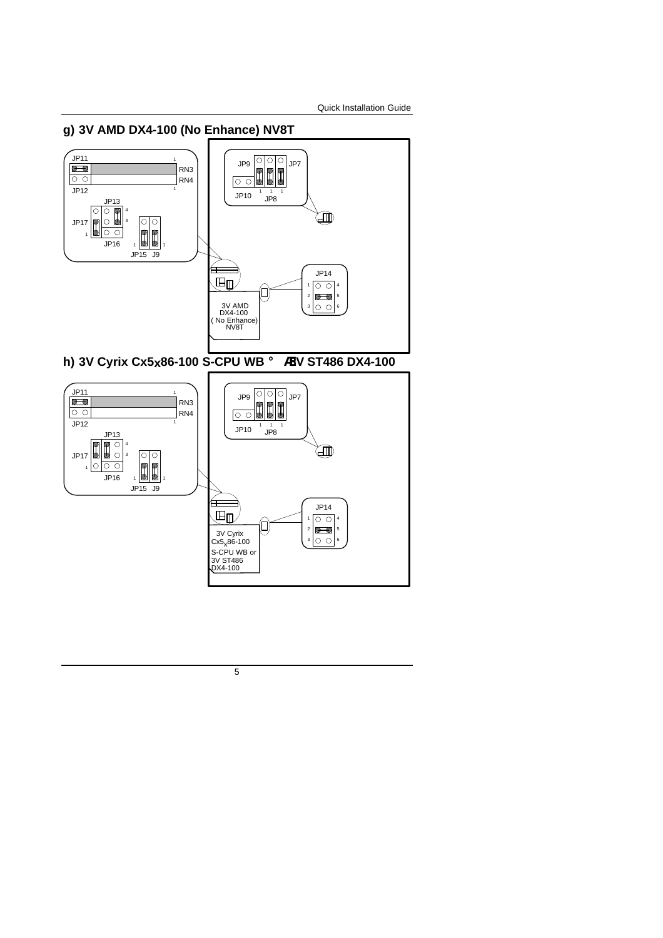#### **g) 3V AMD DX4-100 (No Enhance) NV8T**  $\begin{array}{|c|c|}\n\hline\n\text{JP11} \\
\hline\n\text{O} & \text{O}\n\end{array}$  $\begin{array}{c|c|c|c|c} \text{JP9} & \text{O} & \text{O} & \text{JP7} \\ \hline \text{O} & \text{O} & \text{O} & \text{JP7} \end{array}$ 1 RN3 RN4 JP12 1 JP10 1 1 1 JP8  $\begin{tabular}{|c|c|c|} \hline & JP13 \\ \hline \hline \multicolumn{1}{|c|}{\textbf{O} & \textbf{O} & \textbf{H}^1 \\ \hline \multicolumn{1}{|c|}{\textbf{O} & \textbf{O} & \textbf{H}^1 \\ \hline \multicolumn{1}{|c|}{\textbf{O} & \textbf{O} & \textbf{H}^1 \\ \hline \multicolumn{1}{|c|}{\textbf{O} & \textbf{O} & \textbf{H}^1 \\ \hline \multicolumn{1}{|c|}{\textbf{O} & \textbf{O} & \textbf{H}^1 \\ \hline \multicolumn{1$ 4 卿 JP17 |○  $\circ$ 3 8 1 JP16 JP15 J9 ⇚ JP14  $\overline{\mathbb{H}}$  $\boxed{\circ \circ}$ 1 4 (ロ) 2  $\overline{\mathbf{e}}$ 5 ا  $3$  O O 3V AMD DX4-100 ( No Enhance) NV8T 6 **h) 3V Cyrix Cx5x86-100 S-CPU WB** ¡ ® **3V ST486 DX4-100**  $\begin{array}{|c|c|}\n\hline\n\text{JP11} \\
\hline\n\hline\n\end{array}$ JP9 O O O JP7<br>O O D D D D JP7 1 RN3  $\overline{\circ}$ RN4  $JP12$ 1 JP10 1 1 1 JP8  $\frac{JP13}{D}$  $\theta$ 4 迦 JP17  $\overline{\circ}$ ਿ 3  $\begin{bmatrix} 0 \\ 0 \end{bmatrix}$ l c  $\overline{\circ}$ 1 JP16 JP15 J9

5

3V Cyrix Cx5<sub>x</sub>86-100 S-CPU WB or 3V ST486 DX4-100  $\left( \right)$ 

Ŧ 、国血

JP14

 $\boxed{\circ\circ}$ 

 $\overline{\mathbf{e}}$ |o o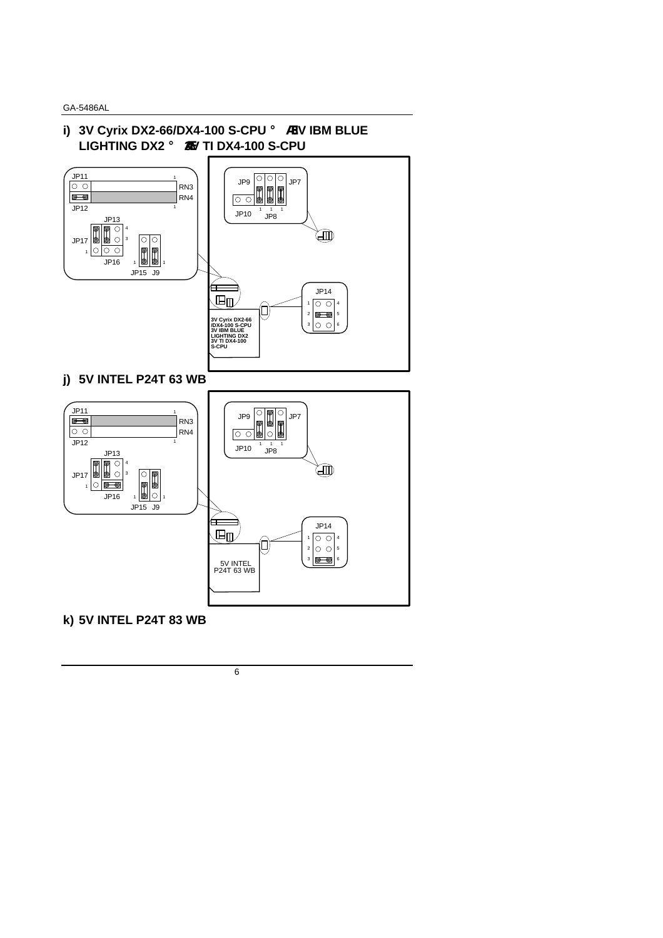## **i) 3V Cyrix DX2-66/DX4-100 S-CPU** ¡ ® **3V IBM BLUE LIGHTING DX2** ¡ ®**3V TI DX4-100 S-CPU**



**j) 5V INTEL P24T 63 WB**



**k) 5V INTEL P24T 83 WB**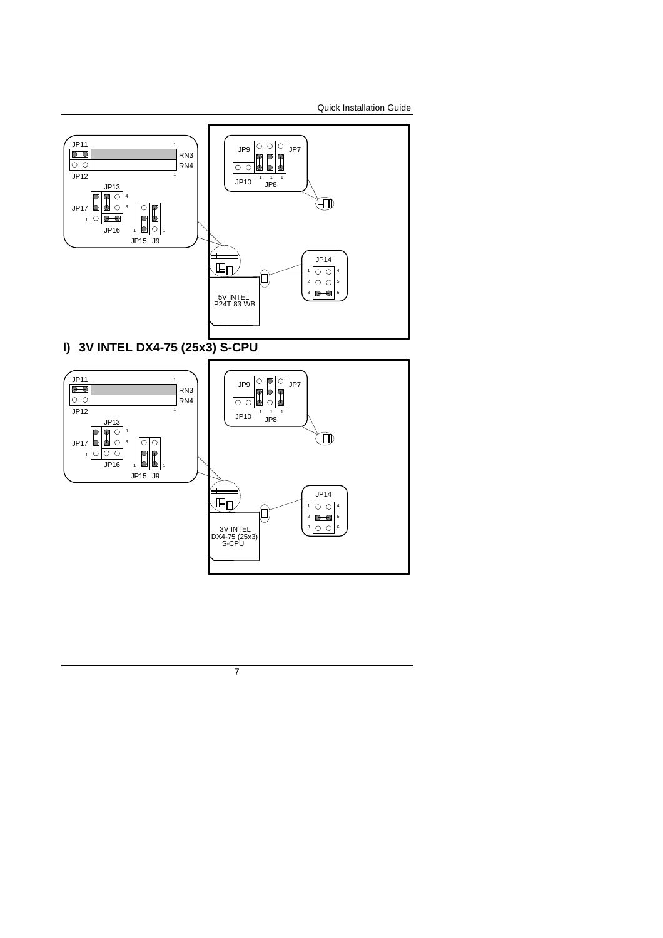Quick Installation Guide





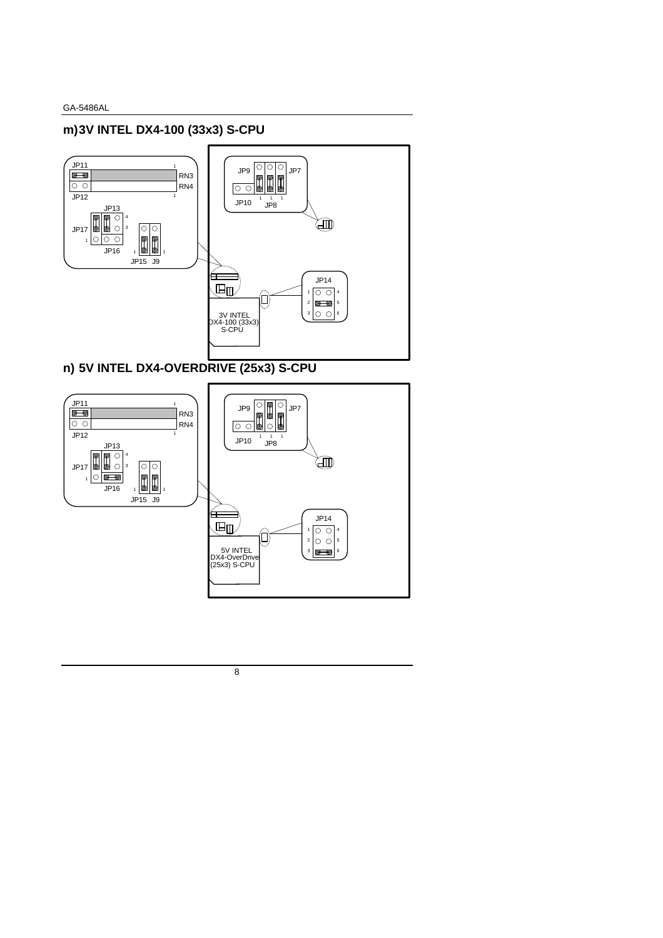## **m)3V INTEL DX4-100 (33x3) S-CPU**



## **n) 5V INTEL DX4-OVERDRIVE (25x3) S-CPU**

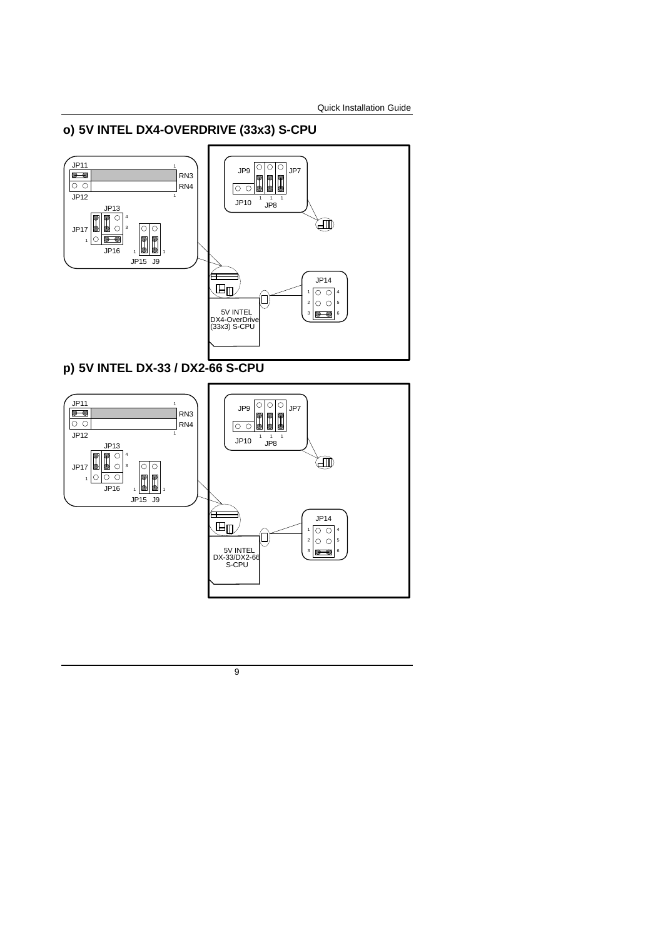## **o) 5V INTEL DX4-OVERDRIVE (33x3) S-CPU**



**p) 5V INTEL DX-33 / DX2-66 S-CPU**

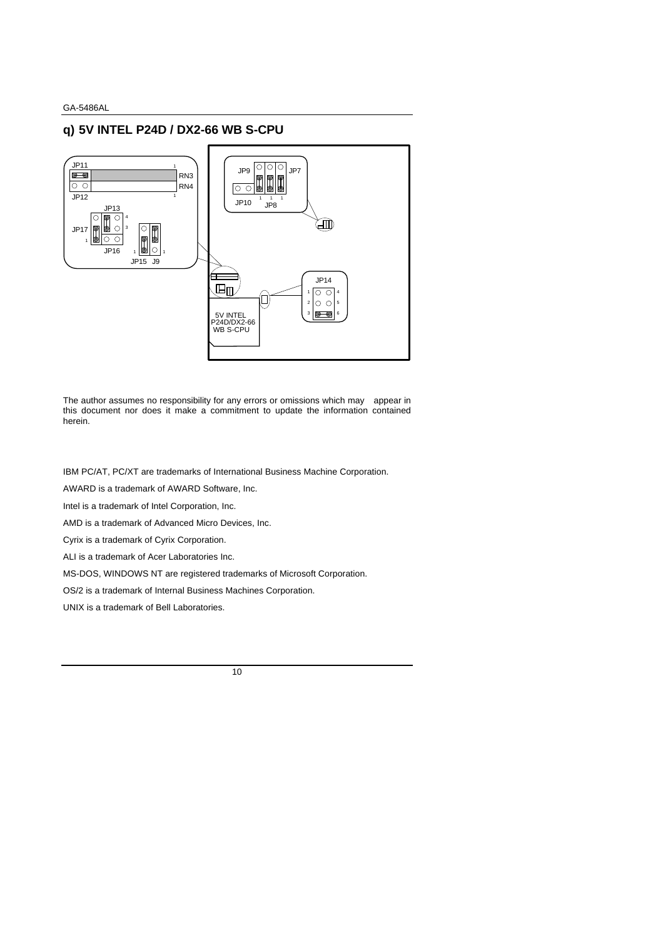## **q) 5V INTEL P24D / DX2-66 WB S-CPU**



The author assumes no responsibility for any errors or omissions which may appear in this document nor does it make a commitment to update the information contained herein.

IBM PC/AT, PC/XT are trademarks of International Business Machine Corporation.

AWARD is a trademark of AWARD Software, Inc.

Intel is a trademark of Intel Corporation, Inc.

AMD is a trademark of Advanced Micro Devices, Inc.

Cyrix is a trademark of Cyrix Corporation.

ALI is a trademark of Acer Laboratories Inc.

MS-DOS, WINDOWS NT are registered trademarks of Microsoft Corporation.

OS/2 is a trademark of Internal Business Machines Corporation.

UNIX is a trademark of Bell Laboratories.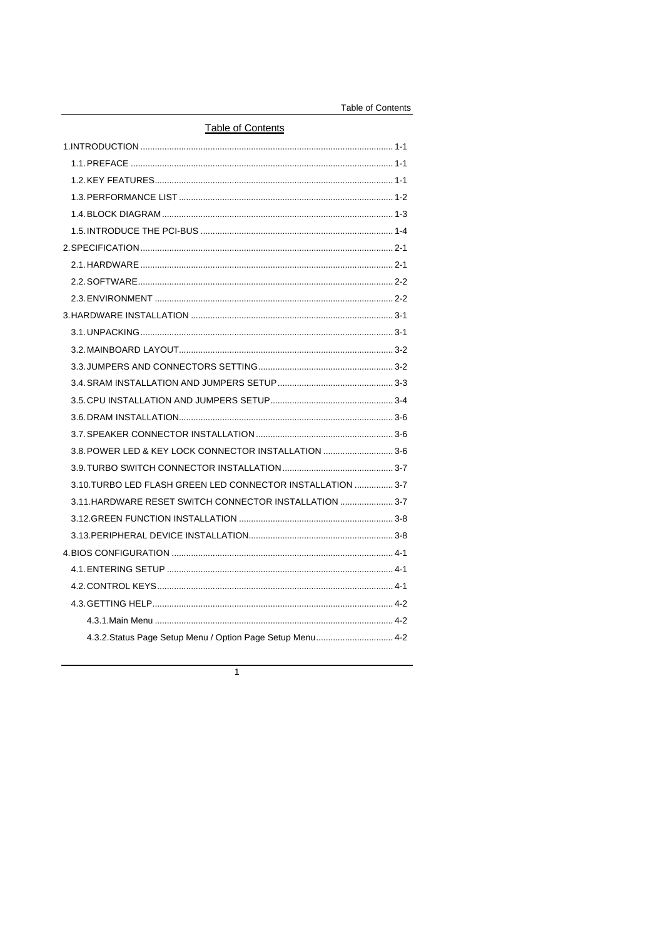| <b>Table of Contents</b> |
|--------------------------|
|--------------------------|

| <b>Table of Contents</b>                                    |  |  |  |
|-------------------------------------------------------------|--|--|--|
|                                                             |  |  |  |
|                                                             |  |  |  |
|                                                             |  |  |  |
| 1.3. PERFORMANCE LIST ……………………………………………………………………………… 1-2    |  |  |  |
|                                                             |  |  |  |
| 1.5. INTRODUCE THE PCI-BUS ……………………………………………………………………… 1-4  |  |  |  |
|                                                             |  |  |  |
|                                                             |  |  |  |
|                                                             |  |  |  |
|                                                             |  |  |  |
|                                                             |  |  |  |
|                                                             |  |  |  |
|                                                             |  |  |  |
|                                                             |  |  |  |
|                                                             |  |  |  |
|                                                             |  |  |  |
|                                                             |  |  |  |
|                                                             |  |  |  |
| 3.8. POWER LED & KEY LOCK CONNECTOR INSTALLATION 3-6        |  |  |  |
|                                                             |  |  |  |
| 3.10. TURBO LED FLASH GREEN LED CONNECTOR INSTALLATION  3-7 |  |  |  |
| 3.11. HARDWARE RESET SWITCH CONNECTOR INSTALLATION  3-7     |  |  |  |
|                                                             |  |  |  |
|                                                             |  |  |  |
|                                                             |  |  |  |
|                                                             |  |  |  |
|                                                             |  |  |  |
|                                                             |  |  |  |
|                                                             |  |  |  |
| 4.3.2. Status Page Setup Menu / Option Page Setup Menu 4-2  |  |  |  |

 $\overline{1}$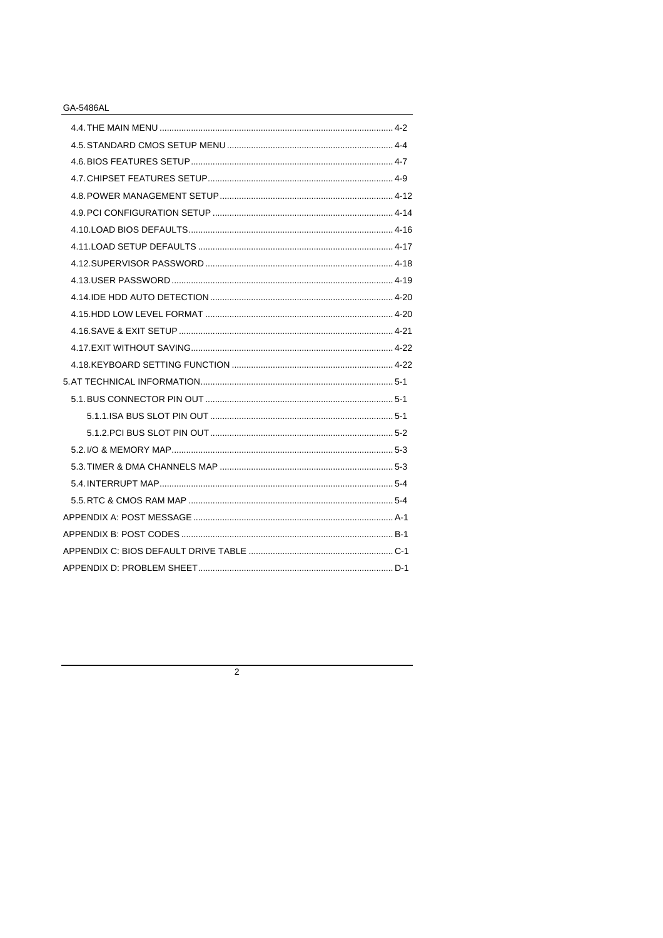$\overline{2}$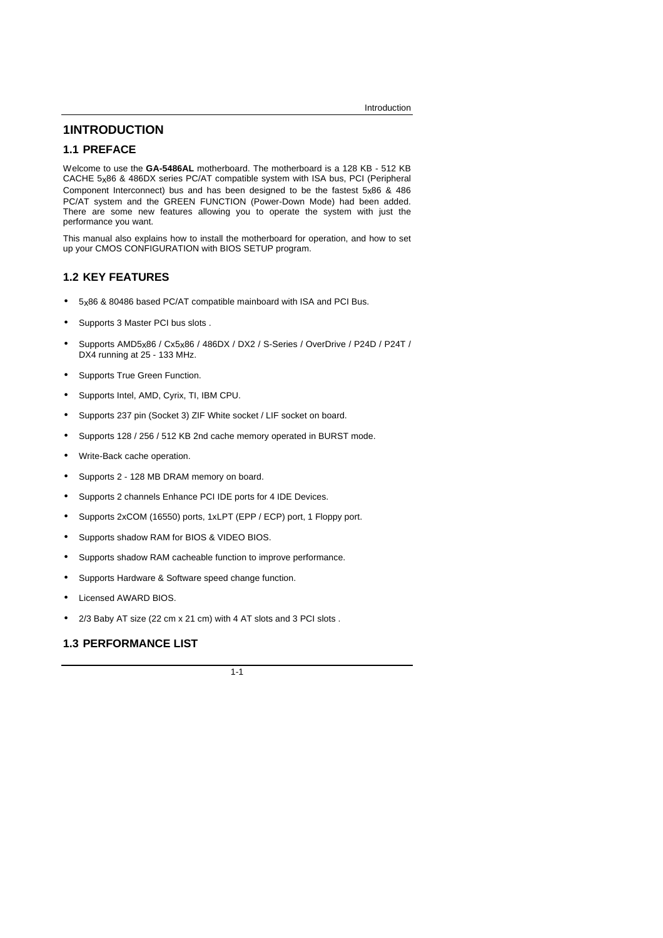## **1INTRODUCTION**

### **1.1 PREFACE**

Welcome to use the **GA-5486AL** motherboard. The motherboard is a 128 KB - 512 KB CACHE 5x86 & 486DX series PC/AT compatible system with ISA bus, PCI (Peripheral Component Interconnect) bus and has been designed to be the fastest  $5x86$  & 486 PC/AT system and the GREEN FUNCTION (Power-Down Mode) had been added. There are some new features allowing you to operate the system with just the performance you want.

This manual also explains how to install the motherboard for operation, and how to set up your CMOS CONFIGURATION with BIOS SETUP program.

## **1.2 KEY FEATURES**

- 5x86 & 80486 based PC/AT compatible mainboard with ISA and PCI Bus.
- Supports 3 Master PCI bus slots .
- Supports AMD5x86 / Cx5x86 / 486DX / DX2 / S-Series / OverDrive / P24D / P24T / DX4 running at 25 - 133 MHz.
- Supports True Green Function.
- Supports Intel, AMD, Cyrix, TI, IBM CPU.
- Supports 237 pin (Socket 3) ZIF White socket / LIF socket on board.
- Supports 128 / 256 / 512 KB 2nd cache memory operated in BURST mode.
- Write-Back cache operation.
- Supports 2 128 MB DRAM memory on board.
- Supports 2 channels Enhance PCI IDE ports for 4 IDE Devices.
- Supports 2xCOM (16550) ports, 1xLPT (EPP / ECP) port, 1 Floppy port.
- Supports shadow RAM for BIOS & VIDEO BIOS.
- Supports shadow RAM cacheable function to improve performance.
- Supports Hardware & Software speed change function.
- Licensed AWARD BIOS.
- 2/3 Baby AT size (22 cm x 21 cm) with 4 AT slots and 3 PCI slots .

### **1.3 PERFORMANCE LIST**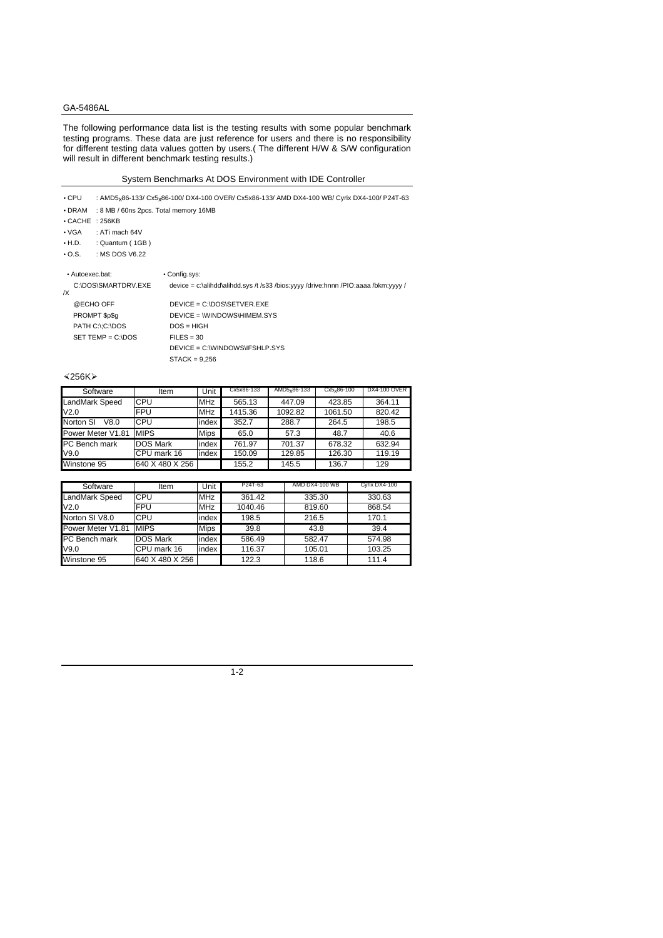The following performance data list is the testing results with some popular benchmark testing programs. These data are just reference for users and there is no responsibility for different testing data values gotten by users.( The different H/W & S/W configuration will result in different benchmark testing results.)

#### System Benchmarks At DOS Environment with IDE Controller

| $\cdot$ CPU<br>: 8 MB / 60ns 2pcs. Total memory 16MB<br>$\bullet$ DRAM<br>$\cdot$ CACHE : 256KB | : AMD5x86-133/ Cx5x86-100/ DX4-100 OVER/ Cx5x86-133/ AMD DX4-100 WB/ Cyrix DX4-100/ P24T-63                                                                                 |
|-------------------------------------------------------------------------------------------------|-----------------------------------------------------------------------------------------------------------------------------------------------------------------------------|
| $\bullet$ VGA<br>: ATi mach $64V$                                                               |                                                                                                                                                                             |
| $\bullet$ H.D.<br>: Quantum (1GB)                                                               |                                                                                                                                                                             |
| $\bullet$ O.S.<br>: MS DOS V6.22                                                                |                                                                                                                                                                             |
| • Autoexec.bat:<br>C:\DOS\SMARTDRV.EXE<br>IX<br>@ECHO OFF<br>PROMPT \$p\$q                      | • Config.sys:<br>device = c:\alihdd\alihdd.sys /t /s33 /bios:yyyy /drive:hnnn /PIO:aaaa /bkm:yyyy /<br>$DEVICE = C:DOS \setminus SETVER. EXE$<br>DEVICE = WINDOWS\HIMEM.SYS |
| PATH C:\;C:\DOS<br>$SET$ TEMP = $C:DOS$                                                         | $DOS = HIGH$<br>$FILES = 30$<br>DEVICE = C:\WINDOWS\IFSHLP.SYS<br>$STACK = 9.256$                                                                                           |

 $\leq$ 256K $\geq$ 

| Software              | Item            | Unit        | Cx5x86-133 | $AMD5x86-133$ | $Cx5x86-100$ | DX4-100 OVER |
|-----------------------|-----------------|-------------|------------|---------------|--------------|--------------|
| <b>LandMark Speed</b> | CPU             | <b>MHz</b>  | 565.13     | 447.09        | 423.85       | 364.11       |
| V2.0                  | <b>FPU</b>      | <b>MHz</b>  | 1415.36    | 1092.82       | 1061.50      | 820.42       |
| Norton SI<br>V8.0     | CPU             | index       | 352.7      | 288.7         | 264.5        | 198.5        |
| Power Meter V1.81     | <b>MIPS</b>     | <b>Mips</b> | 65.0       | 57.3          | 48.7         | 40.6         |
| PC Bench mark         | DOS Mark        | index       | 761.97     | 701.37        | 678.32       | 632.94       |
| V9.0                  | CPU mark 16     | index       | 150.09     | 129.85        | 126.30       | 119.19       |
| Winstone 95           | 640 X 480 X 256 |             | 155.2      | 145.5         | 136.7        | 129          |

| Software          | Item            | Unit        | P24T-63 | AMD DX4-100 WB | Cvrix DX4-100 |
|-------------------|-----------------|-------------|---------|----------------|---------------|
| LandMark Speed    | CPU             | <b>MHz</b>  | 361.42  | 335.30         | 330.63        |
| V2.0              | FPU             | <b>MHz</b>  | 1040.46 | 819.60         | 868.54        |
| Norton SI V8.0    | CPU             | index       | 198.5   | 216.5          | 170.1         |
| Power Meter V1.81 | <b>MIPS</b>     | <b>Mips</b> | 39.8    | 43.8           | 39.4          |
| PC Bench mark     | <b>DOS Mark</b> | index       | 586.49  | 582.47         | 574.98        |
| V9.0              | CPU mark 16     | index       | 116.37  | 105.01         | 103.25        |
| Winstone 95       | 640 X 480 X 256 |             | 122.3   | 118.6          | 111.4         |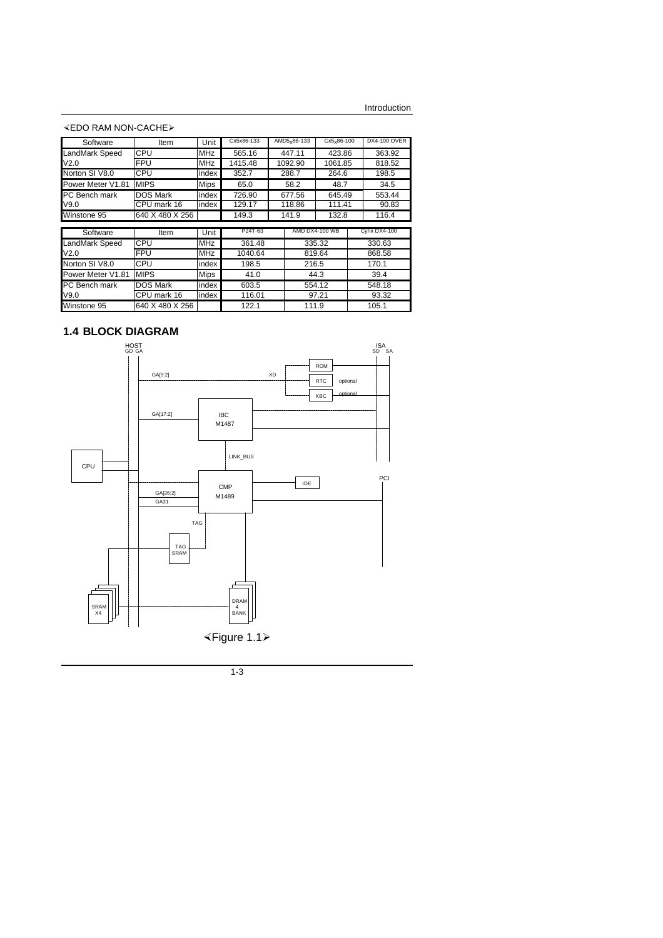$\triangle$ EDO RAM NON-CACHE $\triangleright$ 

| Software              | Item            | Unit        | Cx5x86-133 |  | $AMD5x86-133$    | $Cx5x86-100$ | DX4-100 OVER  |
|-----------------------|-----------------|-------------|------------|--|------------------|--------------|---------------|
| <b>LandMark Speed</b> | CPU             | <b>MHz</b>  | 565.16     |  | 447.11<br>423.86 |              | 363.92        |
| V <sub>2.0</sub>      | <b>FPU</b>      | <b>MHz</b>  | 1415.48    |  | 1092.90          | 1061.85      | 818.52        |
| Norton SI V8.0        | CPU             | index       | 352.7      |  | 288.7            | 264.6        | 198.5         |
| Power Meter V1.81     | <b>MIPS</b>     | <b>Mips</b> | 65.0       |  | 58.2             | 48.7         | 34.5          |
| <b>PC</b> Bench mark  | <b>DOS Mark</b> | index       | 726.90     |  | 677.56           | 645.49       | 553.44        |
| V9.0                  | CPU mark 16     | index       | 129.17     |  | 118.86           | 111.41       | 90.83         |
| Winstone 95           | 640 X 480 X 256 |             | 149.3      |  | 141.9            | 132.8        | 116.4         |
|                       |                 |             | P24T-63    |  |                  |              |               |
| Software              | Item            | Unit        |            |  | AMD DX4-100 WB   |              | Cyrix DX4-100 |
| LandMark Speed        | CPU             | <b>MHz</b>  | 361.48     |  |                  | 335.32       | 330.63        |
| V <sub>2.0</sub>      | <b>FPU</b>      | <b>MHz</b>  | 1040.64    |  |                  | 819.64       | 868.58        |
| Norton SI V8.0        | CPU             | index       | 198.5      |  | 216.5            |              | 170.1         |
| Power Meter V1.81     | <b>MIPS</b>     | <b>Mips</b> | 41.0       |  |                  | 44.3         | 39.4          |
| <b>PC</b> Bench mark  | <b>DOS Mark</b> | index       | 603.5      |  |                  | 554.12       | 548.18        |
| V9.0                  | CPU mark 16     | index       | 116.01     |  |                  | 97.21        | 93.32         |
| Winstone 95           | 640 X 480 X 256 |             | 122.1      |  | 111.9            |              | 105.1         |

## **1.4 BLOCK DIAGRAM**

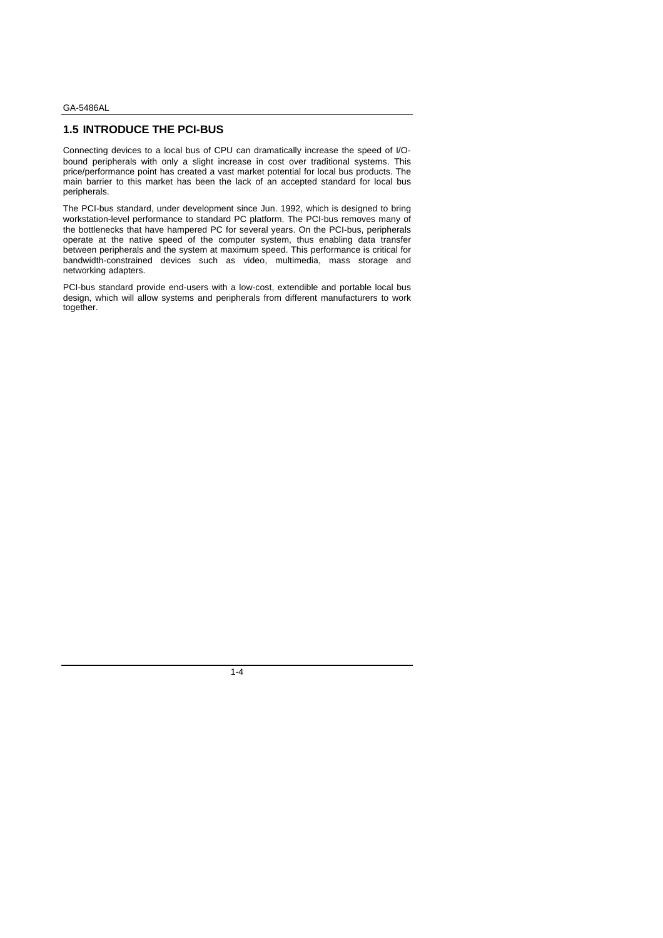### **1.5 INTRODUCE THE PCI-BUS**

Connecting devices to a local bus of CPU can dramatically increase the speed of I/Obound peripherals with only a slight increase in cost over traditional systems. This price/performance point has created a vast market potential for local bus products. The main barrier to this market has been the lack of an accepted standard for local bus peripherals.

The PCI-bus standard, under development since Jun. 1992, which is designed to bring workstation-level performance to standard PC platform. The PCI-bus removes many of the bottlenecks that have hampered PC for several years. On the PCI-bus, peripherals operate at the native speed of the computer system, thus enabling data transfer between peripherals and the system at maximum speed. This performance is critical for bandwidth-constrained devices such as video, multimedia, mass storage and networking adapters.

PCI-bus standard provide end-users with a low-cost, extendible and portable local bus design, which will allow systems and peripherals from different manufacturers to work together.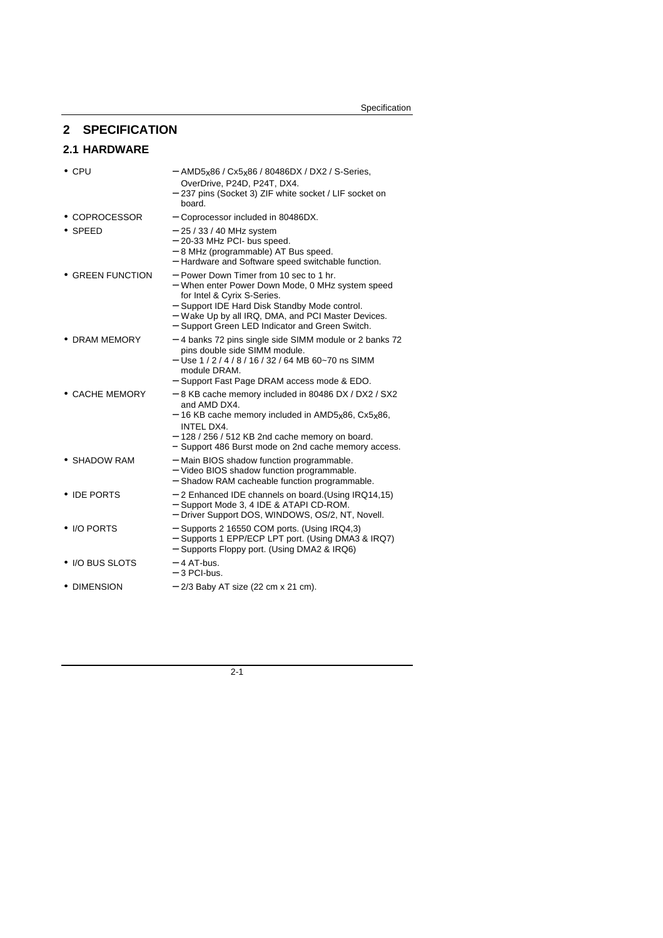## **2 SPECIFICATION**

## **2.1 HARDWARE**

| $\bullet$ CPU       | - AMD5x86 / Cx5x86 / 80486DX / DX2 / S-Series,<br>OverDrive, P24D, P24T, DX4.<br>- 237 pins (Socket 3) ZIF white socket / LIF socket on<br>board.                                                                                                                                    |
|---------------------|--------------------------------------------------------------------------------------------------------------------------------------------------------------------------------------------------------------------------------------------------------------------------------------|
| • COPROCESSOR       | - Coprocessor included in 80486DX.                                                                                                                                                                                                                                                   |
| $\bullet$ SPEED     | $-25/33/40$ MHz system<br>- 20-33 MHz PCI- bus speed.<br>- 8 MHz (programmable) AT Bus speed.<br>- Hardware and Software speed switchable function.                                                                                                                                  |
| • GREEN FUNCTION    | - Power Down Timer from 10 sec to 1 hr.<br>- When enter Power Down Mode, 0 MHz system speed<br>for Intel & Cyrix S-Series.<br>- Support IDE Hard Disk Standby Mode control.<br>- Wake Up by all IRQ, DMA, and PCI Master Devices.<br>- Support Green LED Indicator and Green Switch. |
| • DRAM MEMORY       | - 4 banks 72 pins single side SIMM module or 2 banks 72<br>pins double side SIMM module.<br>$-$ Use 1/2/4/8/16/32/64 MB 60~70 ns SIMM<br>module DRAM.<br>- Support Fast Page DRAM access mode & EDO.                                                                                 |
| • CACHE MEMORY      | - 8 KB cache memory included in 80486 DX / DX2 / SX2<br>and AMD DX4.<br>- 16 KB cache memory included in AMD5x86, Cx5x86,<br><b>INTEL DX4.</b><br>$-128/256/512$ KB 2nd cache memory on board.<br>- Support 486 Burst mode on 2nd cache memory access.                               |
| • SHADOW RAM        | - Main BIOS shadow function programmable.<br>- Video BIOS shadow function programmable.<br>- Shadow RAM cacheable function programmable.                                                                                                                                             |
| • IDE PORTS         | - 2 Enhanced IDE channels on board. (Using IRQ14,15)<br>- Support Mode 3, 4 IDE & ATAPI CD-ROM.<br>- Driver Support DOS, WINDOWS, OS/2, NT, Novell.                                                                                                                                  |
| $\bullet$ I/O PORTS | - Supports 2 16550 COM ports. (Using IRQ4,3)<br>- Supports 1 EPP/ECP LPT port. (Using DMA3 & IRQ7)<br>- Supports Floppy port. (Using DMA2 & IRQ6)                                                                                                                                    |
| • I/O BUS SLOTS     | $-4$ AT-bus.<br>- 3 PCI-bus.                                                                                                                                                                                                                                                         |
| • DIMENSION         | - 2/3 Baby AT size (22 cm x 21 cm).                                                                                                                                                                                                                                                  |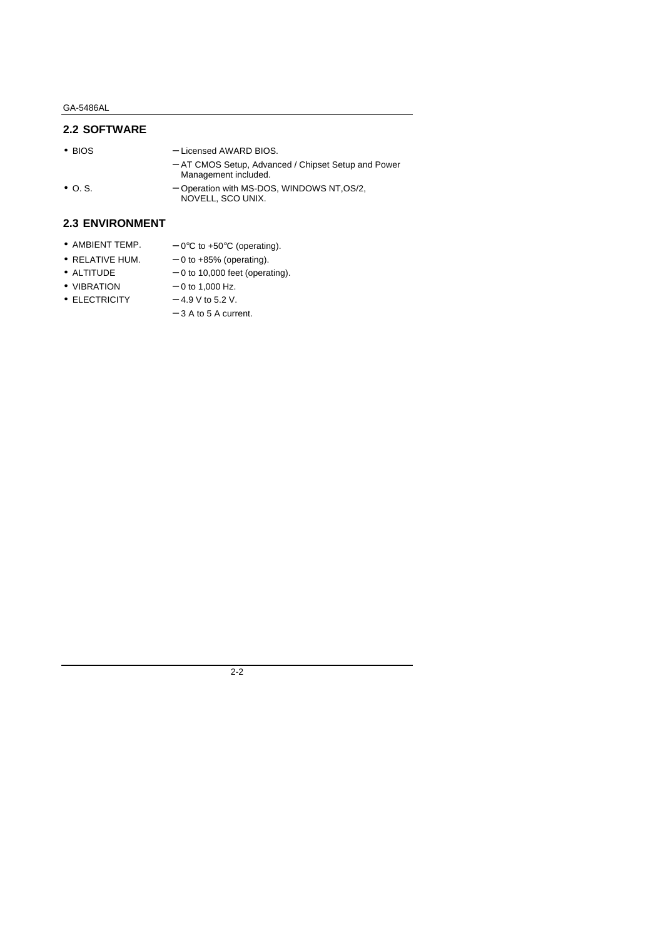## **2.2 SOFTWARE**

- 
- BIOS Licensed AWARD BIOS.
	- − AT CMOS Setup, Advanced / Chipset Setup and Power Management included.
- O. S. − Operation with MS-DOS, WINDOWS NT,OS/2, NOVELL, SCO UNIX.

## **2.3 ENVIRONMENT**

- AMBIENT TEMP.  $-0$ °C to +50°C (operating).
- RELATIVE HUM.  $-0$  to +85% (operating).
- ALTITUDE  $-0$  to 10,000 feet (operating).
- VIBRATION  $-0$  to 1,000 Hz.
	-
- $\bullet$  ELECTRICITY  $-4.9$  V to 5.2 V.
	- − 3 A to 5 A current.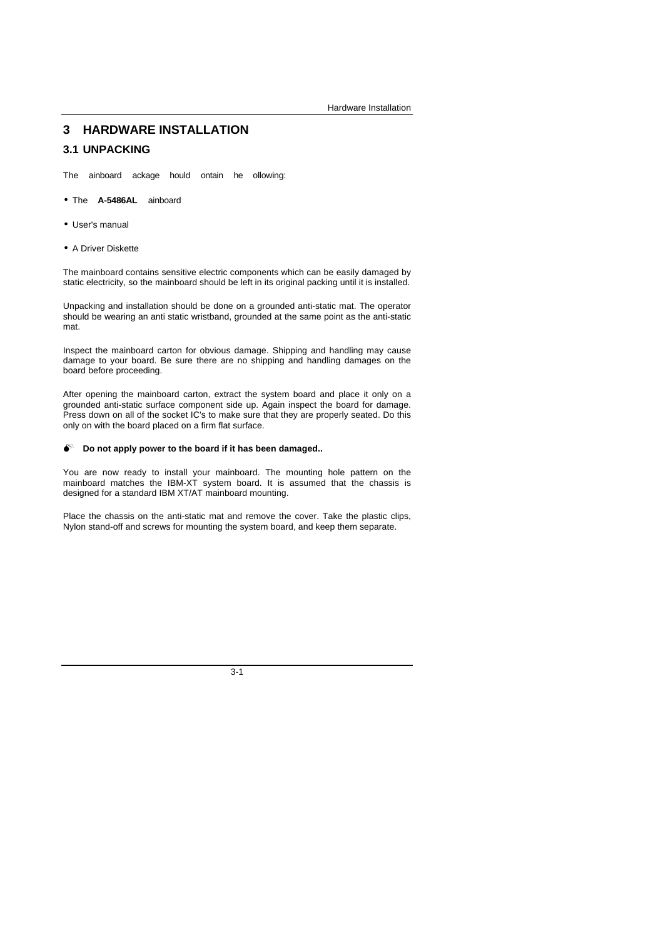## **3 HARDWARE INSTALLATION**

### **3.1 UNPACKING**

The ainboard ackage hould ontain he ollowing:

- The **A-5486AL** ainboard
- User's manual
- A Driver Diskette

The mainboard contains sensitive electric components which can be easily damaged by static electricity, so the mainboard should be left in its original packing until it is installed.

Unpacking and installation should be done on a grounded anti-static mat. The operator should be wearing an anti static wristband, grounded at the same point as the anti-static mat.

Inspect the mainboard carton for obvious damage. Shipping and handling may cause damage to your board. Be sure there are no shipping and handling damages on the board before proceeding.

After opening the mainboard carton, extract the system board and place it only on a grounded anti-static surface component side up. Again inspect the board for damage. Press down on all of the socket IC's to make sure that they are properly seated. Do this only on with the board placed on a firm flat surface.

#### $\bullet$  Do not apply power to the board if it has been damaged..

You are now ready to install your mainboard. The mounting hole pattern on the mainboard matches the IBM-XT system board. It is assumed that the chassis is designed for a standard IBM XT/AT mainboard mounting.

Place the chassis on the anti-static mat and remove the cover. Take the plastic clips, Nylon stand-off and screws for mounting the system board, and keep them separate.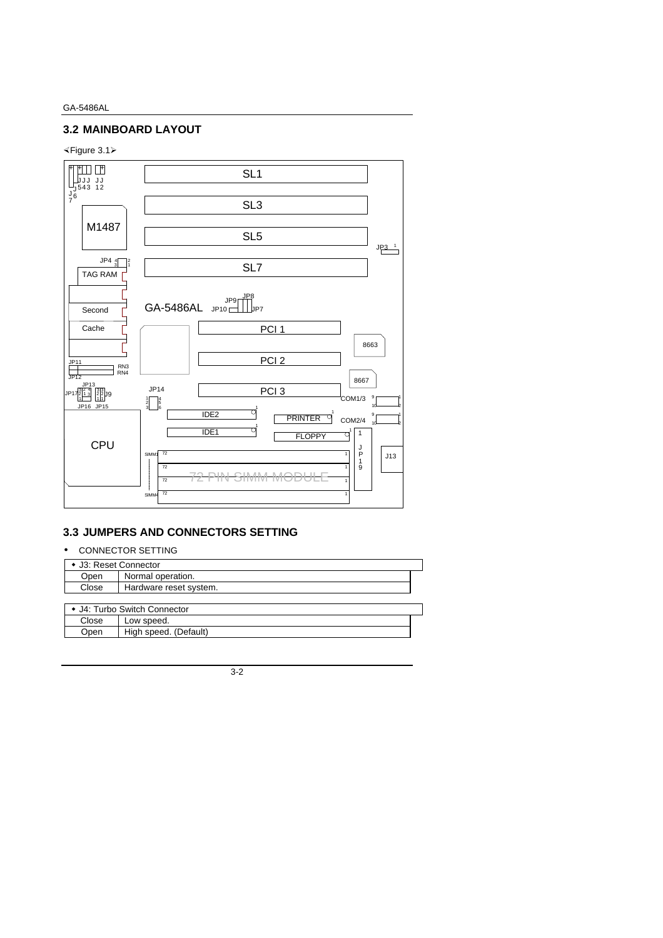## **3.2 MAINBOARD LAYOUT**

### ×Figure 3.1ÿ



## **3.3 JUMPERS AND CONNECTORS SETTING**

#### • CONNECTOR SETTING

| • J3: Reset Connector |                              |  |
|-----------------------|------------------------------|--|
| Open                  | Normal operation.            |  |
| Close                 | Hardware reset system.       |  |
|                       |                              |  |
|                       | • J4: Turbo Switch Connector |  |
| Close                 | Low speed.                   |  |
| Open                  | High speed. (Default)        |  |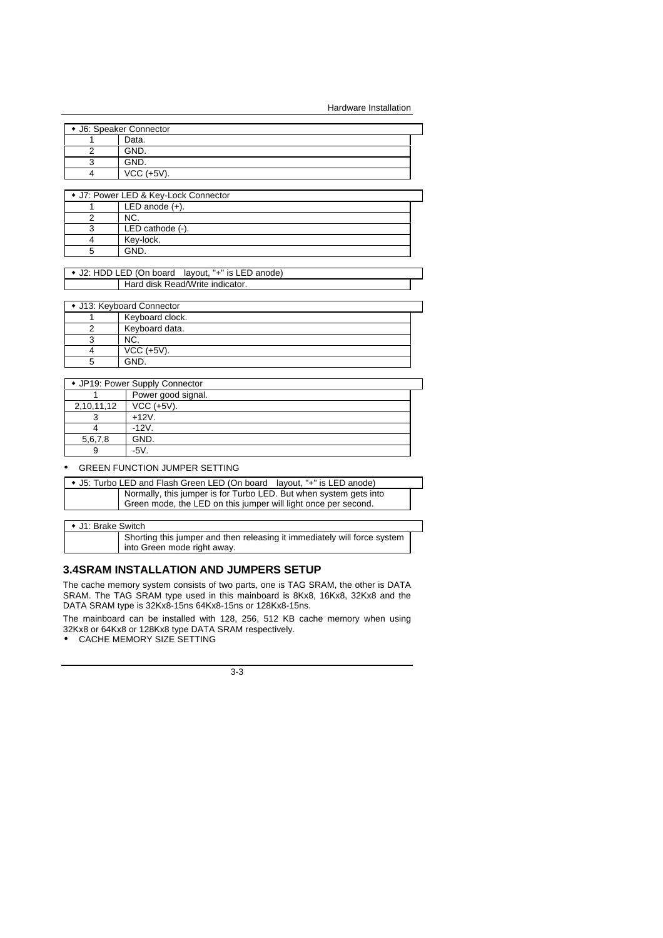Hardware Installation

| • J6: Speaker Connector |  |
|-------------------------|--|
| Data.                   |  |
| GND.                    |  |
| GND.                    |  |
| VCC (+5V).              |  |

| • J7: Power LED & Key-Lock Connector |  |  |
|--------------------------------------|--|--|
| LED anode $(+)$ .                    |  |  |
| NC.                                  |  |  |
| LED cathode $(-)$ .                  |  |  |
| Kev-lock.                            |  |  |
| GND                                  |  |  |

| • J2: HDD LED (On board layout, "+" is LED anode) |  |  |
|---------------------------------------------------|--|--|
| Hard disk Read/Write indicator.                   |  |  |

| • J13: Keyboard Connector |                 |  |  |
|---------------------------|-----------------|--|--|
|                           | Keyboard clock. |  |  |
|                           | Keyboard data.  |  |  |
|                           | NC.             |  |  |
|                           | $VCC$ (+5V).    |  |  |
|                           | GND.            |  |  |

| • JP19: Power Supply Connector |                    |  |  |
|--------------------------------|--------------------|--|--|
|                                | Power good signal. |  |  |
| 2,10,11,12                     | $VCC (+5V).$       |  |  |
|                                | $+12V$ .           |  |  |
|                                | $-12V$ .           |  |  |
| 5,6,7,8                        | GND.               |  |  |
| 9                              | -5V                |  |  |

#### • GREEN FUNCTION JUMPER SETTING

| • J5: Turbo LED and Flash Green LED (On board layout, "+" is LED anode)                                                             |
|-------------------------------------------------------------------------------------------------------------------------------------|
| Normally, this jumper is for Turbo LED. But when system gets into<br>Green mode, the LED on this jumper will light once per second. |

#### • J1: Brake Switch

Shorting this jumper and then releasing it immediately will force system into Green mode right away.

### **3.4SRAM INSTALLATION AND JUMPERS SETUP**

The cache memory system consists of two parts, one is TAG SRAM, the other is DATA SRAM. The TAG SRAM type used in this mainboard is 8Kx8, 16Kx8, 32Kx8 and the DATA SRAM type is 32Kx8-15ns 64Kx8-15ns or 128Kx8-15ns.

The mainboard can be installed with 128, 256, 512 KB cache memory when using 32Kx8 or 64Kx8 or 128Kx8 type DATA SRAM respectively. • CACHE MEMORY SIZE SETTING

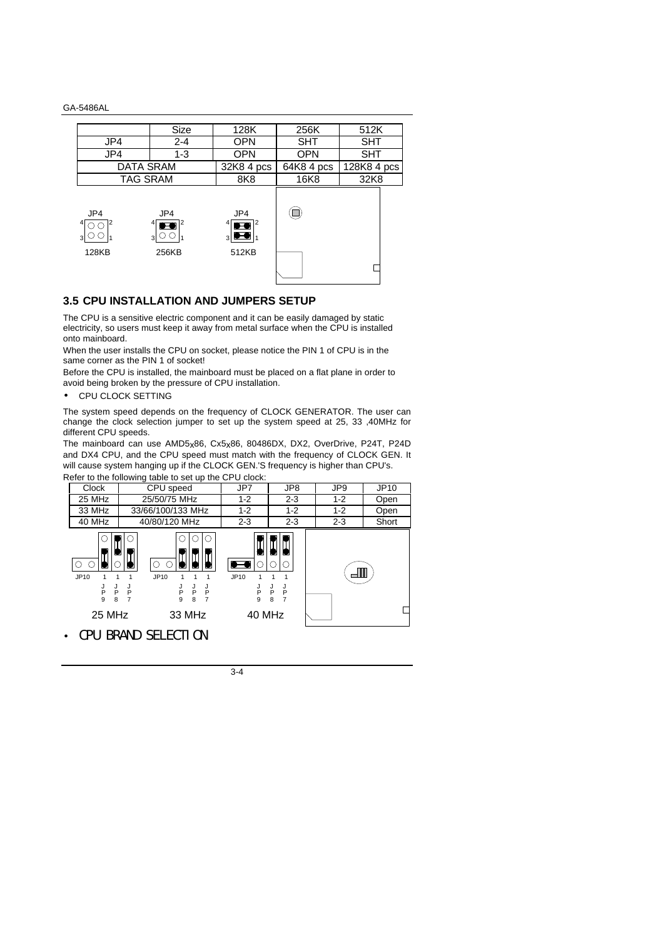|                  | Size                                       | 128K                                                          | 256K       | 512K        |
|------------------|--------------------------------------------|---------------------------------------------------------------|------------|-------------|
| JP4              | $2 - 4$                                    | <b>OPN</b>                                                    | SHT        | <b>SHT</b>  |
| JP4              | $1 - 3$                                    | <b>OPN</b>                                                    | <b>OPN</b> | <b>SHT</b>  |
| <b>DATA SRAM</b> |                                            | $32K84$ pcs                                                   | 64K8 4 pcs | 128K8 4 pcs |
| <b>TAG SRAM</b>  |                                            | 8K <sub>8</sub>                                               | 16K8       | 32K8        |
| JP4<br>128KB     | JP4<br>41<br>$\bullet$<br>$3\cup$<br>256KB | JP4<br>$\bullet$ <sup>2</sup><br>$_3$ $\bullet$ $_1$<br>512KB |            |             |

## **3.5 CPU INSTALLATION AND JUMPERS SETUP**

The CPU is a sensitive electric component and it can be easily damaged by static electricity, so users must keep it away from metal surface when the CPU is installed onto mainboard.

When the user installs the CPU on socket, please notice the PIN 1 of CPU is in the same corner as the PIN 1 of socket!

Before the CPU is installed, the mainboard must be placed on a flat plane in order to avoid being broken by the pressure of CPU installation.

• CPU CLOCK SETTING

The system speed depends on the frequency of CLOCK GENERATOR. The user can change the clock selection jumper to set up the system speed at 25, 33 ,40MHz for different CPU speeds.

The mainboard can use AMD5x86, Cx5x86, 80486DX, DX2, OverDrive, P24T, P24D and DX4 CPU, and the CPU speed must match with the frequency of CLOCK GEN. It will cause system hanging up if the CLOCK GEN.'S frequency is higher than CPU's. Refer to the following table to set up the CPU clock:

| Refer to the following table to set up the CFO Clock. |                                                                       |                                                           |                       |         |       |  |
|-------------------------------------------------------|-----------------------------------------------------------------------|-----------------------------------------------------------|-----------------------|---------|-------|--|
| <b>Clock</b>                                          | CPU speed                                                             | JP7                                                       | JP8                   | JP9     | JP10  |  |
| 25 MHz                                                | 25/50/75 MHz                                                          | $1 - 2$                                                   | $2 - 3$               | $1 - 2$ | Open  |  |
| 33 MHz                                                | 33/66/100/133 MHz                                                     | $1 - 2$                                                   | $1 - 2$               | $1 - 2$ | Open  |  |
| 40 MHz                                                | 40/80/120 MHz                                                         | $2 - 3$                                                   | $2 - 3$               | $2 - 3$ | Short |  |
| JP10<br>J<br>P<br>J<br>P<br>9<br>8<br>25 MHz          | JP10<br>J<br>P<br>J<br>P<br>J<br>P<br>J<br>P<br>9<br>8<br>7<br>33 MHz | $\overline{\phantom{a}}$<br>JP10<br>J<br>P<br>9<br>40 MHz | J<br>P<br>J<br>P<br>8 |         |       |  |

• CPU BRAND SELECTION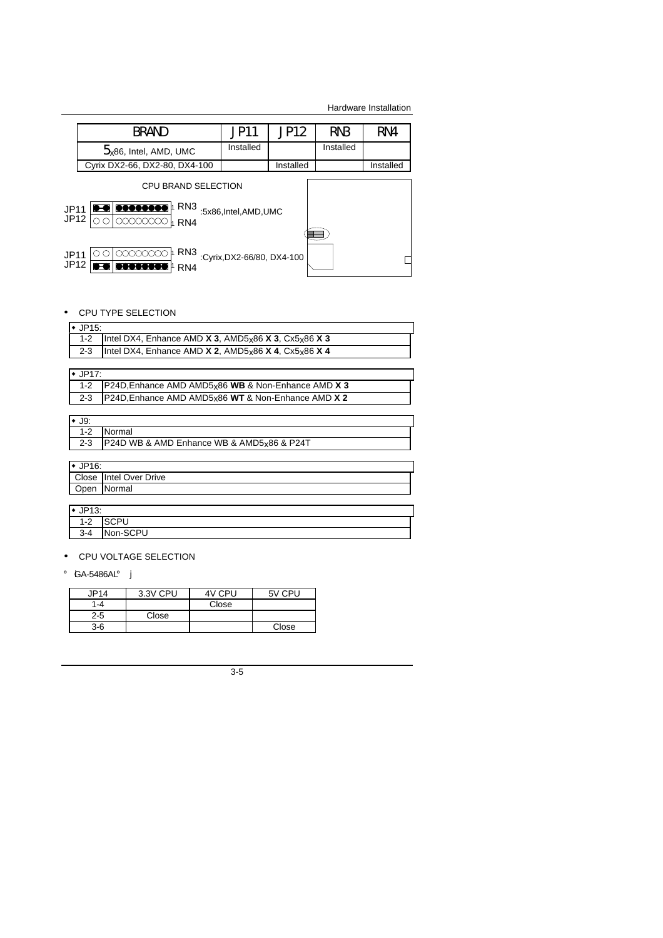Hardware Installation

|                                                                                                                                               | <b>BRAND</b>                         | <b>JP11</b>                | JP12      | RN <sub>3</sub> | RN4       |
|-----------------------------------------------------------------------------------------------------------------------------------------------|--------------------------------------|----------------------------|-----------|-----------------|-----------|
|                                                                                                                                               | $5$ <sub>x</sub> 86, Intel, AMD, UMC | Installed                  |           | Installed       |           |
|                                                                                                                                               | Cyrix DX2-66, DX2-80, DX4-100        |                            | Installed |                 | Installed |
| <b>CPU BRAND SELECTION</b><br><b>B-8 80000000</b><br>RN <sub>3</sub><br><b>JP11</b><br>:5x86,Intel,AMD,UMC<br>JP12<br>mmmm<br>RN <sub>4</sub> |                                      |                            |           |                 |           |
| JP11<br><b>JP12</b>                                                                                                                           | RN <sub>3</sub><br>RN4               | :Cyrix, DX2-66/80, DX4-100 |           |                 |           |

## • CPU TYPE SELECTION

| $\cdot$ JP15: |                                                                                  |
|---------------|----------------------------------------------------------------------------------|
|               | Intel DX4, Enhance AMD $\chi$ 3, AMD5 $_{x}$ 86 $\chi$ 3, Cx5 $_{x}$ 86 $\chi$ 3 |
| $2 - 3$       | Intel DX4, Enhance AMD $X$ 2, AMD5 $x86X4$ , Cx5 $x86X4$                         |

## $\bullet$  JP17:

| 1-2   P24D, Enhance AMD AMD5x86 WB & Non-Enhance AMD X 3 |  |
|----------------------------------------------------------|--|
| 2-3   P24D, Enhance AMD AMD5x86 WT & Non-Enhance AMD X 2 |  |

| $1 - 2$  | Normal                                    |
|----------|-------------------------------------------|
| $2 - 3$  | P24D WB & AMD Enhance WB & AMD5x86 & P24T |
|          |                                           |
| $\cdots$ |                                           |

| $\cdot$ JP16: |                        |  |  |
|---------------|------------------------|--|--|
|               | Close Intel Over Drive |  |  |
|               | Open Normal            |  |  |
|               |                        |  |  |

## $\cdot$  JP13:

 $\frac{31}{1-2}$  SCPU 3-4 Non-SCPU

• CPU VOLTAGE SELECTION

## ¡ iGA-5486AL¡ j

| JP14    | 3.3V CPU | 4V CPU | 5V CPU |
|---------|----------|--------|--------|
| 1-4     |          | Close  |        |
| $2 - 5$ | Close    |        |        |
| 3-6     |          |        | Close  |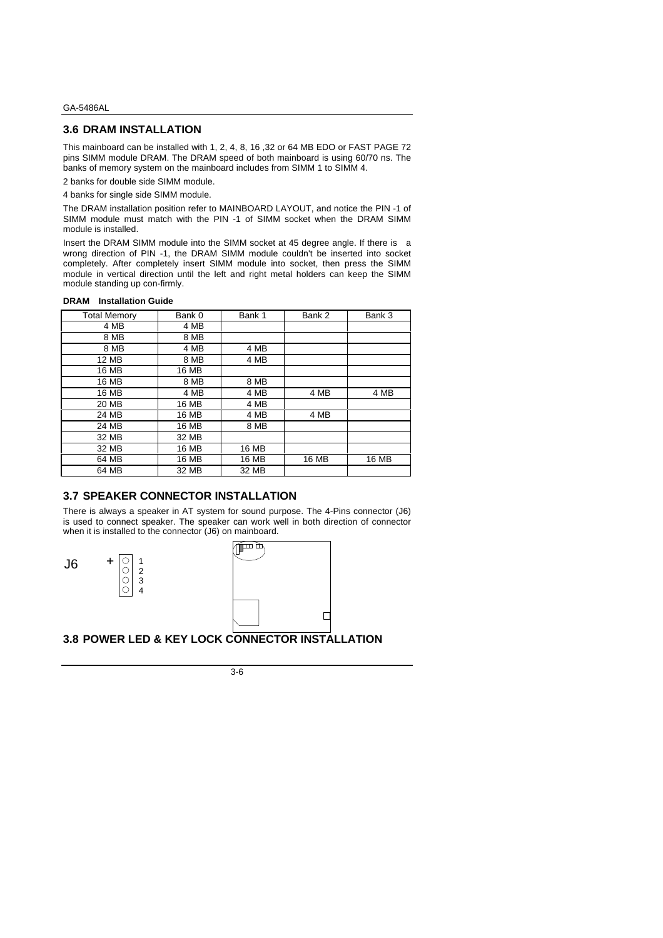### **3.6 DRAM INSTALLATION**

This mainboard can be installed with 1, 2, 4, 8, 16 ,32 or 64 MB EDO or FAST PAGE 72 pins SIMM module DRAM. The DRAM speed of both mainboard is using 60/70 ns. The banks of memory system on the mainboard includes from SIMM 1 to SIMM 4.

2 banks for double side SIMM module.

4 banks for single side SIMM module.

The DRAM installation position refer to MAINBOARD LAYOUT, and notice the PIN -1 of SIMM module must match with the PIN -1 of SIMM socket when the DRAM SIMM module is installed.

Insert the DRAM SIMM module into the SIMM socket at 45 degree angle. If there is a wrong direction of PIN -1, the DRAM SIMM module couldn't be inserted into socket completely. After completely insert SIMM module into socket, then press the SIMM module in vertical direction until the left and right metal holders can keep the SIMM module standing up con-firmly.

#### **DRAM Installation Guide**

| <b>Total Memory</b> | Bank 0 | Bank 1 | Bank 2 | Bank 3 |
|---------------------|--------|--------|--------|--------|
| 4 MB                | 4 MB   |        |        |        |
| 8 MB                | 8 MB   |        |        |        |
| 8 MB                | 4 MB   | 4 MB   |        |        |
| 12 MB               | 8 MB   | 4 MB   |        |        |
| 16 MB               | 16 MB  |        |        |        |
| 16 MB               | 8 MB   | 8 MB   |        |        |
| 16 MB               | 4 MB   | 4 MB   | 4 MB   | 4 MB   |
| 20 MB               | 16 MB  | 4 MB   |        |        |
| 24 MB               | 16 MB  | 4 MB   | 4 MB   |        |
| 24 MB               | 16 MB  | 8 MB   |        |        |
| 32 MB               | 32 MB  |        |        |        |
| 32 MB               | 16 MB  | 16 MB  |        |        |
| 64 MB               | 16 MB  | 16 MB  | 16 MB  | 16 MB  |
| 64 MB               | 32 MB  | 32 MB  |        |        |

### **3.7 SPEAKER CONNECTOR INSTALLATION**

There is always a speaker in AT system for sound purpose. The 4-Pins connector (J6) is used to connect speaker. The speaker can work well in both direction of connector when it is installed to the connector (J6) on mainboard.

|                  | ٠                          |
|------------------|----------------------------|
| ×<br>i<br>×<br>٧ | an s<br>ł<br>۰.<br>×<br>۰. |



2 3 4



**3.8 POWER LED & KEY LOCK CONNECTOR INSTALLATION**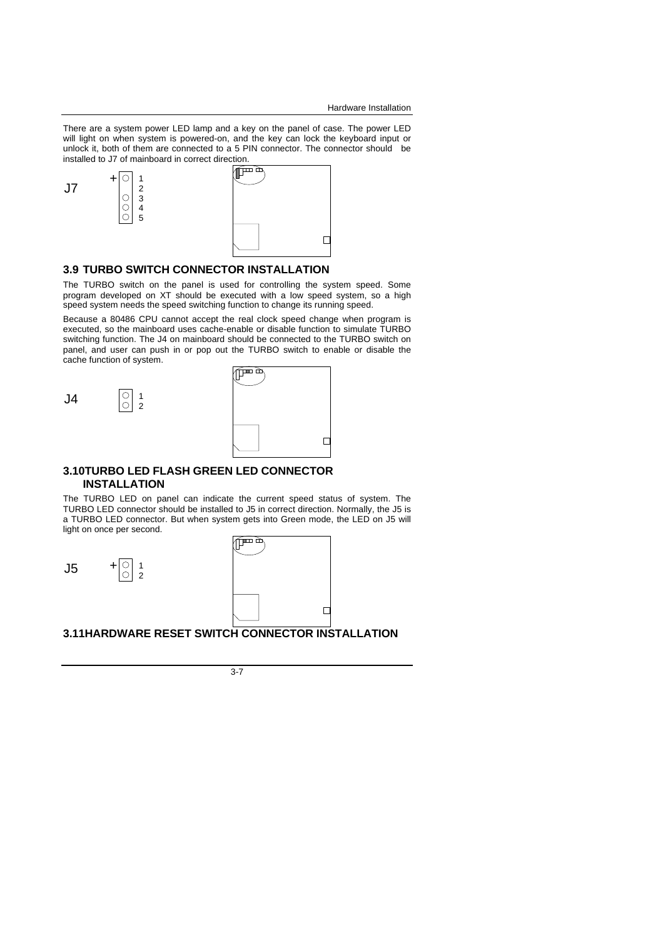Hardware Installation

There are a system power LED lamp and a key on the panel of case. The power LED will light on when system is powered-on, and the key can lock the keyboard input or unlock it, both of them are connected to a 5 PIN connector. The connector should be installed to J7 of mainboard in correct direction.



### **3.9 TURBO SWITCH CONNECTOR INSTALLATION**

The TURBO switch on the panel is used for controlling the system speed. Some program developed on XT should be executed with a low speed system, so a high speed system needs the speed switching function to change its running speed.

Because a 80486 CPU cannot accept the real clock speed change when program is executed, so the mainboard uses cache-enable or disable function to simulate TURBO switching function. The J4 on mainboard should be connected to the TURBO switch on panel, and user can push in or pop out the TURBO switch to enable or disable the cache function of system.

2

| ta<br>Tu<br>Τ |  |
|---------------|--|
|               |  |
|               |  |
|               |  |

#### **3.10TURBO LED FLASH GREEN LED CONNECTOR INSTALLATION**

The TURBO LED on panel can indicate the current speed status of system. The TURBO LED connector should be installed to J5 in correct direction. Normally, the J5 is a TURBO LED connector. But when system gets into Green mode, the LED on J5 will light on once per second.



## **3.11HARDWARE RESET SWITCH CONNECTOR INSTALLATION**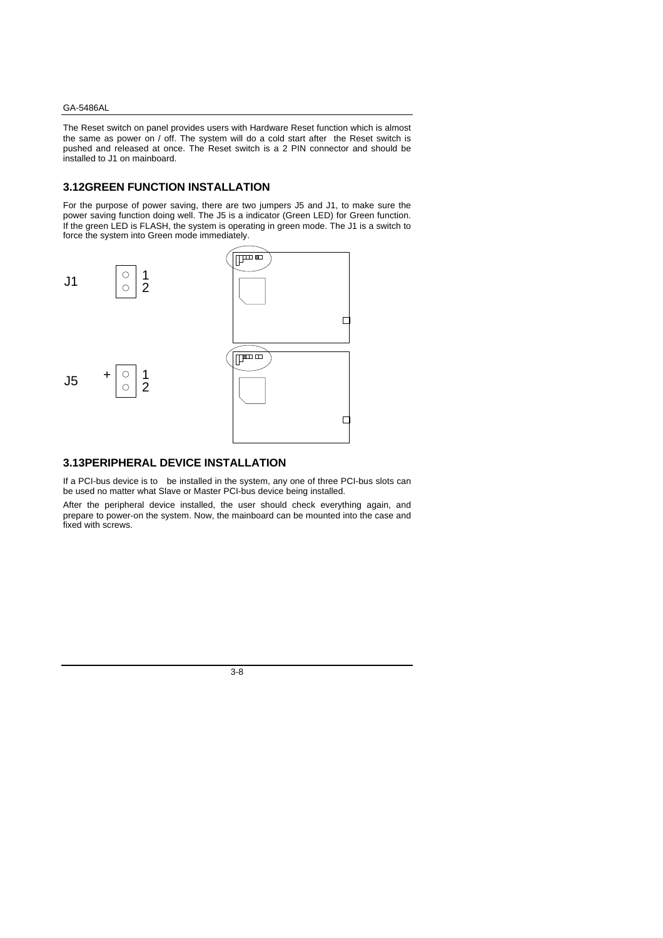The Reset switch on panel provides users with Hardware Reset function which is almost the same as power on / off. The system will do a cold start after the Reset switch is pushed and released at once. The Reset switch is a 2 PIN connector and should be installed to J1 on mainboard.

#### **3.12GREEN FUNCTION INSTALLATION**

For the purpose of power saving, there are two jumpers J5 and J1, to make sure the power saving function doing well. The J5 is a indicator (Green LED) for Green function. If the green LED is FLASH, the system is operating in green mode. The J1 is a switch to force the system into Green mode immediately.



#### **3.13PERIPHERAL DEVICE INSTALLATION**

If a PCI-bus device is to be installed in the system, any one of three PCI-bus slots can be used no matter what Slave or Master PCI-bus device being installed.

After the peripheral device installed, the user should check everything again, and prepare to power-on the system. Now, the mainboard can be mounted into the case and fixed with screws.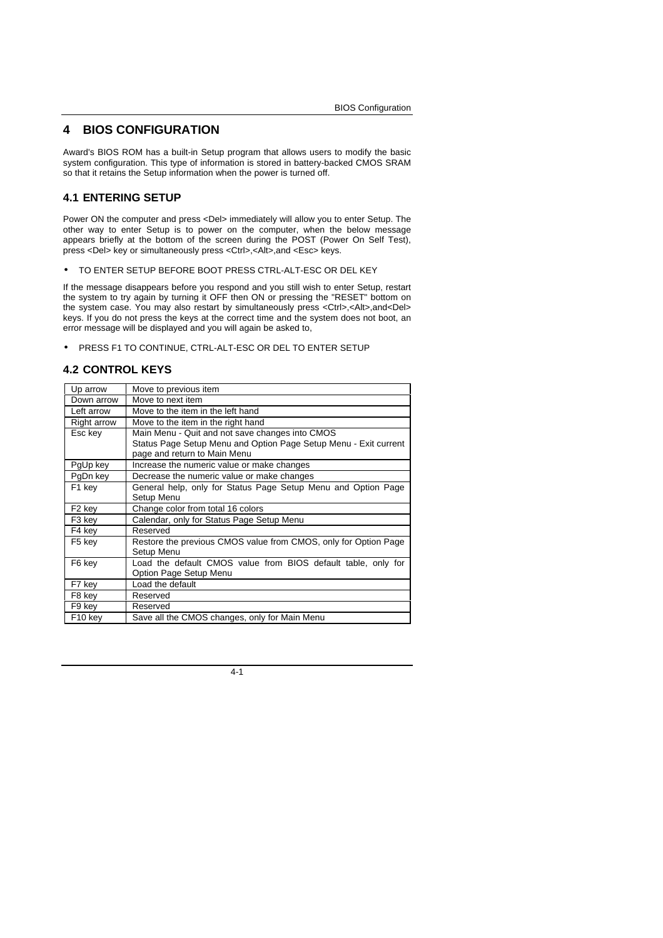## **4 BIOS CONFIGURATION**

Award's BIOS ROM has a built-in Setup program that allows users to modify the basic system configuration. This type of information is stored in battery-backed CMOS SRAM so that it retains the Setup information when the power is turned off.

### **4.1 ENTERING SETUP**

Power ON the computer and press <Del> immediately will allow you to enter Setup. The other way to enter Setup is to power on the computer, when the below message appears briefly at the bottom of the screen during the POST (Power On Self Test), press <Del> key or simultaneously press <Ctrl>,<Alt>,and <Esc> keys.

• TO ENTER SETUP BEFORE BOOT PRESS CTRL-ALT-ESC OR DEL KEY

If the message disappears before you respond and you still wish to enter Setup, restart the system to try again by turning it OFF then ON or pressing the "RESET" bottom on the system case. You may also restart by simultaneously press <Ctrl>,<Alt>,and<Del> keys. If you do not press the keys at the correct time and the system does not boot, an error message will be displayed and you will again be asked to,

• PRESS F1 TO CONTINUE, CTRL-ALT-ESC OR DEL TO ENTER SETUP

#### **4.2 CONTROL KEYS**

| Up arrow            | Move to previous item                                                         |  |  |  |
|---------------------|-------------------------------------------------------------------------------|--|--|--|
| Down arrow          | Move to next item                                                             |  |  |  |
| Left arrow          | Move to the item in the left hand                                             |  |  |  |
| Right arrow         | Move to the item in the right hand                                            |  |  |  |
| Esc key             | Main Menu - Quit and not save changes into CMOS                               |  |  |  |
|                     | Status Page Setup Menu and Option Page Setup Menu - Exit current              |  |  |  |
|                     | page and return to Main Menu                                                  |  |  |  |
| PgUp key            | Increase the numeric value or make changes                                    |  |  |  |
| PgDn key            | Decrease the numeric value or make changes                                    |  |  |  |
| F1 key              | General help, only for Status Page Setup Menu and Option Page                 |  |  |  |
|                     | Setup Menu                                                                    |  |  |  |
| F <sub>2</sub> key  | Change color from total 16 colors                                             |  |  |  |
| F <sub>3</sub> key  | Calendar, only for Status Page Setup Menu                                     |  |  |  |
| F4 key              | Reserved                                                                      |  |  |  |
| F <sub>5</sub> key  | Restore the previous CMOS value from CMOS, only for Option Page<br>Setup Menu |  |  |  |
| F6 key              | Load the default CMOS value from BIOS default table, only for                 |  |  |  |
|                     | Option Page Setup Menu                                                        |  |  |  |
| F7 key              | Load the default                                                              |  |  |  |
| F8 key              | Reserved                                                                      |  |  |  |
| F9 key              | Reserved                                                                      |  |  |  |
| F <sub>10</sub> key | Save all the CMOS changes, only for Main Menu                                 |  |  |  |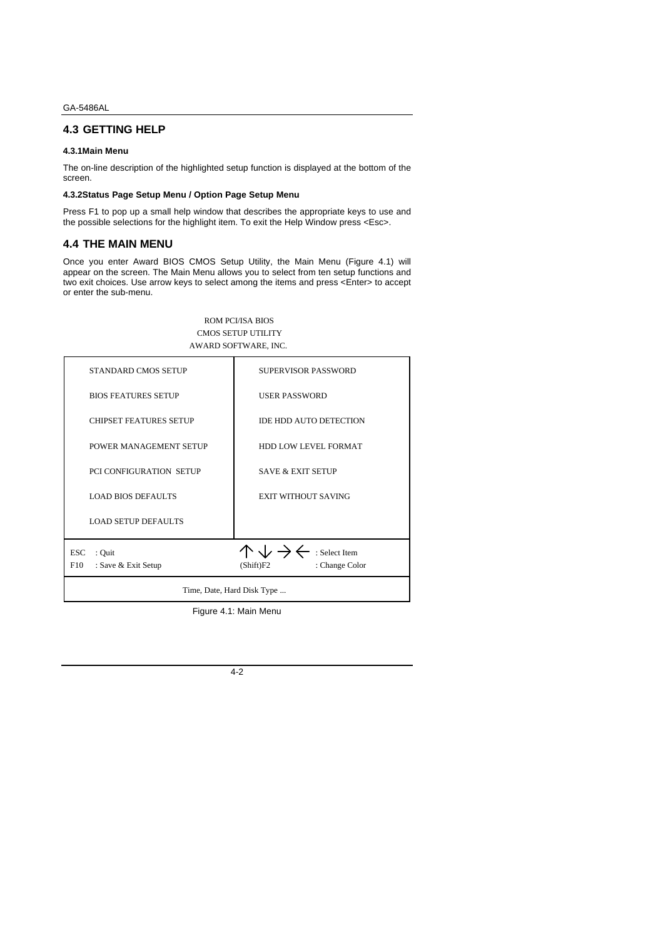## **4.3 GETTING HELP**

#### **4.3.1Main Menu**

The on-line description of the highlighted setup function is displayed at the bottom of the screen.

#### **4.3.2Status Page Setup Menu / Option Page Setup Menu**

Press F1 to pop up a small help window that describes the appropriate keys to use and the possible selections for the highlight item. To exit the Help Window press <Esc>.

#### **4.4 THE MAIN MENU**

Once you enter Award BIOS CMOS Setup Utility, the Main Menu (Figure 4.1) will appear on the screen. The Main Menu allows you to select from ten setup functions and two exit choices. Use arrow keys to select among the items and press <Enter> to accept or enter the sub-menu.

#### ROM PCI/ISA BIOS CMOS SETUP UTILITY AWARD SOFTWARE, INC.

| STANDARD CMOS SETUP                                | SUPERVISOR PASSWORD                                                               |  |
|----------------------------------------------------|-----------------------------------------------------------------------------------|--|
| <b>BIOS FEATURES SETUP</b>                         | <b>USER PASSWORD</b>                                                              |  |
| <b>CHIPSET FEATURES SETUP</b>                      | IDE HDD AUTO DETECTION                                                            |  |
| POWER MANAGEMENT SETUP                             | HDD LOW LEVEL FORMAT                                                              |  |
| PCI CONFIGURATION SETUP                            | <b>SAVE &amp; EXIT SETUP</b>                                                      |  |
| <b>LOAD BIOS DEFAULTS</b>                          | <b>EXIT WITHOUT SAVING</b>                                                        |  |
| <b>LOAD SETUP DEFAULTS</b>                         |                                                                                   |  |
| <b>ESC</b><br>: Quit<br>F10<br>: Save & Exit Setup | $\wedge \vee \rightarrow \leftarrow$ : Select Item<br>: Change Color<br>(Shift)F2 |  |
| Time, Date, Hard Disk Type                         |                                                                                   |  |

Figure 4.1: Main Menu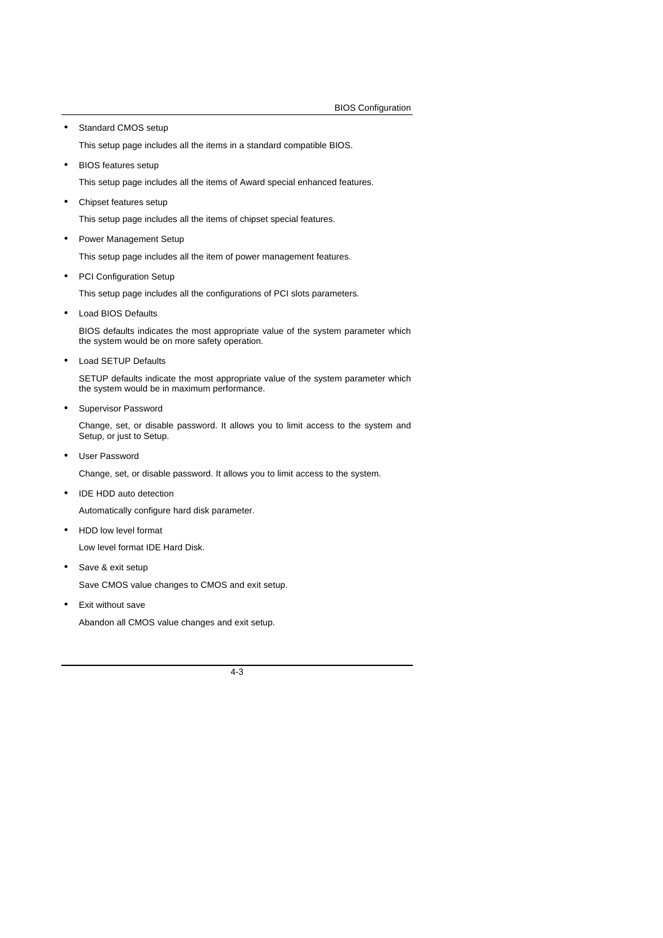• Standard CMOS setup

This setup page includes all the items in a standard compatible BIOS.

• BIOS features setup

This setup page includes all the items of Award special enhanced features.

• Chipset features setup

This setup page includes all the items of chipset special features.

• Power Management Setup

This setup page includes all the item of power management features.

• PCI Configuration Setup

This setup page includes all the configurations of PCI slots parameters.

• Load BIOS Defaults

BIOS defaults indicates the most appropriate value of the system parameter which the system would be on more safety operation.

• Load SETUP Defaults

SETUP defaults indicate the most appropriate value of the system parameter which the system would be in maximum performance.

Supervisor Password

Change, set, or disable password. It allows you to limit access to the system and Setup, or just to Setup.

• User Password

Change, set, or disable password. It allows you to limit access to the system.

• IDE HDD auto detection

Automatically configure hard disk parameter.

• HDD low level format

Low level format IDE Hard Disk.

• Save & exit setup

Save CMOS value changes to CMOS and exit setup.

Exit without save

Abandon all CMOS value changes and exit setup.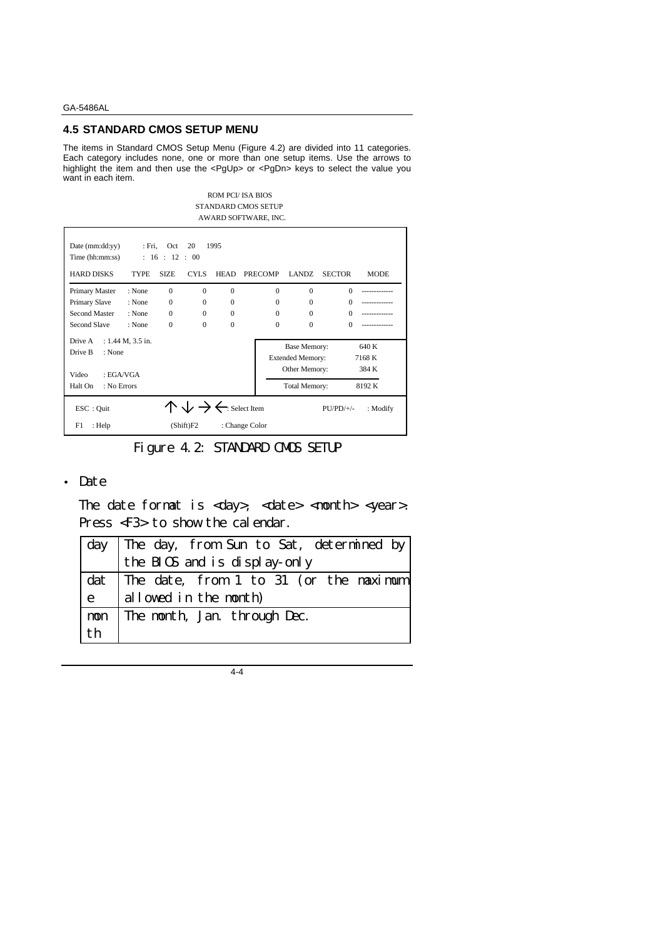## **4.5 STANDARD CMOS SETUP MENU**

The items in Standard CMOS Setup Menu (Figure 4.2) are divided into 11 categories. Each category includes none, one or more than one setup items. Use the arrows to highlight the item and then use the <PgUp> or <PgDn> keys to select the value you want in each item.

> ROM PCI/ ISA BIOS STANDARD CMOS SETUP AWARD SOFTWARE, INC.

| Date (mm:dd:yy)<br>Time (hh:mm:ss) | : Fri,                | Oct<br>: 16 : 12 : 00 | 20                                                 | 1995        |                |                                                                 |               |                          |
|------------------------------------|-----------------------|-----------------------|----------------------------------------------------|-------------|----------------|-----------------------------------------------------------------|---------------|--------------------------|
| <b>HARD DISKS</b>                  | <b>TYPE</b>           | <b>SIZE</b>           | CYLS.                                              | <b>HEAD</b> | PRECOMP        | LANDZ.                                                          | <b>SECTOR</b> | <b>MODE</b>              |
| Primary Master                     | : None                | $\Omega$              | $\Omega$                                           | $\Omega$    | $\Omega$       | $\Omega$                                                        | $\Omega$      |                          |
| Primary Slave                      | : None                | $\Omega$              | $\Omega$                                           | $\Omega$    | $\Omega$       | $\Omega$                                                        | $\Omega$      |                          |
| Second Master                      | : None                | $\Omega$              | $\Omega$                                           | $\Omega$    | $\Omega$       | $\Omega$                                                        | $\Omega$      |                          |
| Second Slave                       | : None                | $\Omega$              | $\Omega$                                           | $\Omega$    | $\Omega$       | $\Omega$                                                        | $\Omega$      |                          |
| Drive A<br>Drive B<br>: None       | : $1.44$ M, $3.5$ in. |                       |                                                    |             |                | <b>Base Memory:</b><br><b>Extended Memory:</b><br>Other Memory: |               | 640 K<br>7168 K<br>384 K |
| Video<br>: EGA/VGA                 |                       |                       |                                                    |             |                |                                                                 |               |                          |
| Halt On<br>: No Errors             |                       |                       |                                                    |             |                | <b>Total Memory:</b>                                            |               | 8192K                    |
| ESC : Quit                         |                       |                       | $\wedge \vee \rightarrow \leftarrow$ : Select Item |             |                |                                                                 | $PU/PD/+/-$   | : Modify                 |
| F1<br>: Help                       |                       |                       | (Shift)F2                                          |             | : Change Color |                                                                 |               |                          |

Figure 4.2: STANDARD CMOS SETUP

## • Date

The date format is  $\langle \text{day} \rangle$ ,  $\langle \text{date} \rangle$   $\langle \text{month} \rangle$   $\langle \text{year} \rangle$ . Press <F3> to show the calendar.

|              | day   The day, from Sun to Sat, determined by |
|--------------|-----------------------------------------------|
|              | the BIOS and is display-only                  |
|              | dat The date, from 1 to 31 (or the maximum    |
| $\mathbf{e}$ | allowed in the month)                         |
|              | mon The month, Jan. through Dec.              |
| th           |                                               |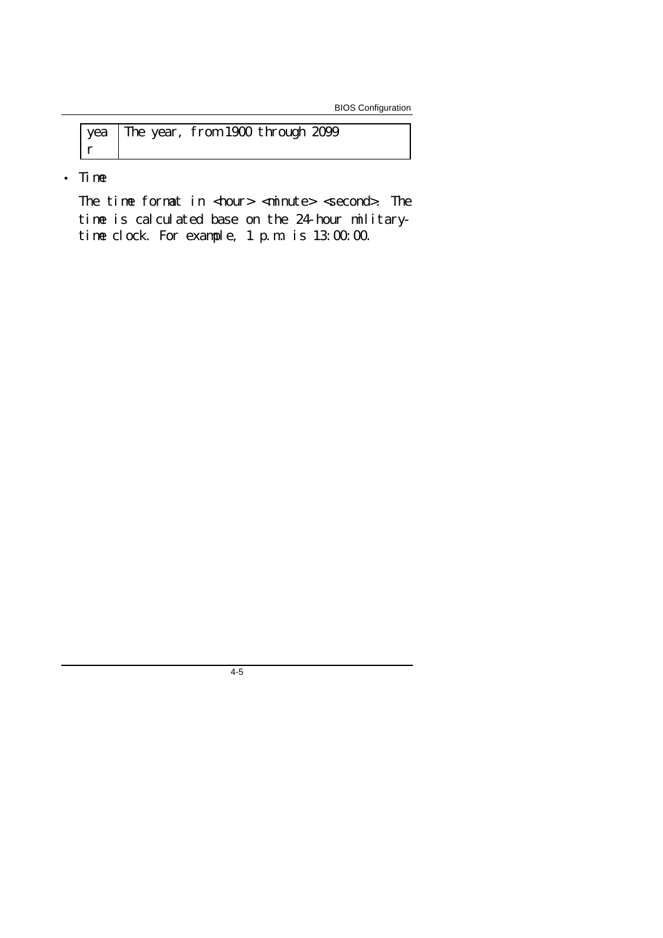BIOS Configuration

|  | yea The year, from 1900 through 2099 |  |
|--|--------------------------------------|--|
|  |                                      |  |

• Time

The time format in  $\langle$ hour>  $\langle$ minute>  $\langle$ second>. The time is calculated base on the 24-hour militarytime clock. For example, 1 p.m. is 13:00:00.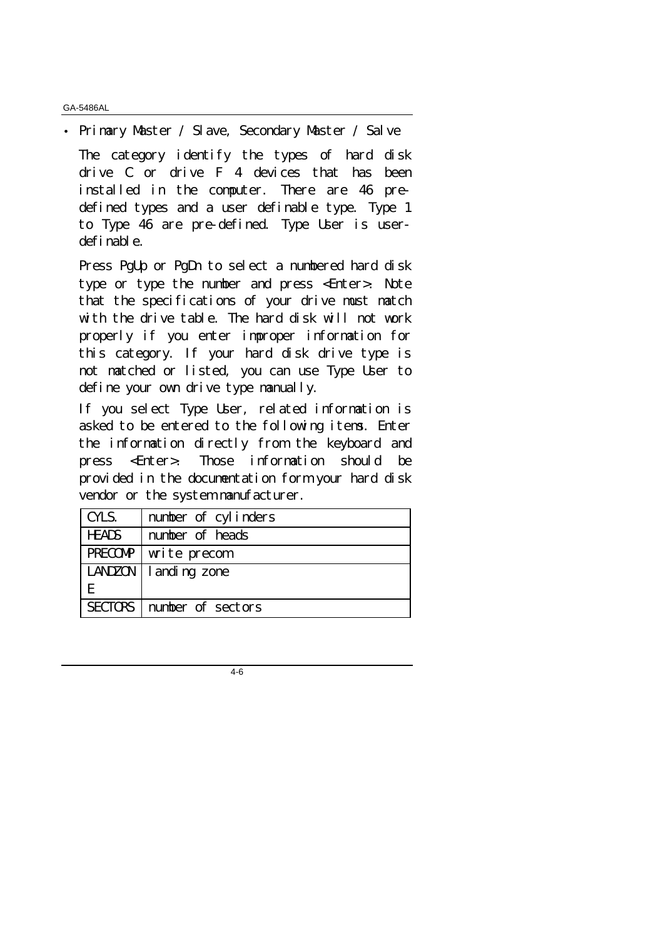• Primary Master / Slave, Secondary Master / Salve The category identify the types of hard disk drive C or drive F 4 devices that has been installed in the computer. There are 46 predefined types and a user definable type. Type 1 to Type 46 are pre-defined. Type User is userdefinable.

Press PgUp or PgDn to select a numbered hard disk type or type the number and press <Enter>. Note that the specifications of your drive must match with the drive table. The hard disk will not work properly if you enter improper information for this category. If your hard disk drive type is not matched or listed, you can use Type User to define your own drive type manually.

If you select Type User, related information is asked to be entered to the following items. Enter the information directly from the keyboard and press <Enter>. Those information should be provided in the documentation form your hard disk vendor or the system manufacturer.

| CYLS.          | number of cylinders |  |
|----------------|---------------------|--|
| <b>HEADS</b>   | number of heads     |  |
| <b>PRECOMP</b> | write precom        |  |
| LANDZON        | landing zone        |  |
| E              |                     |  |
| <b>SECTORS</b> | number of sectors   |  |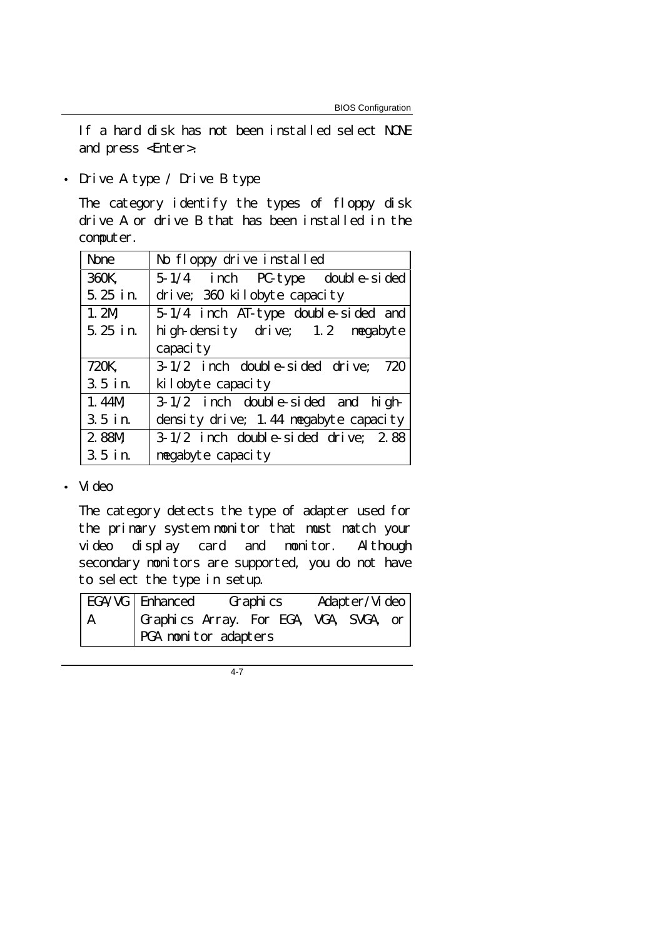If a hard disk has not been installed select NONE and press <Enter>.

• Drive A type / Drive B type

The category identify the types of floppy disk drive A or drive B that has been installed in the computer.

| <b>None</b> | No floppy drive installed             |
|-------------|---------------------------------------|
| 360K,       | $5-1/4$ inch PC-type double-sided     |
| 5.25 in.    | drive; 360 kilobyte capacity          |
| 1.2M        | 5-1/4 inch AT-type double-sided and   |
| $5.25$ in.  | high-density drive; 1.2 megabyte      |
|             | capaci ty                             |
| 720K,       | $3-1/2$ inch double-sided drive; 720  |
| $3.5$ in.   | kilobyte capacity                     |
| 1.44M       | $3-1/2$ inch double-sided and high-   |
| $3.5$ in.   | density drive; 1.44 megabyte capacity |
| 2.88M       | $3-1/2$ inch double-sided drive; 2.88 |
| $3.5$ in.   | megabyte capacity                     |

## • Video

The category detects the type of adapter used for the primary system monitor that must match your video display card and monitor. Although secondary monitors are supported, you do not have to select the type in setup.

|   | $EGA/VG$   Enhanced                    | Graphics |  | Adapter/Video |  |
|---|----------------------------------------|----------|--|---------------|--|
| A | Graphics Array. For EGA, VGA, SVGA, or |          |  |               |  |
|   | <b>PGA</b> monitor adapters            |          |  |               |  |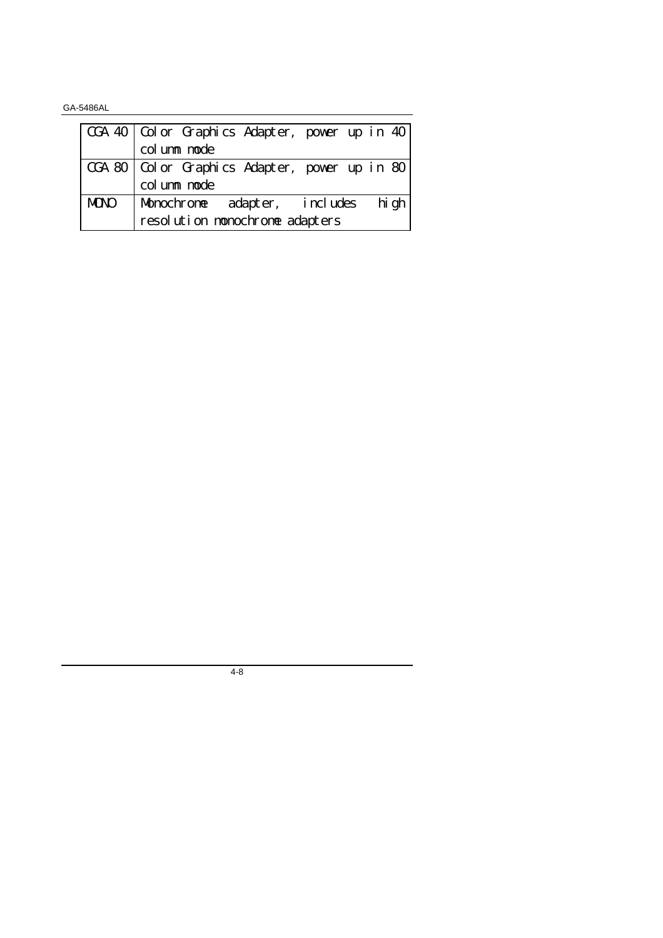|             | CGA 40   Color Graphics Adapter, power up in 40 |
|-------------|-------------------------------------------------|
|             | column mode                                     |
|             | CGA 80   Color Graphics Adapter, power up in 80 |
|             | column mode                                     |
| <b>MDNO</b> | Monochrome adapter, includes high               |
|             | resolution monochrome adapters                  |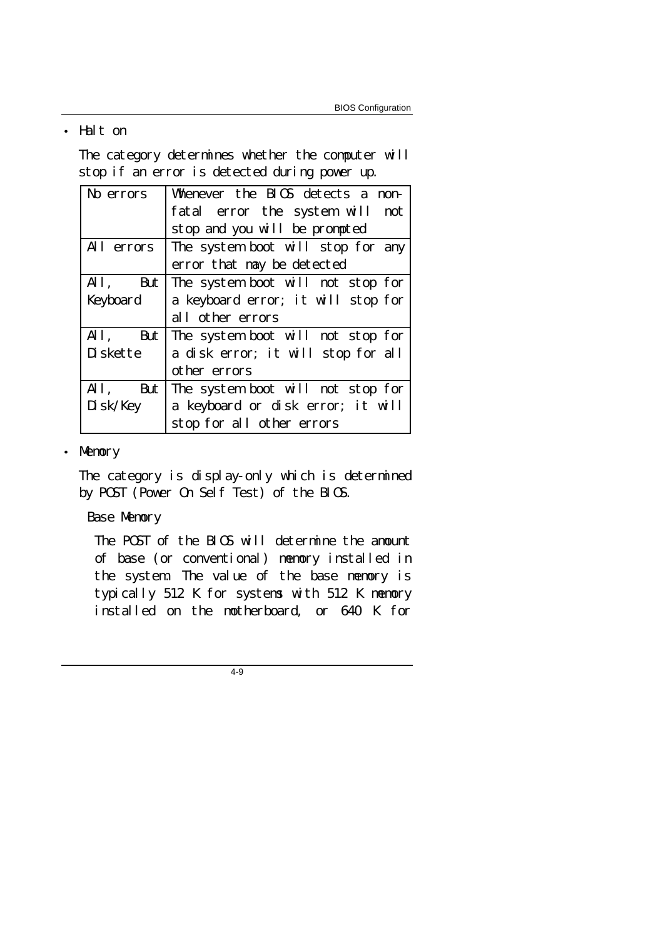## • Halt on

The category determines whether the computer will stop if an error is detected during power up.

| No errors  | Whenever the BIOS detects a non-   |
|------------|------------------------------------|
|            | fatal error the system will not    |
|            | stop and you will be prompted      |
| All errors | The system boot will stop for any  |
|            | error that may be detected         |
| $All,$ But | The system boot will not stop for  |
| Keyboard   | a keyboard error; it will stop for |
|            | all other errors                   |
| $All,$ But | The system boot will not stop for  |
| Diskette   | a disk error; it will stop for all |
|            | other errors                       |
| $All,$ But | The system boot will not stop for  |
| Disk/Key   | a keyboard or disk error; it will  |
|            | stop for all other errors          |

## • Memory

The category is display-only which is determined by POST (Power On Self Test) of the BIOS.

## Base Memory

The POST of the BIOS will determine the amount of base (or conventional) memory installed in the system. The value of the base memory is typically 512 K for systems with 512 K memory installed on the motherboard, or 640 K for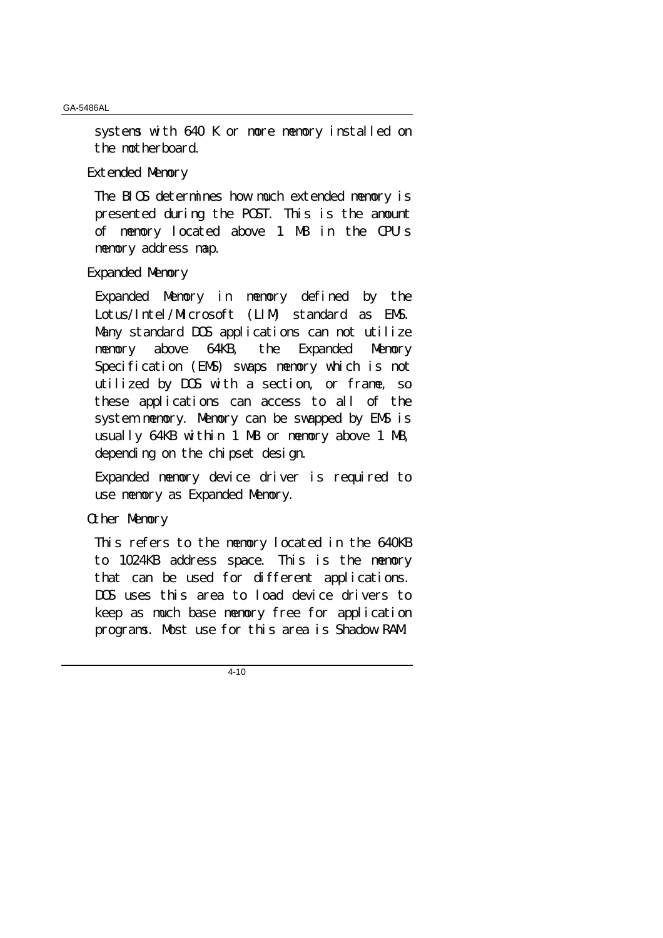systems with 640 K or more memory installed on the motherboard.

Extended Memory

The BIOS determines how much extended memory is presented during the POST. This is the amount of memory located above 1 MB in the CPU's memory address map.

## Expanded Memory

Expanded Memory in memory defined by the Lotus/Intel/Microsoft (LIM) standard as EMS. Many standard DOS applications can not utilize memory above 64KB, the Expanded Memory Specification (EMS) swaps memory which is not utilized by DOS with a section, or frame, so these applications can access to all of the system memory. Memory can be swapped by EMS is usually 64KB within 1 MB or memory above 1 MB, depending on the chipset design.

Expanded memory device driver is required to use memory as Expanded Memory.

## Other Memory

This refers to the memory located in the 640KB to 1024KB address space. This is the memory that can be used for different applications. DOS uses this area to load device drivers to keep as much base memory free for application programs. Most use for this area is Shadow RAM.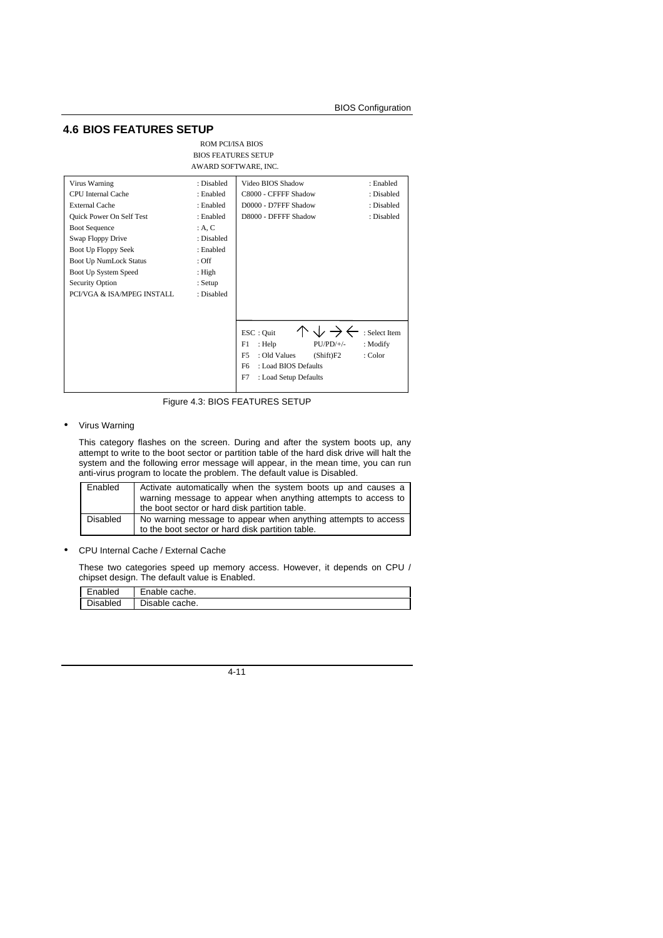### **4.6 BIOS FEATURES SETUP**

| ROM PCI/ISA BIOS           |
|----------------------------|
| <b>BIOS FEATURES SETUP</b> |
| AWARD SOFTWARE, INC.       |

| Virus Warning                 | : Disabled | Video BIOS Shadow               | : Enabled     |
|-------------------------------|------------|---------------------------------|---------------|
| <b>CPU</b> Internal Cache     | : Enabled  | C8000 - CFFFF Shadow            | : Disabled    |
| <b>External Cache</b>         | : Enabled  | D0000 - D7FFF Shadow            | : Disabled    |
| Quick Power On Self Test      | : Enabled  | D8000 - DFFFF Shadow            | : Disabled    |
| <b>Boot Sequence</b>          | : A, C     |                                 |               |
| Swap Floppy Drive             | : Disabled |                                 |               |
| Boot Up Floppy Seek           | : Enabled  |                                 |               |
| <b>Boot Up NumLock Status</b> | : Off      |                                 |               |
| Boot Up System Speed          | : High     |                                 |               |
| Security Option               | : Setup    |                                 |               |
| PCI/VGA & ISA/MPEG INSTALL    | : Disabled |                                 |               |
|                               |            |                                 |               |
|                               |            |                                 |               |
|                               |            | ESC: Ouit                       | : Select Item |
|                               |            | $PU/PD/+/-$<br>F1<br>: Help     | : Modify      |
|                               |            | F5<br>: Old Values<br>(Shift)F2 | : Color       |
|                               |            | F6<br>: Load BIOS Defaults      |               |
|                               |            | F7<br>: Load Setup Defaults     |               |
|                               |            |                                 |               |

Figure 4.3: BIOS FEATURES SETUP

#### • Virus Warning

This category flashes on the screen. During and after the system boots up, any attempt to write to the boot sector or partition table of the hard disk drive will halt the system and the following error message will appear, in the mean time, you can run anti-virus program to locate the problem. The default value is Disabled.

| Enabled  | Activate automatically when the system boots up and causes a<br>warning message to appear when anything attempts to access to<br>the boot sector or hard disk partition table. |
|----------|--------------------------------------------------------------------------------------------------------------------------------------------------------------------------------|
| Disabled | No warning message to appear when anything attempts to access<br>to the boot sector or hard disk partition table.                                                              |

• CPU Internal Cache / External Cache

These two categories speed up memory access. However, it depends on CPU / chipset design. The default value is Enabled.

| Enabled  | Enable cache.  |
|----------|----------------|
| Disabled | Disable cache. |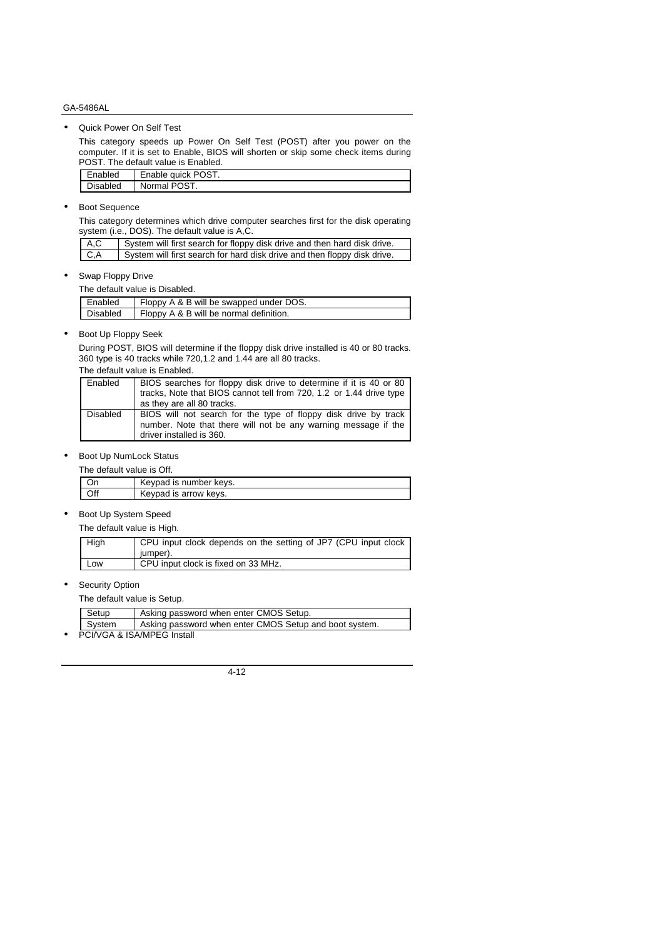• Quick Power On Self Test

This category speeds up Power On Self Test (POST) after you power on the computer. If it is set to Enable, BIOS will shorten or skip some check items during POST. The default value is Enabled.

| Enabled         | Enable quick POST. |
|-----------------|--------------------|
| <b>Disabled</b> | Normal POST.       |

• Boot Sequence

This category determines which drive computer searches first for the disk operating system (i.e., DOS). The default value is A,C.

| A.C | System will first search for floppy disk drive and then hard disk drive. |
|-----|--------------------------------------------------------------------------|
| C,A | System will first search for hard disk drive and then floppy disk drive. |

• Swap Floppy Drive

|         | The default value is Disabled.          |
|---------|-----------------------------------------|
| Enabled | Floppy A & B will be swapped under DOS. |

| l Enabled       | Floppy A & B Will be swapped under DOS. |
|-----------------|-----------------------------------------|
| <b>Disabled</b> | Floppy A & B will be normal definition. |
|                 |                                         |

• Boot Up Floppy Seek

During POST, BIOS will determine if the floppy disk drive installed is 40 or 80 tracks. 360 type is 40 tracks while 720,1.2 and 1.44 are all 80 tracks.

The default value is Enabled.

| Enabled  | BIOS searches for floppy disk drive to determine if it is 40 or 80<br>tracks, Note that BIOS cannot tell from 720, 1.2 or 1.44 drive type<br>as they are all 80 tracks. |
|----------|-------------------------------------------------------------------------------------------------------------------------------------------------------------------------|
| Disabled | BIOS will not search for the type of floppy disk drive by track<br>number. Note that there will not be any warning message if the<br>driver installed is 360.           |

• Boot Up NumLock Status

| The default value is Off. |  |  |
|---------------------------|--|--|
|                           |  |  |

|     | Keypad is number keys. |
|-----|------------------------|
| Off | Keypad is arrow keys.  |
|     |                        |

• Boot Up System Speed

The default value is High.

| High | CPU input clock depends on the setting of JP7 (CPU input clock<br>jumper). |
|------|----------------------------------------------------------------------------|
| Low  | CPU input clock is fixed on 33 MHz.                                        |

• Security Option

The default value is Setup.

| Setup  | Asking password when enter CMOS Setup.                 |
|--------|--------------------------------------------------------|
| System | Asking password when enter CMOS Setup and boot system. |
|        | PCI/VGA & ISA/MPEG Install                             |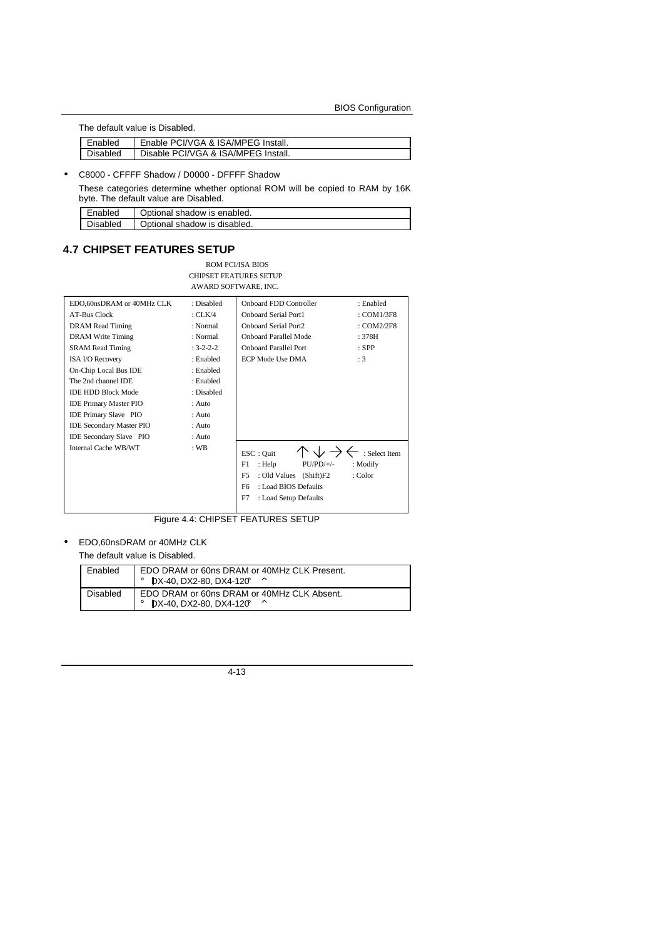The default value is Disabled.

| Enabled  | Enable PCI/VGA & ISA/MPEG Install.  |
|----------|-------------------------------------|
| Disabled | Disable PCI/VGA & ISA/MPEG Install. |

#### • C8000 - CFFFF Shadow / D0000 - DFFFF Shadow

These categories determine whether optional ROM will be copied to RAM by 16K byte. The default value are Disabled.

| Enabled  | Dotional shadow is enabled.  |
|----------|------------------------------|
| Disabled | Optional shadow is disabled. |

## **4.7 CHIPSET FEATURES SETUP**

ROM PCI/ISA BIOS CHIPSET FEATURES SETUP AWARD SOFTWARE, INC.

| EDO,60nsDRAM or 40MHz CLK       | : Disabled        | <b>Onboard FDD Controller</b><br>: Enabled          |
|---------------------------------|-------------------|-----------------------------------------------------|
| <b>AT-Bus Clock</b>             | : $CLK/4$         | <b>Onboard Serial Port1</b><br>: COM1/3F8           |
| <b>DRAM</b> Read Timing         | : Normal          | <b>Onboard Serial Port2</b><br>: $COM2/2F8$         |
| <b>DRAM</b> Write Timing        | : Normal          | <b>Onboard Parallel Mode</b><br>:378H               |
| <b>SRAM Read Timing</b>         | $: 3 - 2 - 2 - 2$ | <b>Onboard Parallel Port</b><br>$:$ SPP             |
| <b>ISA I/O Recovery</b>         | : Enabled         | <b>ECP Mode Use DMA</b><br>:3                       |
| On-Chip Local Bus IDE           | : Enabled         |                                                     |
| The 2nd channel IDE             | : Enabled         |                                                     |
| <b>IDE HDD Block Mode</b>       | : Disabled        |                                                     |
| <b>IDE Primary Master PIO</b>   | $:$ Auto          |                                                     |
| <b>IDE Primary Slave PIO</b>    | : Auto            |                                                     |
| <b>IDE Secondary Master PIO</b> | : Auto            |                                                     |
| <b>IDE Secondary Slave PIO</b>  | : Auto            |                                                     |
| Internal Cache WB/WT            | $:$ WB            | : Select Item<br>ESC: Ouit                          |
|                                 |                   | F1<br>: Help<br>$PU/PD/+/-$<br>: Modify             |
|                                 |                   | F <sub>5</sub><br>: Old Values (Shift)F2<br>: Color |
|                                 |                   | : Load BIOS Defaults<br>F6                          |
|                                 |                   | F7<br>: Load Setup Defaults                         |
|                                 |                   |                                                     |

Figure 4.4: CHIPSET FEATURES SETUP

## • EDO,60nsDRAM or 40MHz CLK

The default value is Disabled.

| Enabled  | EDO DRAM or 60ns DRAM or 40MHz CLK Present.<br>$\mu$ DX-40, DX2-80, DX4-120 |
|----------|-----------------------------------------------------------------------------|
| Disabled | EDO DRAM or 60ns DRAM or 40MHz CLK Absent.<br>DX-40, DX2-80, DX4-120        |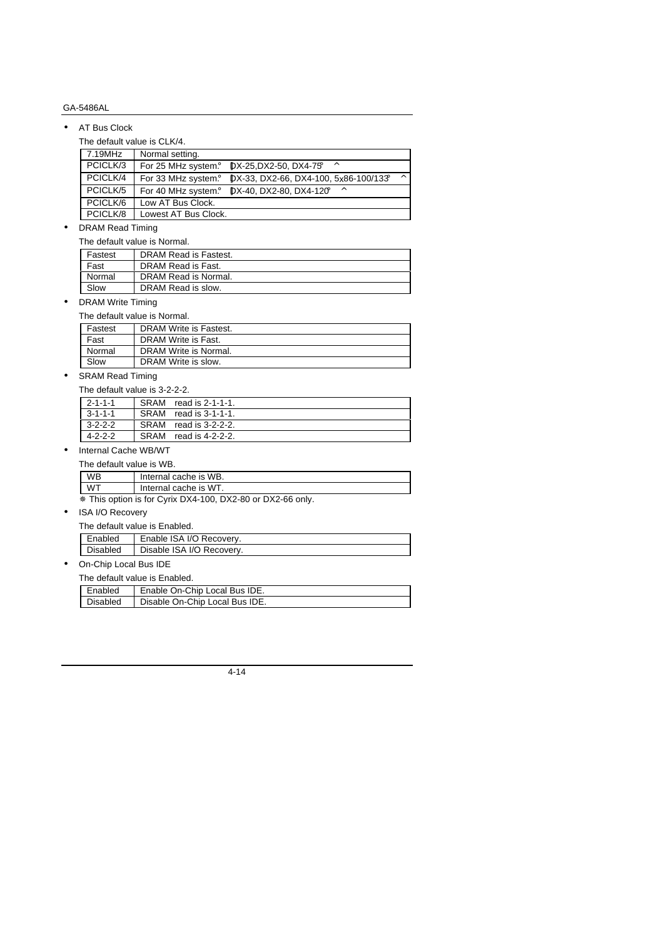#### • AT Bus Clock

The default value is CLK/4.

| 7.19MHz  | Normal setting.      |                                         |          |
|----------|----------------------|-----------------------------------------|----------|
| PCICLK/3 | For 25 MHz system.   | DX-25, DX2-50, DX4-75;<br>$\wedge$      |          |
| PCICLK/4 | For 33 MHz system.   | $DX-33$ , DX2-66, DX4-100, 5x86-100/133 | $\wedge$ |
| PCICLK/5 | For 40 MHz system.   | DX-40, DX2-80, DX4-120<br>∧             |          |
| PCICLK/6 | Low AT Bus Clock.    |                                         |          |
| PCICLK/8 | Lowest AT Bus Clock. |                                         |          |

#### • DRAM Read Timing

The default value is Normal.

| Fastest | DRAM Read is Fastest. |  |
|---------|-----------------------|--|
| Fast    | DRAM Read is Fast.    |  |
| Normal  | DRAM Read is Normal.  |  |
| Slow    | DRAM Read is slow.    |  |

• DRAM Write Timing

#### The default value is Normal.

| Fastest | DRAM Write is Fastest. |
|---------|------------------------|
| Fast    | DRAM Write is Fast.    |
| Normal  | DRAM Write is Normal.  |
| Slow    | DRAM Write is slow.    |

# •  $SRAM Read Timing$ <br>The default value is  $3.2.2.2$

| The default value is 3-2-2-2. |      |                  |  |
|-------------------------------|------|------------------|--|
| 2-1-1-1                       | SRAM | read is 2-1-1-1. |  |
| $3 - 1 - 1 - 1$               | SRAM | read is 3-1-1-1. |  |
| $3-2-2-2$                     | SRAM | read is 3-2-2-2. |  |
| $4 - 2 - 2 - 2$               | SRAM | read is 4-2-2-2. |  |

### • Internal Cache WB/WT

| WR                                                                                                                                                                                                                                                                                                                                        | Internal cache is WB. |  |
|-------------------------------------------------------------------------------------------------------------------------------------------------------------------------------------------------------------------------------------------------------------------------------------------------------------------------------------------|-----------------------|--|
| WT                                                                                                                                                                                                                                                                                                                                        | Internal cache is WT. |  |
| $\mathbf{u}$ , $\mathbf{v}$ , $\mathbf{v}$ , $\mathbf{v}$ , $\mathbf{v}$ , $\mathbf{v}$ , $\mathbf{v}$ , $\mathbf{v}$ , $\mathbf{v}$ , $\mathbf{v}$ , $\mathbf{v}$ , $\mathbf{v}$ , $\mathbf{v}$ , $\mathbf{v}$ , $\mathbf{v}$ , $\mathbf{v}$ , $\mathbf{v}$ , $\mathbf{v}$ , $\mathbf{v}$ , $\mathbf{v}$ , $\mathbf{v}$ , $\mathbf{v}$ , |                       |  |

Ø This option is for Cyrix DX4-100, DX2-80 or DX2-66 only.

### • ISA I/O Recovery

| The default value is Enabled. |          |                           |
|-------------------------------|----------|---------------------------|
|                               | Enabled  | Enable ISA I/O Recovery.  |
|                               | Disabled | Disable ISA I/O Recovery. |

## • On-Chip Local Bus IDE

|            | The default value is Enabled. |  |
|------------|-------------------------------|--|
| Enabled    | Enable On-Chip Local Bus IDE. |  |
| l Disabled | Disable On-Chin Local Bus IDE |  |

| Disabled   Disable On-Chip Local Bus IDE. |
|-------------------------------------------|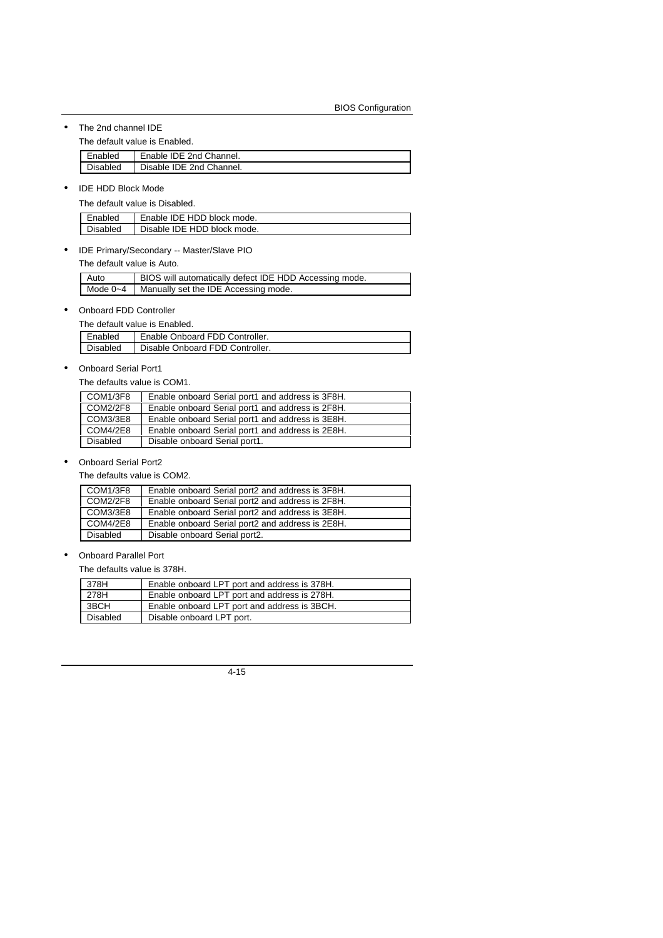• The 2nd channel IDE

The default value is Enabled.

| Enabled  | Enable IDE 2nd Channel.  |
|----------|--------------------------|
| Disabled | Disable IDE 2nd Channel. |

• IDE HDD Block Mode

The default value is Disabled.

| Enabled  | Enable IDE HDD block mode.  |
|----------|-----------------------------|
| Disabled | Disable IDE HDD block mode. |

• IDE Primary/Secondary -- Master/Slave PIO

The default value is Auto.

| Auto | BIOS will automatically defect IDE HDD Accessing mode. |
|------|--------------------------------------------------------|
|      | Mode $0 - 4$   Manually set the IDE Accessing mode.    |

• Onboard FDD Controller

| The default value is Enabled. |                                 |  |
|-------------------------------|---------------------------------|--|
| Enabled                       | Enable Onboard FDD Controller.  |  |
| Disabled                      | Disable Onboard FDD Controller. |  |

• Onboard Serial Port1

The defaults value is COM1.

| COM1/3F8        | Enable onboard Serial port1 and address is 3F8H. |
|-----------------|--------------------------------------------------|
| <b>COM2/2F8</b> | Enable onboard Serial port1 and address is 2F8H. |
| COM3/3E8        | Enable onboard Serial port1 and address is 3E8H. |
| <b>COM4/2E8</b> | Enable onboard Serial port1 and address is 2E8H. |
| <b>Disabled</b> | Disable onboard Serial port1.                    |
|                 |                                                  |

### • Onboard Serial Port2

The defaults value is COM2.

| COM1/3F8        | Enable onboard Serial port2 and address is 3F8H. |
|-----------------|--------------------------------------------------|
| <b>COM2/2F8</b> | Enable onboard Serial port2 and address is 2F8H. |
| COM3/3E8        | Enable onboard Serial port2 and address is 3E8H. |
| <b>COM4/2E8</b> | Enable onboard Serial port2 and address is 2E8H. |
| <b>Disabled</b> | Disable onboard Serial port2.                    |

• Onboard Parallel Port

The defaults value is 378H.

| 378H     | Enable onboard LPT port and address is 378H. |
|----------|----------------------------------------------|
| 278H     | Enable onboard LPT port and address is 278H. |
| 3BCH     | Enable onboard LPT port and address is 3BCH. |
| Disabled | Disable onboard LPT port.                    |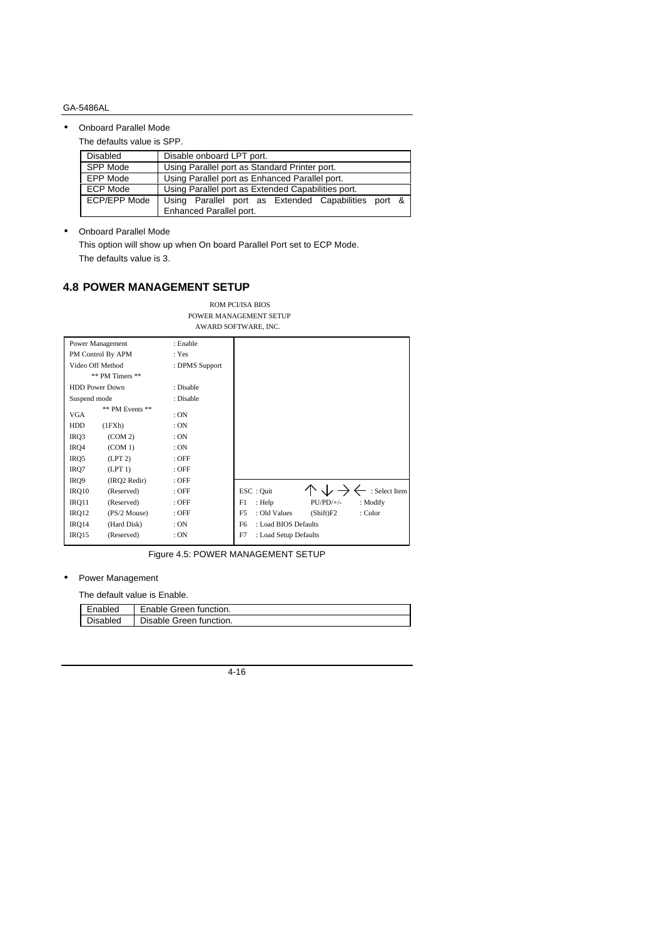• Onboard Parallel Mode

The defaults value is SPP.

| <b>Disabled</b> | Disable onboard LPT port.                           |
|-----------------|-----------------------------------------------------|
| SPP Mode        | Using Parallel port as Standard Printer port.       |
| EPP Mode        | Using Parallel port as Enhanced Parallel port.      |
| ECP Mode        | Using Parallel port as Extended Capabilities port.  |
| ECP/EPP Mode    | Using Parallel port as Extended Capabilities port & |
|                 | Enhanced Parallel port.                             |

• Onboard Parallel Mode

This option will show up when On board Parallel Port set to ECP Mode. The defaults value is 3.

## **4.8 POWER MANAGEMENT SETUP**

|                       |                   |                | AWARD SOFTWARE, INC.                                   |
|-----------------------|-------------------|----------------|--------------------------------------------------------|
| Power Management      |                   | : Enable       |                                                        |
|                       | PM Control By APM | : Yes          |                                                        |
| Video Off Method      |                   | : DPMS Support |                                                        |
|                       | ** PM Timers **   |                |                                                        |
| <b>HDD Power Down</b> |                   | : Disable      |                                                        |
| Suspend mode          |                   | : Disable      |                                                        |
| VGA                   | ** PM Events **   | :ON            |                                                        |
| <b>HDD</b>            | (1FXh)            | :ON            |                                                        |
| IRQ3                  | (COM 2)           | :ON            |                                                        |
| IRQ4                  | (COM 1)           | :ON            |                                                        |
| IRQ5                  | (LPT 2)           | $:$ OFF        |                                                        |
| IRQ7                  | (LPT 1)           | $:$ OFF        |                                                        |
| IRQ9                  | (IRQ2 Redir)      | : OFF          |                                                        |
| IRQ10                 | (Reserved)        | $:$ OFF        | : Select Item<br>ESC: Quit                             |
| IRQ11                 | (Reserved)        | $:$ OFF        | F1<br>$PU/PD/+/-$<br>: Modify<br>: Help                |
| IRQ12                 | $(PS/2$ Mouse)    | $:$ OFF        | F <sub>5</sub><br>: Old Values<br>: Color<br>(Shift)F2 |
| IRQ14                 | (Hard Disk)       | :ON            | : Load BIOS Defaults<br>F <sub>6</sub>                 |
| IRQ15                 | (Reserved)        | :ON            | F7<br>: Load Setup Defaults                            |

POWER MANAGEMENT SETUP AWARD SOFTWARE, INC.

ROM PCI/ISA BIOS

Figure 4.5: POWER MANAGEMENT SETUP

### • Power Management

The default value is Enable.

| Enabled  | Enable Green function.  |
|----------|-------------------------|
| Disabled | Disable Green function. |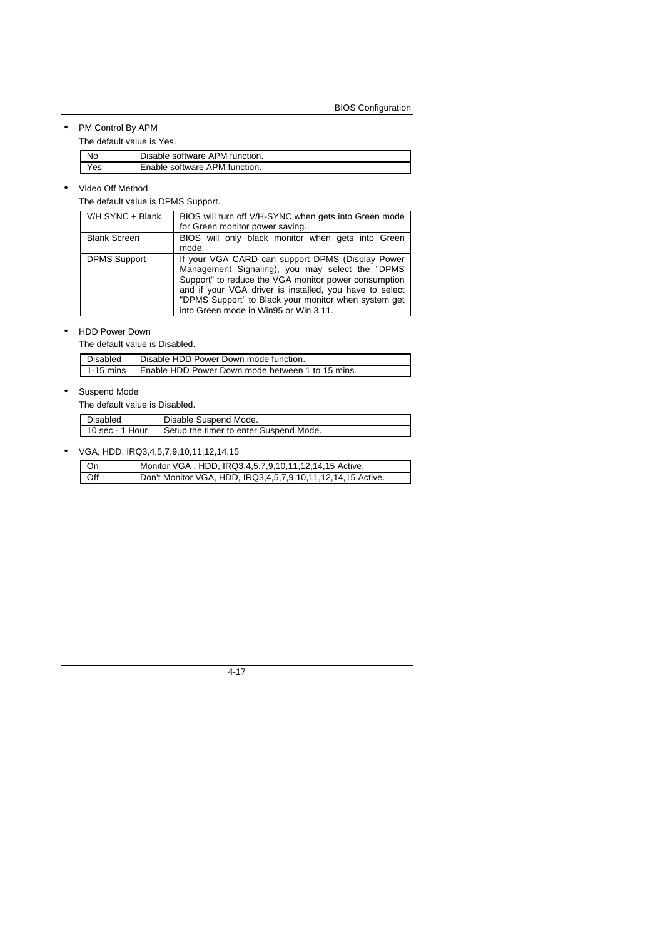## • PM Control By APM

The default value is Yes.

| Nc  | Disable software APM function. |
|-----|--------------------------------|
| 'es | Enable software APM function.  |

#### • Video Off Method

The default value is DPMS Support.

| V/H SYNC + Blank    | BIOS will turn off V/H-SYNC when gets into Green mode<br>for Green monitor power saving.                                                                                                                                                                                                                                |
|---------------------|-------------------------------------------------------------------------------------------------------------------------------------------------------------------------------------------------------------------------------------------------------------------------------------------------------------------------|
| <b>Blank Screen</b> | BIOS will only black monitor when gets into Green<br>mode.                                                                                                                                                                                                                                                              |
| <b>DPMS Support</b> | If your VGA CARD can support DPMS (Display Power<br>Management Signaling), you may select the "DPMS<br>Support" to reduce the VGA monitor power consumption<br>and if your VGA driver is installed, you have to select<br>"DPMS Support" to Black your monitor when system get<br>into Green mode in Win95 or Win 3.11. |

#### • HDD Power Down

The default value is Disabled.

| Disabled | Disable HDD Power Down mode function.                        |
|----------|--------------------------------------------------------------|
|          | 1-15 mins   Enable HDD Power Down mode between 1 to 15 mins. |

#### • Suspend Mode

The default value is Disabled.

| Disabled        | Disable Suspend Mode.                  |
|-----------------|----------------------------------------|
| 10 sec - 1 Hour | Setup the timer to enter Suspend Mode. |

## • VGA, HDD, IRQ3,4,5,7,9,10,11,12,14,15

| On  | Monitor VGA, HDD, IRQ3,4,5,7,9,10,11,12,14,15 Active.       |
|-----|-------------------------------------------------------------|
| Off | Don't Monitor VGA, HDD, IRQ3,4,5,7,9,10,11,12,14,15 Active. |

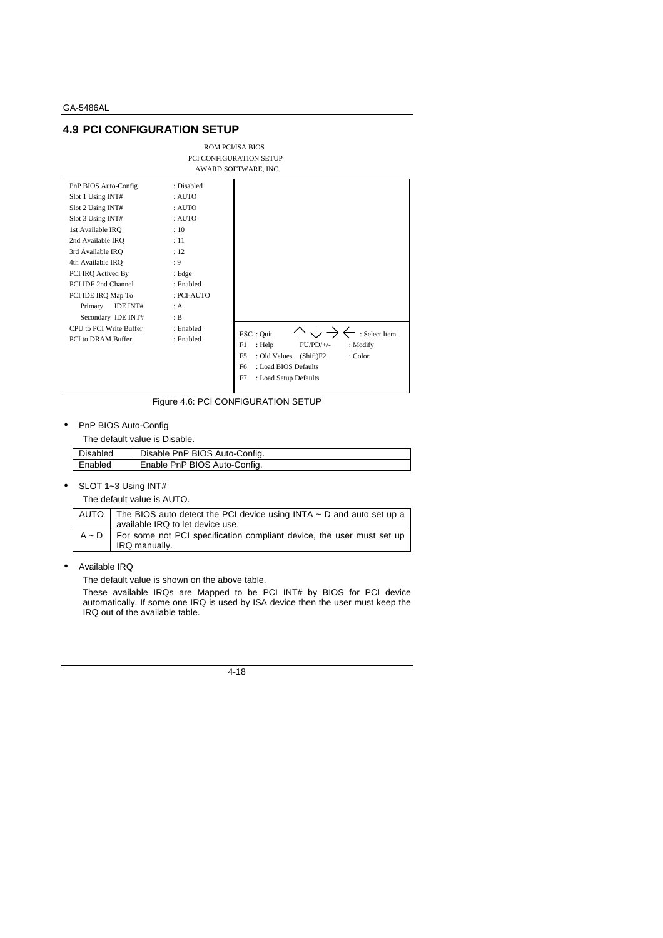## **4.9 PCI CONFIGURATION SETUP**

|                                                                                                                                                                                                                                                                                                                                          |                                                                                                                                                      | PCI CONFIGURATION SETUP<br>AWARD SOFTWARE, INC.                                                                                                                                                       |
|------------------------------------------------------------------------------------------------------------------------------------------------------------------------------------------------------------------------------------------------------------------------------------------------------------------------------------------|------------------------------------------------------------------------------------------------------------------------------------------------------|-------------------------------------------------------------------------------------------------------------------------------------------------------------------------------------------------------|
| PnP BIOS Auto-Config<br>Slot 1 Using INT#<br>Slot 2 Using INT#<br>Slot 3 Using INT#<br>1st Available IRO<br>2nd Available IRO<br>3rd Available IRO<br>4th Available IRO<br>PCI IRQ Actived By<br>PCI IDE 2nd Channel<br>PCI IDE IRQ Map To<br>IDE INT#<br>Primary<br>Secondary IDE INT#<br>CPU to PCI Write Buffer<br>PCI to DRAM Buffer | : Disabled<br>: AUTO<br>: AUTO<br>: AUTO<br>: 10<br>: 11<br>: 12<br>: 9<br>: Edge<br>: Enabled<br>: PCI-AUTO<br>: A<br>: B<br>: Enabled<br>: Enabled | : Select Item<br>ESC: Quit<br>: Help<br>$PU/PD/+/-$<br>: Modify<br>F1<br>: Old Values (Shift)F2<br>: Color<br>F <sub>5</sub><br>: Load BIOS Defaults<br>F <sub>6</sub><br>F7<br>: Load Setup Defaults |

ROM PCI/ISA BIOS

Figure 4.6: PCI CONFIGURATION SETUP

• PnP BIOS Auto-Config

The default value is Disable.

| Disabled | Disable PnP BIOS Auto-Config. |
|----------|-------------------------------|
| Enabled  | Enable PnP BIOS Auto-Config.  |

• SLOT 1~3 Using INT#

The default value is AUTO.

| AUTO $\parallel$ The BIOS auto detect the PCI device using INTA $\sim$ D and auto set up a |
|--------------------------------------------------------------------------------------------|
| available IRQ to let device use.                                                           |
| $A \sim D$   For some not PCI specification compliant device, the user must set up         |
| IRQ manually.                                                                              |

• Available IRQ

The default value is shown on the above table.

These available IRQs are Mapped to be PCI INT# by BIOS for PCI device automatically. If some one IRQ is used by ISA device then the user must keep the IRQ out of the available table.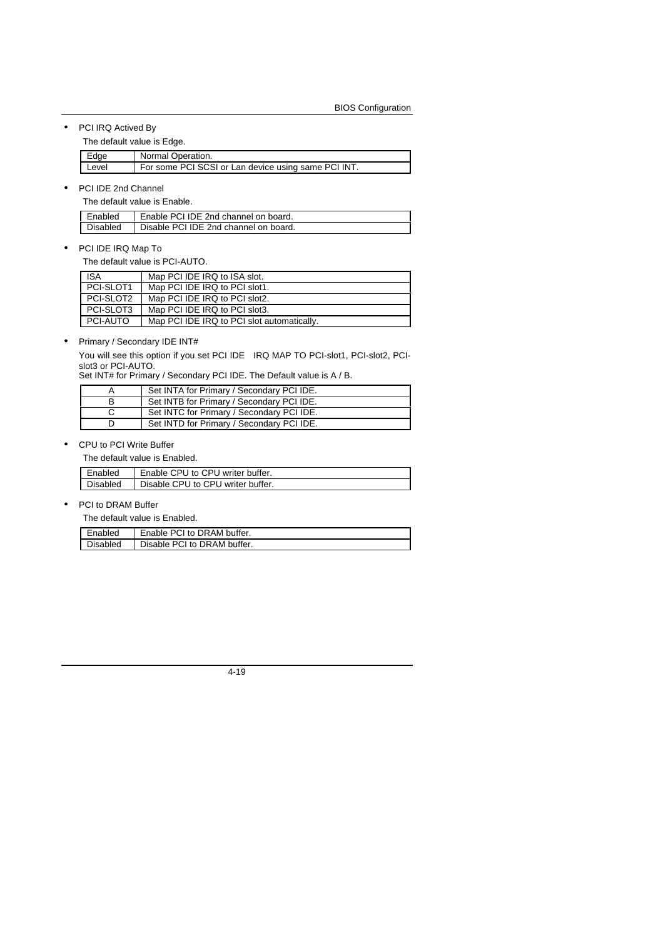• PCI IRQ Actived By

The default value is Edge.

| Edge  | Normal Operation.                                   |
|-------|-----------------------------------------------------|
| Level | For some PCI SCSI or Lan device using same PCI INT. |

• PCI IDE 2nd Channel

The default value is Enable.

| Enabled  | Enable PCI IDE 2nd channel on board.  |
|----------|---------------------------------------|
| Disabled | Disable PCI IDE 2nd channel on board. |

• PCI IDE IRQ Map To

The default value is PCI-AUTO.

| <b>ISA</b> | Map PCI IDE IRQ to ISA slot.               |
|------------|--------------------------------------------|
| PCI-SLOT1  | Map PCI IDE IRQ to PCI slot1.              |
| PCI-SLOT2  | Map PCI IDE IRQ to PCI slot2.              |
| PCI-SLOT3  | Map PCI IDE IRQ to PCI slot3.              |
| PCI-AUTO   | Map PCI IDE IRQ to PCI slot automatically. |

#### • Primary / Secondary IDE INT#

You will see this option if you set PCI IDE IRQ MAP TO PCI-slot1, PCI-slot2, PCIslot3 or PCI-AUTO.

Set INT# for Primary / Secondary PCI IDE. The Default value is A / B.

| Set INTA for Primary / Secondary PCI IDE. |
|-------------------------------------------|
| Set INTB for Primary / Secondary PCI IDE. |
| Set INTC for Primary / Secondary PCI IDE. |
| Set INTD for Primary / Secondary PCI IDE. |

#### • CPU to PCI Write Buffer

The default value is Enabled.

| Enabled  | Enable CPU to CPU writer buffer.  |
|----------|-----------------------------------|
| Disabled | Disable CPU to CPU writer buffer. |

#### • PCI to DRAM Buffer

The default value is Enabled.

| Enabled  | Enable PCI to DRAM buffer.  |
|----------|-----------------------------|
| Disabled | Disable PCI to DRAM buffer. |

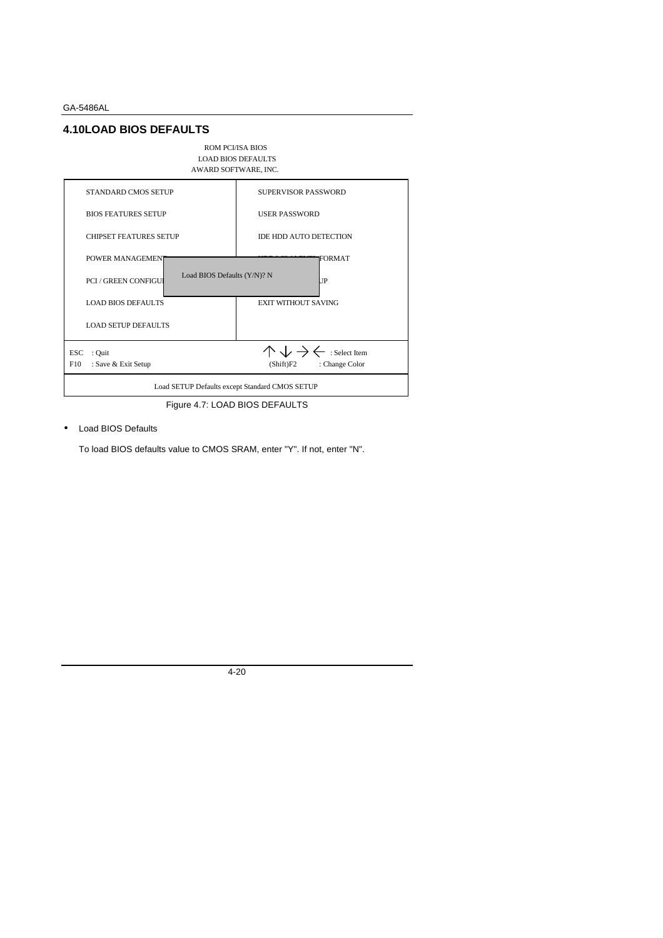## **4.10LOAD BIOS DEFAULTS**



Figure 4.7: LOAD BIOS DEFAULTS

• Load BIOS Defaults

To load BIOS defaults value to CMOS SRAM, enter "Y". If not, enter "N".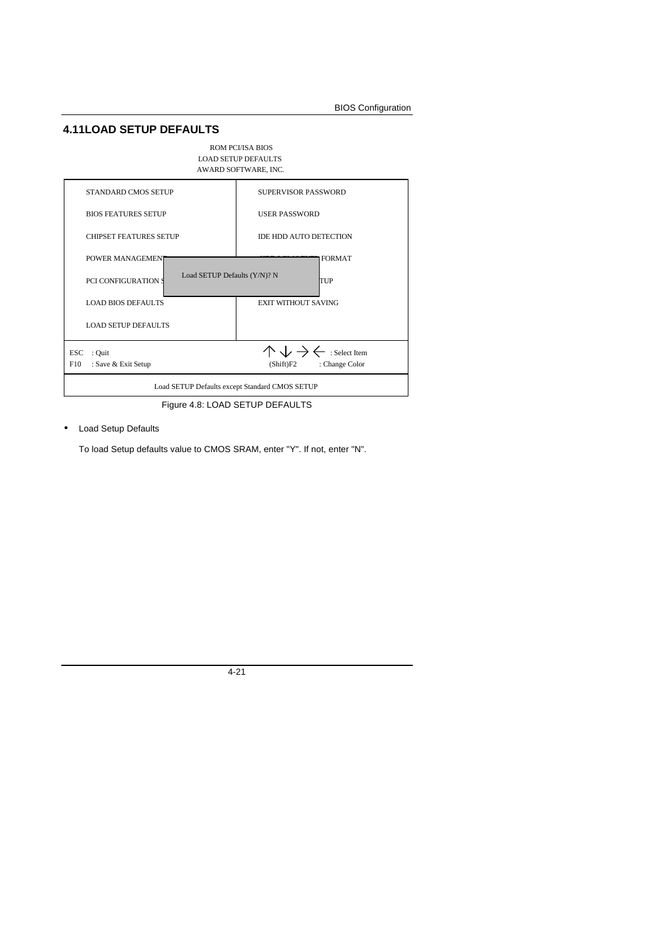## **4.11LOAD SETUP DEFAULTS**

#### ROM PCI/ISA BIOS LOAD SETUP DEFAULTS



Figure 4.8: LOAD SETUP DEFAULTS

#### • Load Setup Defaults

To load Setup defaults value to CMOS SRAM, enter "Y". If not, enter "N".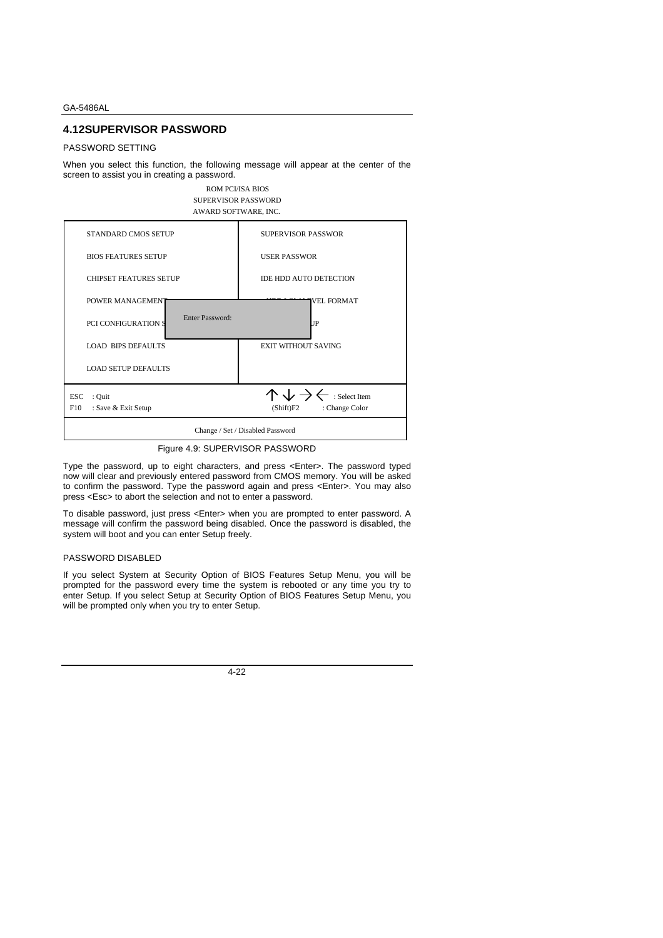## **4.12SUPERVISOR PASSWORD**

#### PASSWORD SETTING

When you select this function, the following message will appear at the center of the screen to assist you in creating a password.



Figure 4.9: SUPERVISOR PASSWORD

Type the password, up to eight characters, and press <Enter>. The password typed now will clear and previously entered password from CMOS memory. You will be asked to confirm the password. Type the password again and press <Enter>. You may also press <Esc> to abort the selection and not to enter a password.

To disable password, just press <Enter> when you are prompted to enter password. A message will confirm the password being disabled. Once the password is disabled, the system will boot and you can enter Setup freely.

#### PASSWORD DISABLED

If you select System at Security Option of BIOS Features Setup Menu, you will be prompted for the password every time the system is rebooted or any time you try to enter Setup. If you select Setup at Security Option of BIOS Features Setup Menu, you will be prompted only when you try to enter Setup.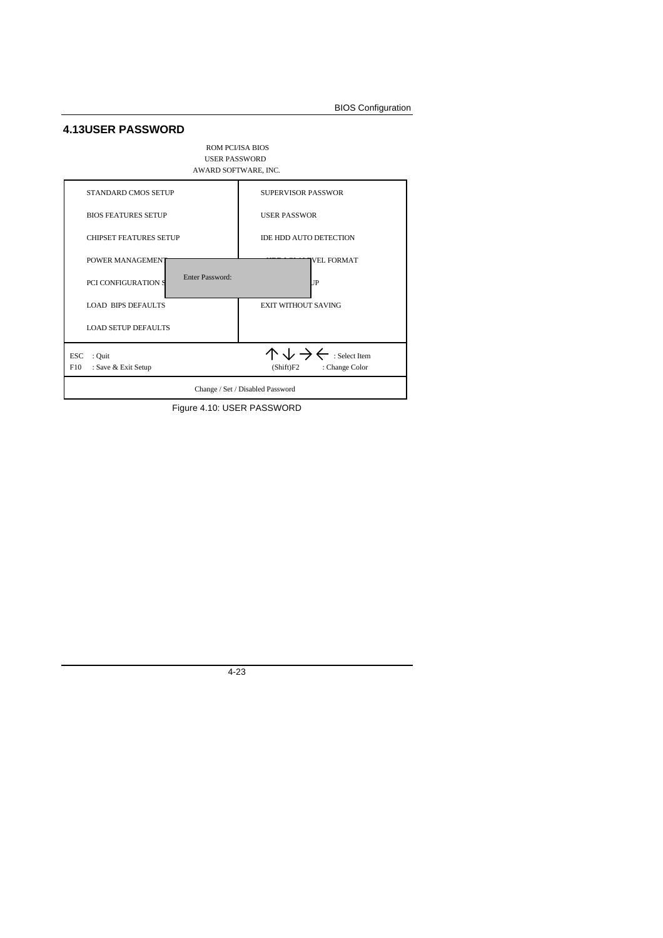## **4.13USER PASSWORD**



Figure 4.10: USER PASSWORD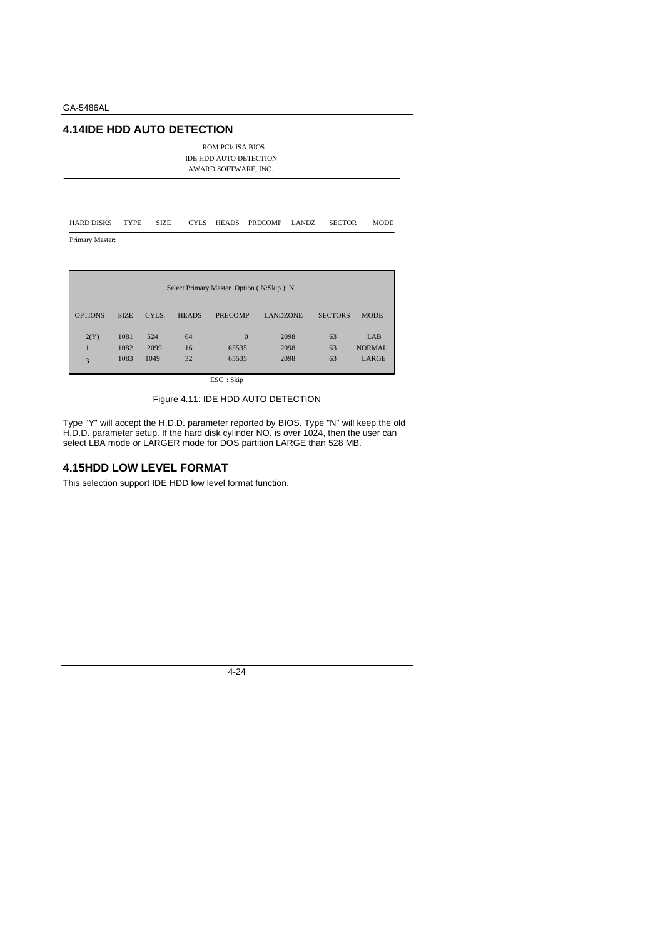## **4.14IDE HDD AUTO DETECTION**

ROM PCI/ ISA BIOS IDE HDD AUTO DETECTION AWARD SOFTWARE, INC.

| <b>HARD DISKS</b> | <b>TYPE</b> | <b>SIZE</b> | <b>CYLS</b>  | <b>HEADS</b>              | <b>PRECOMP</b>                           | <b>LANDZ</b> | <b>SECTOR</b>  | <b>MODE</b>   |
|-------------------|-------------|-------------|--------------|---------------------------|------------------------------------------|--------------|----------------|---------------|
| Primary Master:   |             |             |              |                           |                                          |              |                |               |
|                   |             |             |              |                           |                                          |              |                |               |
|                   |             |             |              |                           | Select Primary Master Option (N:Skip): N |              |                |               |
| <b>OPTIONS</b>    | <b>SIZE</b> | CYLS.       | <b>HEADS</b> | <b>PRECOMP</b>            | <b>LANDZONE</b>                          |              | <b>SECTORS</b> | <b>MODE</b>   |
| 2(Y)              | 1081        | 524         | 64           |                           | $\Omega$                                 | 2098         | 63             | LAB           |
| $\mathbf{1}$      | 1082        | 2099        | 16           | 65535                     |                                          | 2098         | 63             | <b>NORMAL</b> |
| 3                 | 1083        | 1049        | 32           | 65535                     |                                          | 2098         | 63             | <b>LARGE</b>  |
|                   |             |             |              | $\text{ESC}: \text{skip}$ |                                          |              |                |               |

Figure 4.11: IDE HDD AUTO DETECTION

Type "Y" will accept the H.D.D. parameter reported by BIOS. Type "N" will keep the old H.D.D. parameter setup. If the hard disk cylinder NO. is over 1024, then the user can select LBA mode or LARGER mode for DOS partition LARGE than 528 MB.

### **4.15HDD LOW LEVEL FORMAT**

This selection support IDE HDD low level format function.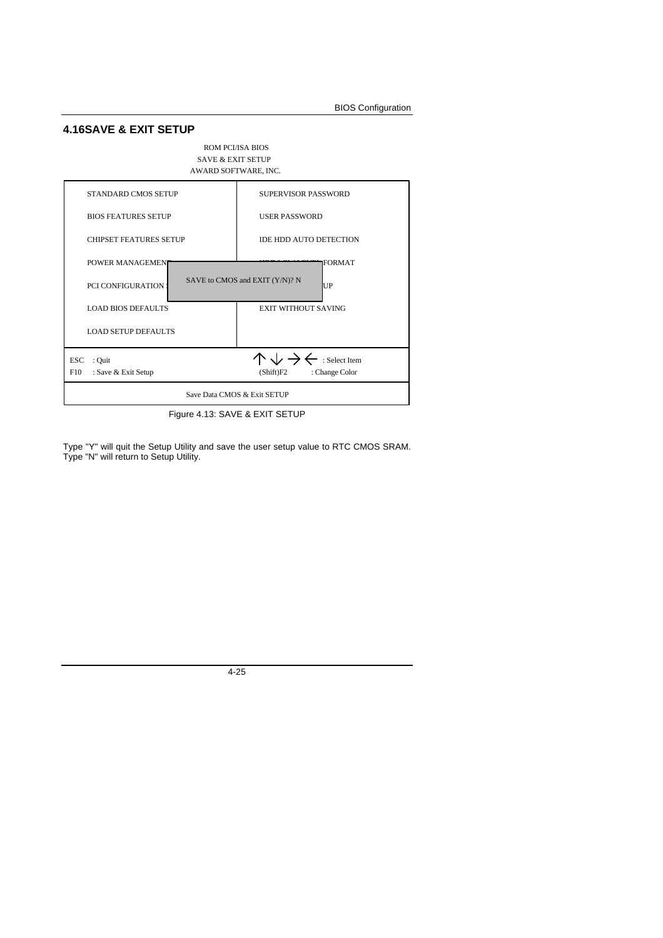## **4.16SAVE & EXIT SETUP**

#### ROM PCI/ISA BIOS SAVE & EXIT SETUP AWARD SOFTWARE, INC.



Figure 4.13: SAVE & EXIT SETUP

Type "Y" will quit the Setup Utility and save the user setup value to RTC CMOS SRAM. Type "N" will return to Setup Utility.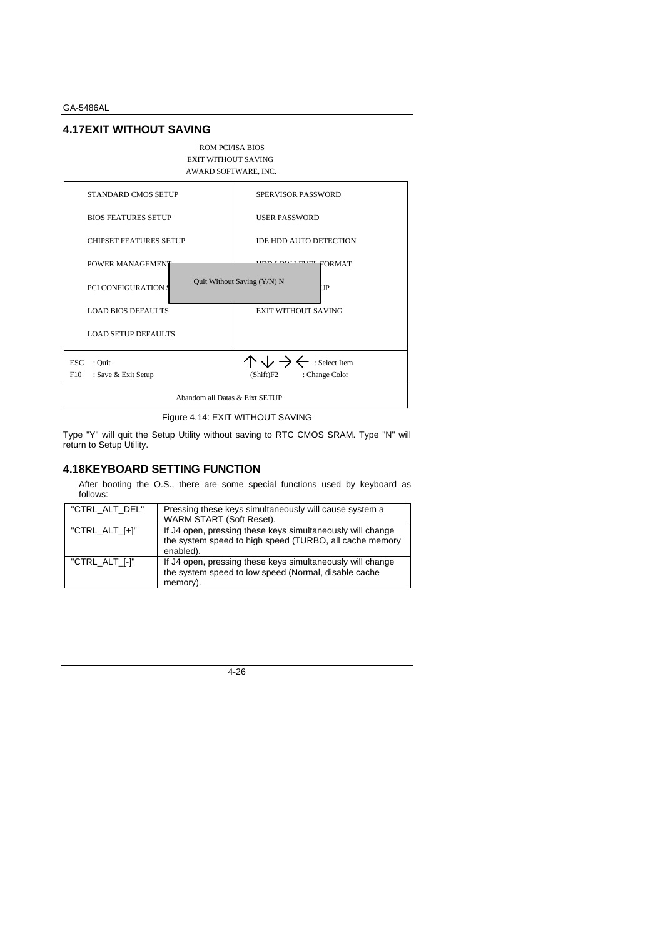### **4.17EXIT WITHOUT SAVING**

#### ROM PCI/ISA BIOS EXIT WITHOUT SAVING AWARD SOFTWARE, INC.



Figure 4.14: EXIT WITHOUT SAVING

Type "Y" will quit the Setup Utility without saving to RTC CMOS SRAM. Type "N" will return to Setup Utility.

### **4.18KEYBOARD SETTING FUNCTION**

After booting the O.S., there are some special functions used by keyboard as follows:

| "CTRL ALT DEL"    | Pressing these keys simultaneously will cause system a<br>WARM START (Soft Reset).                                                 |
|-------------------|------------------------------------------------------------------------------------------------------------------------------------|
| $"CTRL_ALT_{+}$ " | If J4 open, pressing these keys simultaneously will change<br>the system speed to high speed (TURBO, all cache memory<br>enabled). |
| "CTRL ALT [-]"    | If J4 open, pressing these keys simultaneously will change<br>the system speed to low speed (Normal, disable cache<br>memory).     |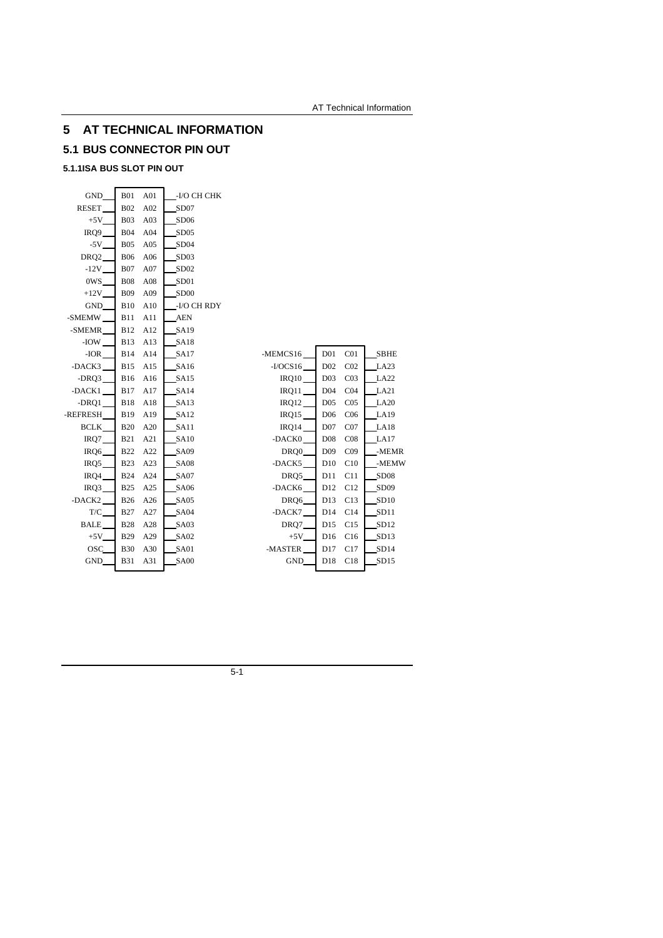## **5 AT TECHNICAL INFORMATION**

## **5.1 BUS CONNECTOR PIN OUT**

## **5.1.1ISA BUS SLOT PIN OUT**

| GND                | <b>B01</b> | A01 | -I/O CH CHK      |            |                 |                 |                  |
|--------------------|------------|-----|------------------|------------|-----------------|-----------------|------------------|
| <b>RESET</b>       | <b>B02</b> | A02 | SD07             |            |                 |                 |                  |
| $+5V$              | <b>B03</b> | A03 | SD <sub>06</sub> |            |                 |                 |                  |
| IRQ9               | <b>B04</b> | A04 | SD05             |            |                 |                 |                  |
| $-5V$              | <b>B05</b> | A05 | SD <sub>04</sub> |            |                 |                 |                  |
| DRQ <sub>2</sub>   | <b>B06</b> | A06 | SD <sub>03</sub> |            |                 |                 |                  |
| $-12V$             | <b>B07</b> | A07 | SD <sub>02</sub> |            |                 |                 |                  |
| 0WS                | <b>B08</b> | A08 | SD <sub>01</sub> |            |                 |                 |                  |
| $+12V$             | <b>B09</b> | A09 | SD <sub>00</sub> |            |                 |                 |                  |
| <b>GND</b>         | <b>B10</b> | A10 | -I/O CH RDY      |            |                 |                 |                  |
| -SMEMW             | <b>B11</b> | A11 | <b>AEN</b>       |            |                 |                 |                  |
| -SMEMR             | <b>B12</b> | A12 | SA19             |            |                 |                 |                  |
| -IOW               | <b>B13</b> | A13 | <b>SA18</b>      |            |                 |                 |                  |
| $-IOR$             | <b>B14</b> | A14 | SA17             | -MEMCS16   | D <sub>01</sub> | CO <sub>1</sub> | SBHE             |
| -DACK3             | <b>B15</b> | A15 | <b>SA16</b>      | $-I/OCS16$ | D02             | CO <sub>2</sub> | LA23             |
| $-DRQ3$            | <b>B16</b> | A16 | <b>SA15</b>      | IRQ10      | D <sub>03</sub> | CO <sub>3</sub> | LA22             |
| -DACK1             | <b>B17</b> | A17 | SA14             | IRQ11      | D <sub>04</sub> | CO <sub>4</sub> | LA21             |
| $-DRQ1$            | <b>B18</b> | A18 | SA13             | IRQ12      | D <sub>05</sub> | CO <sub>5</sub> | LA20             |
| -REFRESH           | <b>B19</b> | A19 | <b>SA12</b>      | IRQ15      | D <sub>06</sub> | C <sub>06</sub> | LA19             |
| BCLK               | <b>B20</b> | A20 | SA11             | IRQ14      | D07             | CO7             | LA18             |
| IRQ7               | <b>B21</b> | A21 | <b>SA10</b>      | -DACK0     | D <sub>08</sub> | CO8             | LA17             |
| IRQ6               | <b>B22</b> | A22 | <b>SA09</b>      | DRQ0       | D <sub>09</sub> | CO9             | -MEMR            |
| IRQ5               | <b>B23</b> | A23 | <b>SA08</b>      | -DACK5     | D10             | C10             | -MEMW            |
| IRQ4               | <b>B24</b> | A24 | SA07             | DRQ5       | D11             | C11             | SD <sub>08</sub> |
| IRQ3               | <b>B25</b> | A25 | <b>SA06</b>      | -DACK6     | D12             | C12             | SD <sub>09</sub> |
| -DACK <sub>2</sub> | <b>B26</b> | A26 | SA05             | DRQ6       | D13             | C13             | SD10             |
| T/C                | <b>B27</b> | A27 | SA04             | -DACK7     | D14             | C14             | SD11             |
| <b>BALE</b>        | <b>B28</b> | A28 | SA03             | DRQ7       | D15             | C15             | SD12             |
| $+5V$              | <b>B29</b> | A29 | SA02             | $+5V$      | D16             | C16             | SD <sub>13</sub> |
| OSC                | <b>B30</b> | A30 | SA01             | -MASTER    | D17             | C17             | SD14             |
| GND                | <b>B31</b> | A31 | <b>SA00</b>      | GND        | D18             | C18             | SD15             |
|                    |            |     |                  |            |                 |                 |                  |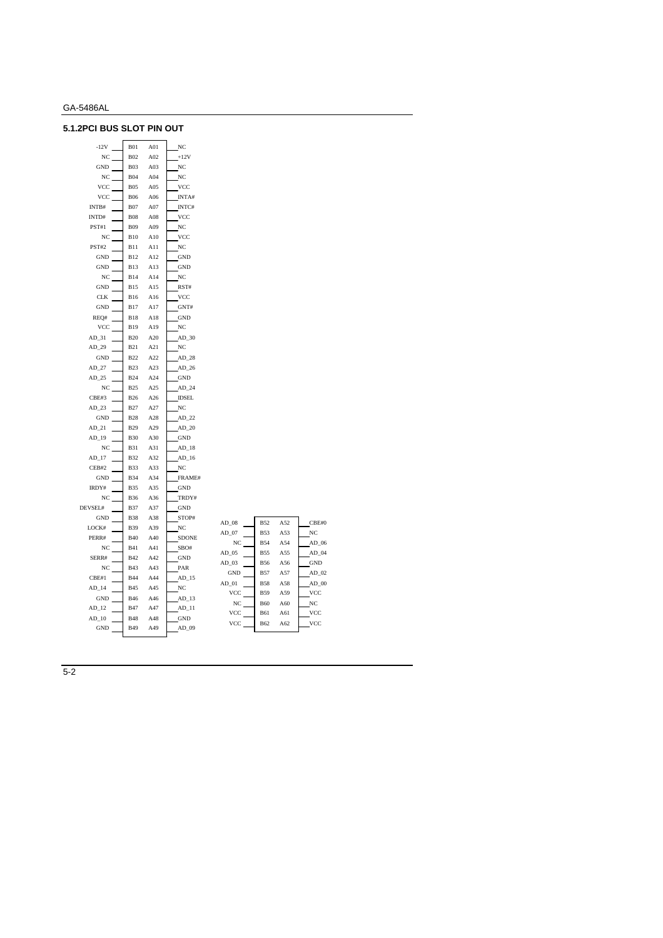## **5.1.2PCI BUS SLOT PIN OUT**

| $-12V$               | <b>B01</b> | A01 | NC                   |         |            |    |
|----------------------|------------|-----|----------------------|---------|------------|----|
| NC                   | <b>B02</b> | A02 | $+12V$               |         |            |    |
| GND                  | <b>B03</b> | A03 | $_{\mathrm{NC}}$     |         |            |    |
| NC                   | <b>B04</b> | A04 | NC                   |         |            |    |
| VCC                  | <b>B05</b> | A05 | VCC                  |         |            |    |
| <b>VCC</b>           | <b>B06</b> | A06 | INTA#                |         |            |    |
| INTB#                | <b>B07</b> | A07 | INTC#                |         |            |    |
| INTD#                | <b>B08</b> | A08 | <b>VCC</b>           |         |            |    |
| PST#1                | <b>B09</b> | A09 | NC                   |         |            |    |
| NC                   | B10        | A10 | VCC                  |         |            |    |
| PST#2                | <b>B11</b> | A11 | NC                   |         |            |    |
| <b>GND</b>           | <b>B12</b> | A12 | <b>GND</b>           |         |            |    |
| GND                  | <b>B13</b> | A13 | GND                  |         |            |    |
| NC                   | <b>B14</b> | A14 | $_{\mathrm{NC}}$     |         |            |    |
| $\operatorname{GND}$ | <b>B15</b> | A15 | RST#                 |         |            |    |
| CLK                  | <b>B16</b> | A16 | <b>VCC</b>           |         |            |    |
| GND                  | <b>B17</b> | A17 | GNT#                 |         |            |    |
| REQ#                 | <b>B18</b> | A18 | <b>GND</b>           |         |            |    |
| VCC                  | <b>B19</b> | A19 | NC                   |         |            |    |
| $AD_31$              | <b>B20</b> | A20 | $AD_30$              |         |            |    |
| $AD_29$              | <b>B21</b> | A21 | NC                   |         |            |    |
| GND                  | <b>B22</b> | A22 | $AD_28$              |         |            |    |
| $AD_27$              | <b>B23</b> | A23 | $AD_26$              |         |            |    |
| $AD_25$              | <b>B24</b> | A24 | GND                  |         |            |    |
| NC                   | <b>B25</b> | A25 | $AD_24$              |         |            |    |
| CBE#3                | <b>B26</b> | A26 | <b>IDSEL</b>         |         |            |    |
| $AD_23$              | <b>B27</b> | A27 | $_{\mathrm{NC}}$     |         |            |    |
| GND                  | <b>B28</b> | A28 | $AD_22$              |         |            |    |
| $AD_21$              | <b>B29</b> | A29 | $AD_20$              |         |            |    |
| $AD_19$              | <b>B30</b> | A30 | <b>GND</b>           |         |            |    |
| NC                   | <b>B31</b> | A31 | $AD_18$              |         |            |    |
| $AD_17$              | <b>B32</b> | A32 | $AD_16$              |         |            |    |
| CEB#2                | <b>B33</b> | A33 | $_{\mathrm{NC}}$     |         |            |    |
| GND                  | <b>B34</b> | A34 | FRAME#               |         |            |    |
| IRDY#                | <b>B35</b> | A35 | $\operatorname{GND}$ |         |            |    |
| NC                   | <b>B36</b> | A36 | TRDY#                |         |            |    |
| DEVSEL#              | <b>B37</b> | A37 | <b>GND</b>           |         |            |    |
| GND                  | <b>B38</b> | A38 | STOP#                | $AD_08$ | <b>B52</b> | A5 |
| LOCK#                | <b>B39</b> | A39 | NC                   | $AD_07$ | <b>B53</b> | A5 |
| PERR#                | <b>B40</b> | A40 | <b>SDONE</b>         | NC      | <b>B54</b> | A5 |
| $_{\mathrm{NC}}$     | <b>B41</b> | A41 | SBO#                 | $AD_05$ | <b>B55</b> | A5 |
| SERR#                | <b>B42</b> | A42 | $\operatorname{GND}$ | AD 03   | <b>B56</b> | A5 |
| $_{\mathrm{NC}}$     | <b>B43</b> | A43 | PAR                  | GND     | <b>B57</b> | A5 |
| CBE#1                | <b>B44</b> | A44 | $AD_15$              | $AD_01$ | <b>B58</b> | A5 |
| $AD_14$              | <b>B45</b> | A45 | NC                   | VCC     | <b>B59</b> | A5 |
| GND                  | <b>B46</b> | A46 | $AD_13$              | NC      | <b>B60</b> | A6 |
| $AD_12$              | <b>B47</b> | A47 | $AD_11$              | VCC     | <b>B61</b> | A6 |
| $AD_10$              | <b>B48</b> | A48 | $\operatorname{GND}$ | VCC     | <b>B62</b> | A6 |
| $\operatorname{GND}$ | <b>B49</b> | A49 | AD_09                |         |            |    |

| AD 08          | B52        | A52 | CBE#0      |
|----------------|------------|-----|------------|
| AD 07          | <b>B53</b> | A53 | NC         |
| N <sub>C</sub> | <b>B54</b> | A54 | AD 06      |
| $AD$ 05        | <b>B55</b> | A55 | AD 04      |
| AD 03          | <b>B56</b> | A56 | <b>GND</b> |
| <b>GND</b>     | <b>B57</b> | A57 | AD 02      |
| AD 01          | <b>B58</b> | A58 | $AD$ 00    |
| <b>VCC</b>     | <b>B59</b> | A59 | <b>VCC</b> |
| N <sub>C</sub> | <b>B60</b> | A60 | NC         |
| <b>VCC</b>     | <b>B61</b> | A61 | <b>VCC</b> |
| <b>VCC</b>     | <b>B62</b> | A62 | <b>VCC</b> |
|                |            |     |            |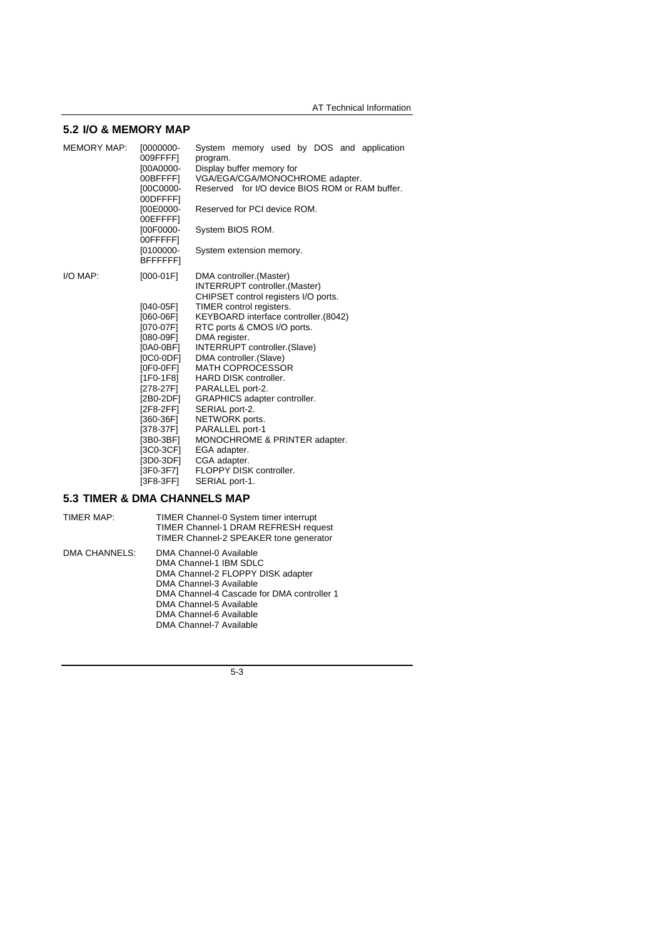### **5.2 I/O & MEMORY MAP**

| <b>MEMORY MAP:</b> | $[0000000-$<br>009FFFF]<br>[00A0000-<br>00BFFFFI<br>[00C0000-<br>00DFFFF]<br>[00E0000-<br>00EFFFFI<br>[00F0000-<br>00FFFFFI<br>$[0100000 -$<br><b>BFFFFFFI</b>                                                                                                  | System memory used by DOS and application<br>program.<br>Display buffer memory for<br>VGA/EGA/CGA/MONOCHROME adapter.<br>Reserved for I/O device BIOS ROM or RAM buffer.<br>Reserved for PCI device ROM.<br>System BIOS ROM.<br>System extension memory.                                                                                                                                                                                                                                                                                                        |
|--------------------|-----------------------------------------------------------------------------------------------------------------------------------------------------------------------------------------------------------------------------------------------------------------|-----------------------------------------------------------------------------------------------------------------------------------------------------------------------------------------------------------------------------------------------------------------------------------------------------------------------------------------------------------------------------------------------------------------------------------------------------------------------------------------------------------------------------------------------------------------|
| I/O MAP:           | $[000-01F]$<br>[040-05F]<br>[060-06F]<br>[070-07F]<br>$[080-09F]$<br>$[0A0-0BF]$<br>[0C0-0DF]<br>$[0F0-0FF]$<br>$[1F0-1F8]$<br>[278-27F]<br>[2B0-2DF]<br>[2F8-2FF]<br>[360-36F]<br>[378-37F]<br>$[3B0-3BF]$<br>[3C0-3CF]<br>[3D0-3DF]<br>[3F0-3F7]<br>[3F8-3FF] | DMA controller. (Master)<br>INTERRUPT controller.(Master)<br>CHIPSET control registers I/O ports.<br>TIMER control registers.<br>KEYBOARD interface controller. (8042)<br>RTC ports & CMOS I/O ports.<br>DMA register.<br>INTERRUPT controller. (Slave)<br>DMA controller. (Slave)<br><b>MATH COPROCESSOR</b><br>HARD DISK controller.<br>PARALLEL port-2.<br>GRAPHICS adapter controller.<br>SERIAL port-2.<br>NETWORK ports.<br>PARALLEL port-1<br>MONOCHROME & PRINTER adapter.<br>EGA adapter.<br>CGA adapter.<br>FLOPPY DISK controller.<br>SERIAL port-1. |

## **5.3 TIMER & DMA CHANNELS MAP**

TIMER MAP: TIMER Channel-0 System timer interrupt TIMER Channel-1 DRAM REFRESH request TIMER Channel-2 SPEAKER tone generator DMA CHANNELS: DMA Channel-0 Available DMA Channel-1 IBM SDLC DMA Channel-2 FLOPPY DISK adapter DMA Channel-3 Available DMA Channel-4 Cascade for DMA controller 1 DMA Channel-5 Available DMA Channel-6 Available DMA Channel-7 Available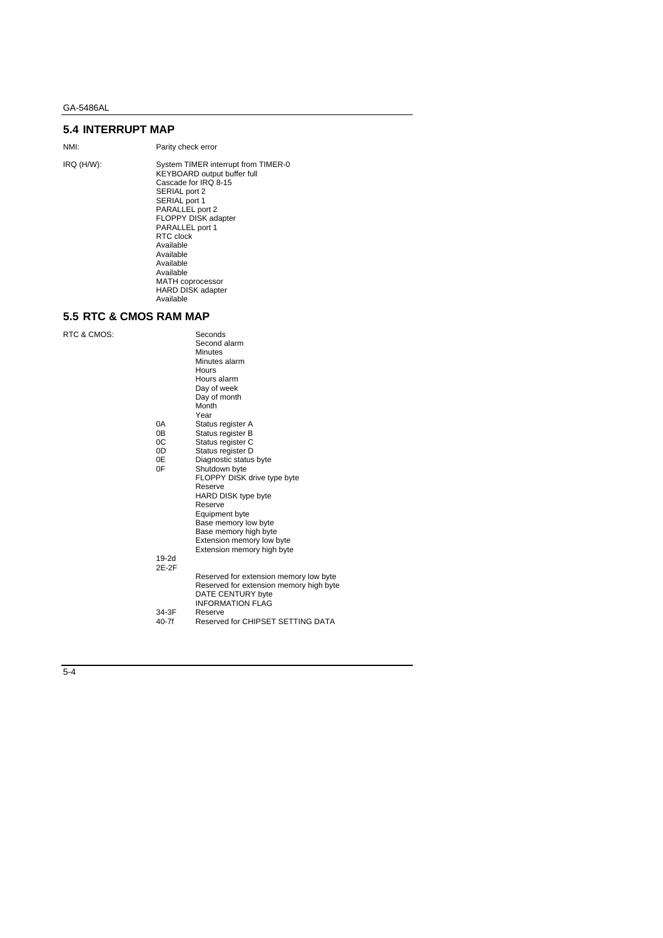## **5.4 INTERRUPT MAP**

NMI: Parity check error

IRQ (H/W): System TIMER interrupt from TIMER-0 KEYBOARD output buffer full Cascade for IRQ 8-15 SERIAL port 2 SERIAL port 1 PARALLEL port 2 FLOPPY DISK adapter PARALLEL port 1 RTC clock Available Available Available Available MATH coprocessor HARD DISK adapter Available

## **5.5 RTC & CMOS RAM MAP**

RTC & CMOS:

|         | Seconds                                 |
|---------|-----------------------------------------|
|         | Second alarm                            |
|         | <b>Minutes</b>                          |
|         | Minutes alarm                           |
|         | Hours                                   |
|         | Hours alarm                             |
|         | Day of week                             |
|         | Day of month                            |
|         | Month                                   |
|         | Year                                    |
| 0A      | Status register A                       |
| 0B      | Status register B                       |
| 0C      | Status register C                       |
| 0D      | Status register D                       |
| 0E      | Diagnostic status byte                  |
| 0F      | Shutdown byte                           |
|         | FLOPPY DISK drive type byte             |
|         | Reserve                                 |
|         | HARD DISK type byte                     |
|         | Reserve                                 |
|         | Equipment byte                          |
|         | Base memory low byte                    |
|         | Base memory high byte                   |
|         | Extension memory low byte               |
|         | Extension memory high byte              |
| 19-2d   |                                         |
| 2F-2F   |                                         |
|         | Reserved for extension memory low byte  |
|         | Reserved for extension memory high byte |
|         | DATE CENTURY byte                       |
|         | <b>INFORMATION FLAG</b>                 |
| 34-3F   | Reserve                                 |
| $40-7f$ | Reserved for CHIPSET SETTING DATA       |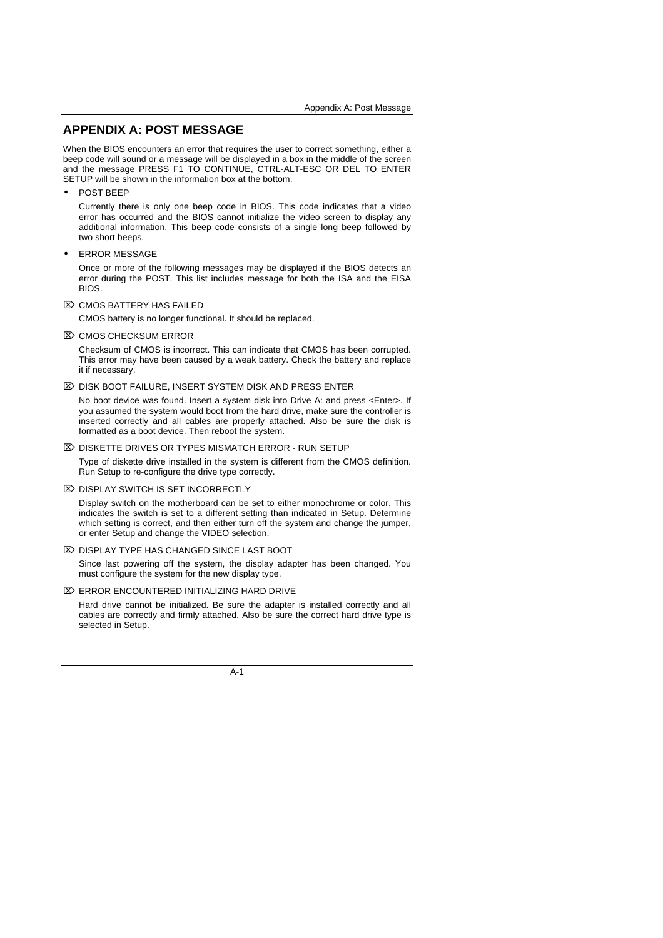## **APPENDIX A: POST MESSAGE**

When the BIOS encounters an error that requires the user to correct something, either a beep code will sound or a message will be displayed in a box in the middle of the screen and the message PRESS F1 TO CONTINUE, CTRL-ALT-ESC OR DEL TO ENTER SETUP will be shown in the information box at the bottom.

• POST BEEP

Currently there is only one beep code in BIOS. This code indicates that a video error has occurred and the BIOS cannot initialize the video screen to display any additional information. This beep code consists of a single long beep followed by two short beeps.

• ERROR MESSAGE

Once or more of the following messages may be displayed if the BIOS detects an error during the POST. This list includes message for both the ISA and the EISA BIOS.

 $\overline{\infty}$  CMOS BATTERY HAS FAILED

CMOS battery is no longer functional. It should be replaced.

**EXACTS CHECKSUM ERROR** 

Checksum of CMOS is incorrect. This can indicate that CMOS has been corrupted. This error may have been caused by a weak battery. Check the battery and replace it if necessary.

 $\mathbb{Z}$  DISK BOOT FAILURE, INSERT SYSTEM DISK AND PRESS ENTER

No boot device was found. Insert a system disk into Drive A: and press <Enter>. If you assumed the system would boot from the hard drive, make sure the controller is inserted correctly and all cables are properly attached. Also be sure the disk is formatted as a boot device. Then reboot the system.

**EX DISKETTE DRIVES OR TYPES MISMATCH ERROR - RUN SETUP** 

Type of diskette drive installed in the system is different from the CMOS definition. Run Setup to re-configure the drive type correctly.

**EX DISPLAY SWITCH IS SET INCORRECTLY** 

Display switch on the motherboard can be set to either monochrome or color. This indicates the switch is set to a different setting than indicated in Setup. Determine which setting is correct, and then either turn off the system and change the jumper, or enter Setup and change the VIDEO selection.

 $\overline{2}$  DISPLAY TYPE HAS CHANGED SINCE LAST BOOT

Since last powering off the system, the display adapter has been changed. You must configure the system for the new display type.

 $\mathbb{Z}$  ERROR ENCOUNTERED INITIALIZING HARD DRIVE

Hard drive cannot be initialized. Be sure the adapter is installed correctly and all cables are correctly and firmly attached. Also be sure the correct hard drive type is selected in Setup.

A-1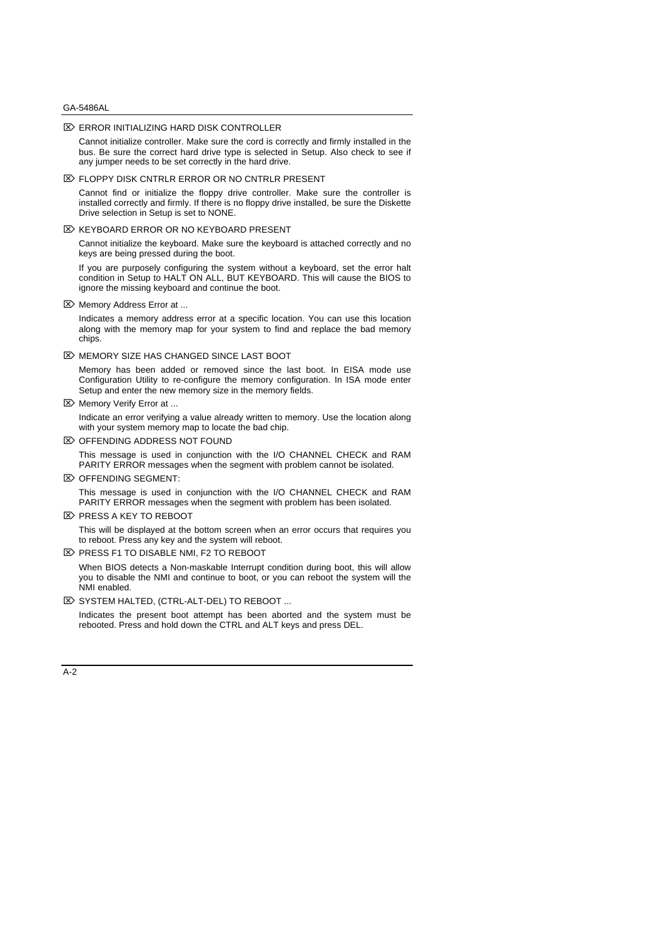#### $\mathbb{Z}$  ERROR INITIALIZING HARD DISK CONTROLLER

Cannot initialize controller. Make sure the cord is correctly and firmly installed in the bus. Be sure the correct hard drive type is selected in Setup. Also check to see if any jumper needs to be set correctly in the hard drive.

 $\mathbb{Z}$  FLOPPY DISK CNTRLR ERROR OR NO CNTRLR PRESENT

Cannot find or initialize the floppy drive controller. Make sure the controller is installed correctly and firmly. If there is no floppy drive installed, be sure the Diskette Drive selection in Setup is set to NONE.

**EX KEYBOARD ERROR OR NO KEYBOARD PRESENT** 

Cannot initialize the keyboard. Make sure the keyboard is attached correctly and no keys are being pressed during the boot.

If you are purposely configuring the system without a keyboard, set the error halt condition in Setup to HALT ON ALL, BUT KEYBOARD. This will cause the BIOS to ignore the missing keyboard and continue the boot.

 $\mathbb{Z}$  Memory Address Error at ...

Indicates a memory address error at a specific location. You can use this location along with the memory map for your system to find and replace the bad memory chips.

 $\boxtimes$  MEMORY SIZE HAS CHANGED SINCE LAST BOOT

Memory has been added or removed since the last boot. In EISA mode use Configuration Utility to re-configure the memory configuration. In ISA mode enter Setup and enter the new memory size in the memory fields.

 $\mathbb{Z}$  Memory Verify Error at ...

Indicate an error verifying a value already written to memory. Use the location along with your system memory map to locate the bad chip.

**EX OFFENDING ADDRESS NOT FOUND** 

This message is used in conjunction with the I/O CHANNEL CHECK and RAM PARITY ERROR messages when the segment with problem cannot be isolated.

 $\boxtimes$  OFFENDING SEGMENT:

This message is used in conjunction with the I/O CHANNEL CHECK and RAM PARITY ERROR messages when the segment with problem has been isolated.

**EX PRESS A KEY TO REBOOT** 

This will be displayed at the bottom screen when an error occurs that requires you to reboot. Press any key and the system will reboot.

EX PRESS F1 TO DISABLE NMI, F2 TO REBOOT

When BIOS detects a Non-maskable Interrupt condition during boot, this will allow you to disable the NMI and continue to boot, or you can reboot the system will the NMI enabled.

**E> SYSTEM HALTED, (CTRL-ALT-DEL) TO REBOOT ...** 

Indicates the present boot attempt has been aborted and the system must be rebooted. Press and hold down the CTRL and ALT keys and press DEL.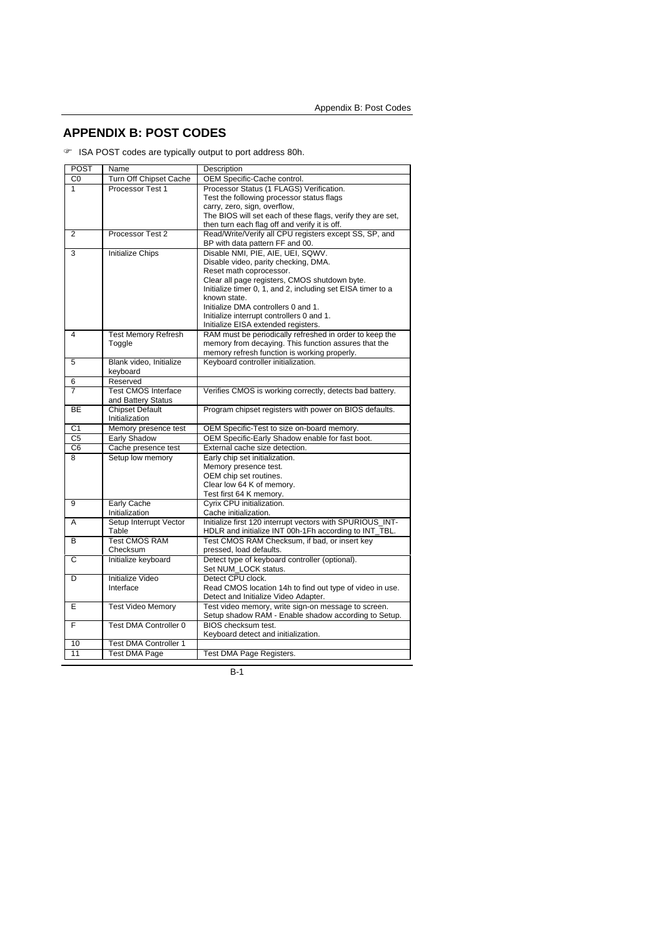## **APPENDIX B: POST CODES**

F ISA POST codes are typically output to port address 80h.

| POST           | Name                         | Description                                                                                                  |
|----------------|------------------------------|--------------------------------------------------------------------------------------------------------------|
| C0             | Turn Off Chipset Cache       | OEM Specific-Cache control.                                                                                  |
| 1              | Processor Test 1             | Processor Status (1 FLAGS) Verification.                                                                     |
|                |                              | Test the following processor status flags                                                                    |
|                |                              | carry, zero, sign, overflow,                                                                                 |
|                |                              | The BIOS will set each of these flags, verify they are set,                                                  |
|                |                              | then turn each flag off and verify it is off.                                                                |
| 2              | Processor Test 2             | Read/Write/Verify all CPU registers except SS, SP, and                                                       |
|                |                              | BP with data pattern FF and 00.                                                                              |
| 3              | Initialize Chips             | Disable NMI, PIE, AIE, UEI, SQWV,                                                                            |
|                |                              | Disable video, parity checking, DMA.                                                                         |
|                |                              | Reset math coprocessor.                                                                                      |
|                |                              | Clear all page registers, CMOS shutdown byte.<br>Initialize timer 0, 1, and 2, including set EISA timer to a |
|                |                              | known state.                                                                                                 |
|                |                              | Initialize DMA controllers 0 and 1.                                                                          |
|                |                              | Initialize interrupt controllers 0 and 1.                                                                    |
|                |                              | Initialize EISA extended registers.                                                                          |
| 4              | <b>Test Memory Refresh</b>   | RAM must be periodically refreshed in order to keep the                                                      |
|                | Toggle                       | memory from decaying. This function assures that the                                                         |
|                |                              | memory refresh function is working properly.                                                                 |
| 5              | Blank video, Initialize      | Keyboard controller initialization.                                                                          |
|                | keyboard                     |                                                                                                              |
| 6              | Reserved                     |                                                                                                              |
| 7              | <b>Test CMOS Interface</b>   | Verifies CMOS is working correctly, detects bad battery.                                                     |
|                | and Battery Status           |                                                                                                              |
| <b>BE</b>      | <b>Chipset Default</b>       | Program chipset registers with power on BIOS defaults.                                                       |
|                | Initialization               |                                                                                                              |
| C <sub>1</sub> | Memory presence test         | OEM Specific-Test to size on-board memory.                                                                   |
| C5             | Early Shadow                 | OEM Specific-Early Shadow enable for fast boot.                                                              |
| C <sub>6</sub> | Cache presence test          | External cache size detection.                                                                               |
| 8              | Setup low memory             | Early chip set initialization.                                                                               |
|                |                              | Memory presence test.                                                                                        |
|                |                              | OEM chip set routines.                                                                                       |
|                |                              | Clear low 64 K of memory.                                                                                    |
|                |                              | Test first 64 K memory.                                                                                      |
| 9              | Early Cache                  | Cyrix CPU initialization.                                                                                    |
|                | Initialization               | Cache initialization.                                                                                        |
| A              | Setup Interrupt Vector       | Initialize first 120 interrupt vectors with SPURIOUS_INT-                                                    |
|                | Table                        | HDLR and initialize INT 00h-1Fh according to INT_TBL.                                                        |
| в              | <b>Test CMOS RAM</b>         | Test CMOS RAM Checksum, if bad, or insert key                                                                |
|                | Checksum                     | pressed, load defaults.                                                                                      |
| C              | Initialize keyboard          | Detect type of keyboard controller (optional).                                                               |
|                |                              | Set NUM_LOCK status.                                                                                         |
| D              | Initialize Video             | Detect CPU clock.                                                                                            |
|                | Interface                    | Read CMOS location 14h to find out type of video in use.                                                     |
|                |                              | Detect and Initialize Video Adapter.                                                                         |
| E              | <b>Test Video Memory</b>     | Test video memory, write sign-on message to screen.                                                          |
|                |                              | Setup shadow RAM - Enable shadow according to Setup.                                                         |
| F              | Test DMA Controller 0        | BIOS checksum test.                                                                                          |
|                |                              | Keyboard detect and initialization.                                                                          |
| 10             | <b>Test DMA Controller 1</b> |                                                                                                              |
| 11             | <b>Test DMA Page</b>         | Test DMA Page Registers.                                                                                     |
|                |                              |                                                                                                              |

B-1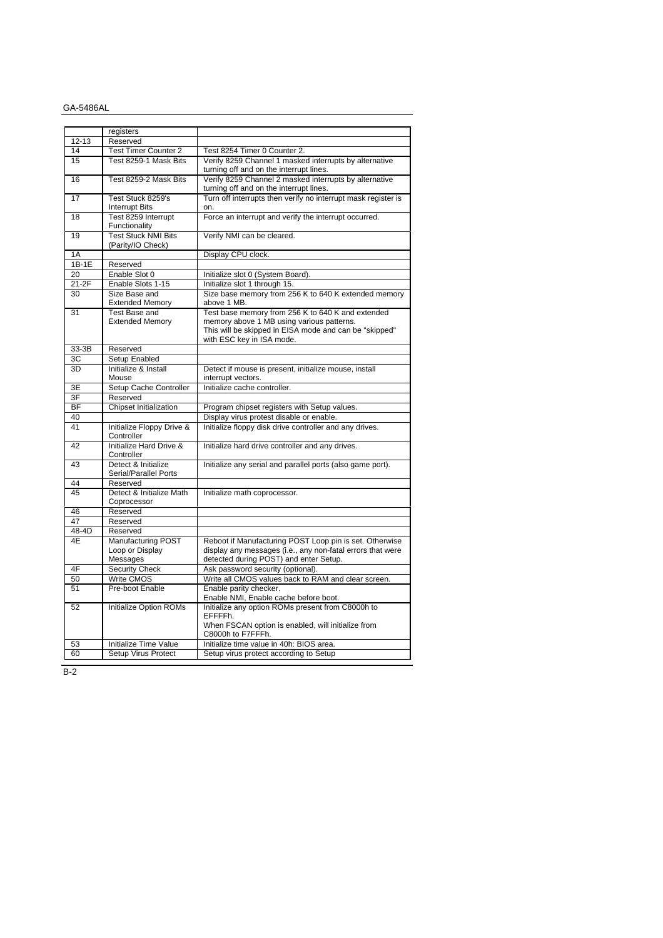|           | registers                                         |                                                                                                                                                                                       |
|-----------|---------------------------------------------------|---------------------------------------------------------------------------------------------------------------------------------------------------------------------------------------|
| $12 - 13$ | Reserved                                          |                                                                                                                                                                                       |
| 14        | <b>Test Timer Counter 2</b>                       | Test 8254 Timer 0 Counter 2.                                                                                                                                                          |
| 15        | Test 8259-1 Mask Bits                             | Verify 8259 Channel 1 masked interrupts by alternative<br>turning off and on the interrupt lines.                                                                                     |
| 16        | Test 8259-2 Mask Bits                             | Verify 8259 Channel 2 masked interrupts by alternative<br>turning off and on the interrupt lines.                                                                                     |
| 17        | Test Stuck 8259's<br><b>Interrupt Bits</b>        | Turn off interrupts then verify no interrupt mask register is<br>on.                                                                                                                  |
| 18        | Test 8259 Interrupt<br>Functionality              | Force an interrupt and verify the interrupt occurred.                                                                                                                                 |
| 19        | <b>Test Stuck NMI Bits</b><br>(Parity/IO Check)   | Verify NMI can be cleared.                                                                                                                                                            |
| 1A        |                                                   | Display CPU clock.                                                                                                                                                                    |
| $1B-1E$   | Reserved                                          |                                                                                                                                                                                       |
| 20        | Enable Slot 0                                     | Initialize slot 0 (System Board).                                                                                                                                                     |
| $21-2F$   | Enable Slots 1-15                                 | Initialize slot 1 through 15.                                                                                                                                                         |
| 30        | Size Base and                                     | Size base memory from 256 K to 640 K extended memory                                                                                                                                  |
|           | <b>Extended Memory</b>                            | above 1 MB.                                                                                                                                                                           |
| 31        | Test Base and<br><b>Extended Memory</b>           | Test base memory from 256 K to 640 K and extended<br>memory above 1 MB using various patterns.<br>This will be skipped in EISA mode and can be "skipped"<br>with ESC key in ISA mode. |
| 33-3B     | Reserved                                          |                                                                                                                                                                                       |
| 3C        | <b>Setup Enabled</b>                              |                                                                                                                                                                                       |
| 3D        | Initialize & Install<br>Mouse                     | Detect if mouse is present, initialize mouse, install<br>interrupt vectors.                                                                                                           |
| 3E        | Setup Cache Controller                            | Initialize cache controller.                                                                                                                                                          |
| 3F        | Reserved                                          |                                                                                                                                                                                       |
| <b>BF</b> | Chipset Initialization                            | Program chipset registers with Setup values.                                                                                                                                          |
| 40        |                                                   | Display virus protest disable or enable.                                                                                                                                              |
| 41        | Initialize Floppy Drive &<br>Controller           | Initialize floppy disk drive controller and any drives.                                                                                                                               |
| 42        | Initialize Hard Drive &<br>Controller             | Initialize hard drive controller and any drives.                                                                                                                                      |
| 43        | Detect & Initialize<br>Serial/Parallel Ports      | Initialize any serial and parallel ports (also game port).                                                                                                                            |
| 44        | Reserved                                          |                                                                                                                                                                                       |
| 45        | Detect & Initialize Math<br>Coprocessor           | Initialize math coprocessor.                                                                                                                                                          |
| 46        | Reserved                                          |                                                                                                                                                                                       |
| 47        | Reserved                                          |                                                                                                                                                                                       |
| 48-4D     | Reserved                                          |                                                                                                                                                                                       |
| 4E        | Manufacturing POST<br>Loop or Display<br>Messages | Reboot if Manufacturing POST Loop pin is set. Otherwise<br>display any messages (i.e., any non-fatal errors that were<br>detected during POST) and enter Setup.                       |
| 4F        | <b>Security Check</b>                             | Ask password security (optional).                                                                                                                                                     |
| 50        | <b>Write CMOS</b>                                 | Write all CMOS values back to RAM and clear screen.                                                                                                                                   |
| 51        | Pre-boot Enable                                   | Enable parity checker.<br>Enable NMI, Enable cache before boot.                                                                                                                       |
| 52        | <b>Initialize Option ROMs</b>                     | Initialize any option ROMs present from C8000h to<br>EFFFFh.<br>When FSCAN option is enabled, will initialize from<br>C8000h to F7FFFh.                                               |
| 53        | Initialize Time Value                             | Initialize time value in 40h: BIOS area.                                                                                                                                              |
| 60        | Setup Virus Protect                               | Setup virus protect according to Setup                                                                                                                                                |

B-2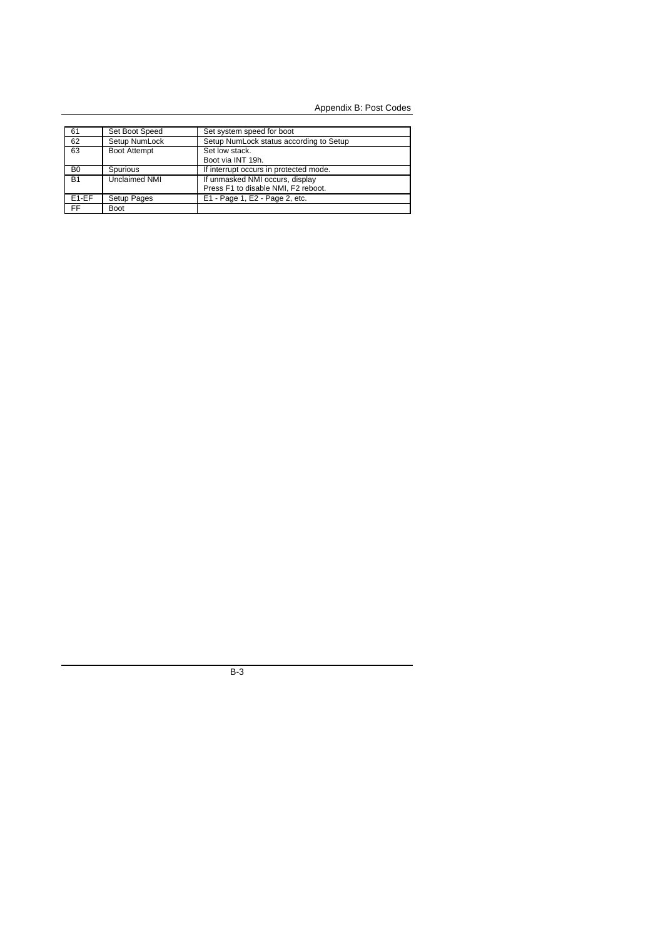Appendix B: Post Codes

| 61             | Set Boot Speed       | Set system speed for boot               |
|----------------|----------------------|-----------------------------------------|
| 62             | Setup NumLock        | Setup NumLock status according to Setup |
| 63             | <b>Boot Attempt</b>  | Set low stack.                          |
|                |                      | Boot via INT 19h.                       |
| B <sub>0</sub> | Spurious             | If interrupt occurs in protected mode.  |
| <b>B1</b>      | <b>Unclaimed NMI</b> | If unmasked NMI occurs, display         |
|                |                      | Press F1 to disable NMI, F2 reboot.     |
| $E1-EF$        | Setup Pages          | E1 - Page 1, E2 - Page 2, etc.          |
| FF             | Boot                 |                                         |

B-3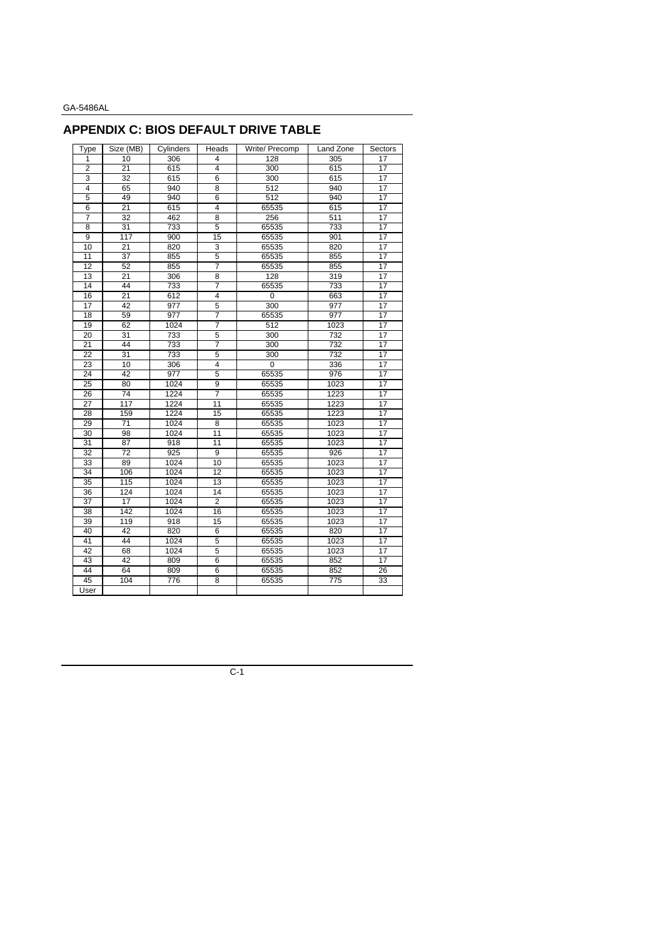## **APPENDIX C: BIOS DEFAULT DRIVE TABLE**

| Type            | Size (MB)       | Cylinders | Heads           | Write/ Precomp | Land Zone        | Sectors         |
|-----------------|-----------------|-----------|-----------------|----------------|------------------|-----------------|
| 1               | 10              | 306       | 4               | 128<br>305     |                  | 17              |
| $\overline{2}$  | 21              | 615       | $\overline{4}$  | 300            | 615              | 17              |
| 3               | 32              | 615       | $\overline{6}$  | 300            | 615              | $\overline{17}$ |
| 4               | 65              | 940       | 8               | 512            | 940              | 17              |
| 5               | 49              | 940       | 6               | 512            | 940              | $\overline{17}$ |
| 6               | 21              | 615       | $\overline{4}$  | 65535          | 615              | 17              |
| $\overline{7}$  | $\overline{32}$ | 462       | $\overline{8}$  | 256            | 511              | $\overline{17}$ |
| 8               | 31              | 733       | 5               | 65535          | 733              | 17              |
| 9               | 117             | 900       | 15              | 65535          | 901              | 17              |
| 10              | 21              | 820       | 3               | 65535          | 820              | 17              |
| 11              | 37              | 855       | 5               | 65535          | 855              | 17              |
| 12              | 52              | 855       | 7               | 65535          | 855              | 17              |
| 13              | $\overline{21}$ | 306       | $\overline{8}$  | 128            | 319              | $\overline{17}$ |
| 14              | 44              | 733       | $\overline{7}$  | 65535          | 733              | 17              |
| 16              | $\overline{21}$ | 612       | $\overline{4}$  | 0              | 663              | 17              |
| 17              | 42              | 977       | 5               | 300            | 977              | 17              |
| 18              | 59              | 977       | $\overline{7}$  | 65535          | 977              | 17              |
| 19              | 62              | 1024      | 7               | 512            | 1023             | $\overline{17}$ |
| 20              | $\overline{31}$ | 733       | 5               | 300            | 732              | 17              |
| 21              | 44              | 733       | 7               | 300            | 732              | $\overline{17}$ |
| 22              | 31              | 733       | 5               | 300            | 732              | 17              |
| $\overline{23}$ | 10              | 306       | $\overline{4}$  | 0              | 336              | 17              |
| 24              | 42              | 977       | 5               | 65535          | 976              | 17              |
| 25              | 80              | 1024      | 9               | 65535          | 1023             | 17              |
| 26              | 74              | 1224      | $\overline{7}$  | 65535          | 1223             | 17              |
| $\overline{27}$ | 117             | 1224      | $\overline{11}$ | 65535          | 1223             | 17              |
| 28              | 159             | 1224      | 15              | 65535          | 1223             | 17              |
| 29              | $\overline{71}$ | 1024      | 8               | 65535          | 1023             | 17              |
| 30              | 98              | 1024      | 11              | 65535          | 1023             | 17              |
| 31              | 87              | 918       | $\overline{11}$ | 65535          | 1023             | 17              |
| 32              | $\overline{72}$ | 925       | $\overline{9}$  | 65535          | $\overline{926}$ | 17              |
| 33              | 89              | 1024      | 10              | 65535          | 1023             | 17              |
| 34              | 106             | 1024      | 12              | 65535          | 1023             | 17              |
| 35              | 115             | 1024      | 13              | 65535          | 1023             | 17              |
| 36              | 124             | 1024      | 14              | 65535          | 1023             | $\overline{17}$ |
| 37              | 17              | 1024      | $\overline{2}$  | 65535          | 1023             | 17              |
| 38              | 142             | 1024      | 16              | 65535          | 1023             | 17              |
| 39              | 119             | 918       | 15              | 65535          | 1023             | 17              |
| 40              | 42              | 820       | $6\overline{6}$ | 65535          | 820              | $\overline{17}$ |
| 41              | 44              | 1024      | 5               | 65535          | 1023             | 17              |
| 42              | 68              | 1024      | 5               | 65535          | 1023             | 17              |
| 43              | 42              | 809       | 6               | 65535          | 852              | 17              |
| 44              | 64              | 809       | $\overline{6}$  | 65535          | 852              | 26              |
| 45              | 104             | 776       | $\overline{8}$  | 65535          | 775              | 33              |
| User            |                 |           |                 |                |                  |                 |
|                 |                 |           |                 |                |                  |                 |

C-1